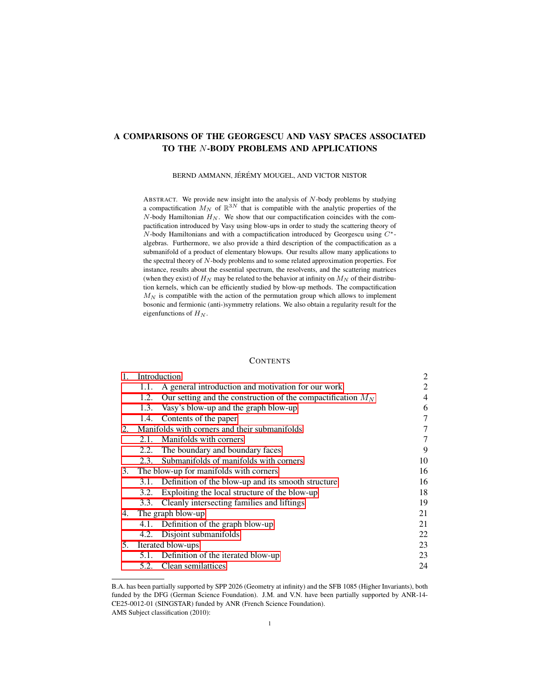# A COMPARISONS OF THE GEORGESCU AND VASY SPACES ASSOCIATED TO THE N-BODY PROBLEMS AND APPLICATIONS

BERND AMMANN, JÉRÉMY MOUGEL, AND VICTOR NISTOR

ABSTRACT. We provide new insight into the analysis of N-body problems by studying a compactification  $M_N$  of  $\mathbb{R}^{3N}$  that is compatible with the analytic properties of the  $N$ -body Hamiltonian  $H_N$ . We show that our compactification coincides with the compactification introduced by Vasy using blow-ups in order to study the scattering theory of  $N$ -body Hamiltonians and with a compactification introduced by Georgescu using  $C^*$ algebras. Furthermore, we also provide a third description of the compactification as a submanifold of a product of elementary blowups. Our results allow many applications to the spectral theory of N-body problems and to some related approximation properties. For instance, results about the essential spectrum, the resolvents, and the scattering matrices (when they exist) of  $H_N$  may be related to the behavior at infinity on  $M_N$  of their distribution kernels, which can be efficiently studied by blow-up methods. The compactification  $M_N$  is compatible with the action of the permutation group which allows to implement bosonic and fermionic (anti-)symmetry relations. We also obtain a regularity result for the eigenfunctions of  $H_N$ .

# **CONTENTS**

| 1. |                                               | Introduction                                                   |    |
|----|-----------------------------------------------|----------------------------------------------------------------|----|
|    | 1.1.                                          | A general introduction and motivation for our work             | 2  |
|    | 1.2.                                          | Our setting and the construction of the compactification $M_N$ | 4  |
|    | 1.3.                                          | Vasy's blow-up and the graph blow-up                           | 6  |
|    |                                               | 1.4. Contents of the paper                                     | 7  |
| 2. | Manifolds with corners and their submanifolds |                                                                | 7  |
|    | 2.1.                                          | Manifolds with corners                                         | 7  |
|    | 2.2.                                          | The boundary and boundary faces                                | 9  |
|    | 2.3.                                          | Submanifolds of manifolds with corners                         | 10 |
| 3. |                                               | The blow-up for manifolds with corners                         | 16 |
|    | 3.1.                                          | Definition of the blow-up and its smooth structure             | 16 |
|    | 3.2.                                          | Exploiting the local structure of the blow-up                  | 18 |
|    | 3.3.                                          | Cleanly intersecting families and liftings                     | 19 |
| 4. | The graph blow-up                             |                                                                | 21 |
|    |                                               | 4.1. Definition of the graph blow-up                           | 21 |
|    | 4.2.                                          | Disjoint submanifolds                                          | 22 |
| 5. | Iterated blow-ups                             |                                                                | 23 |
|    |                                               | 5.1. Definition of the iterated blow-up                        | 23 |
|    | 5.2.                                          | Clean semilattices                                             | 24 |

B.A. has been partially supported by SPP 2026 (Geometry at infinity) and the SFB 1085 (Higher Invariants), both funded by the DFG (German Science Foundation). J.M. and V.N. have been partially supported by ANR-14- CE25-0012-01 (SINGSTAR) funded by ANR (French Science Foundation). AMS Subject classification (2010):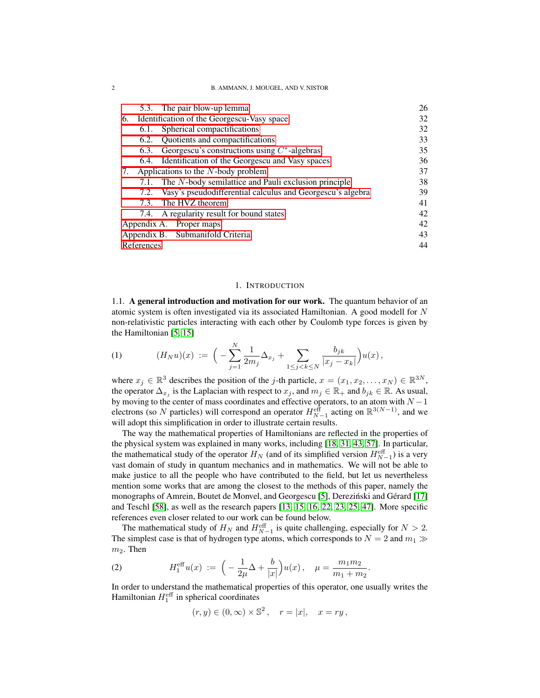2 B. AMMANN, J. MOUGEL, AND V. NISTOR

|                                  |                                            | 5.3. The pair blow-up lemma                                     | 26 |
|----------------------------------|--------------------------------------------|-----------------------------------------------------------------|----|
| 6.                               | Identification of the Georgescu-Vasy space |                                                                 | 32 |
|                                  | 6.1.                                       | Spherical compactifications                                     | 32 |
|                                  |                                            | 6.2. Quotients and compactifications                            | 33 |
|                                  | 6.3.                                       | Georgescu's constructions using $C^*$ -algebras                 | 35 |
|                                  |                                            | 6.4. Identification of the Georgescu and Vasy spaces            | 36 |
| 7.                               | Applications to the $N$ -body problem      |                                                                 | 37 |
|                                  |                                            | 7.1. The N-body semilattice and Pauli exclusion principle       | 38 |
|                                  |                                            | 7.2. Vasy's pseudodifferential calculus and Georgescu's algebra | 39 |
|                                  |                                            | 7.3. The HVZ theorem                                            | 41 |
|                                  |                                            | 7.4. A regularity result for bound states                       | 42 |
| Appendix A. Proper maps          |                                            | 42                                                              |    |
| Appendix B. Submanifold Criteria |                                            | 43                                                              |    |
| References                       |                                            |                                                                 |    |

### 1. INTRODUCTION

<span id="page-1-1"></span><span id="page-1-0"></span>1.1. A general introduction and motivation for our work. The quantum behavior of an atomic system is often investigated via its associated Hamiltonian. A good modell for N non-relativistic particles interacting with each other by Coulomb type forces is given by the Hamiltonian [\[5,](#page-43-1) [15\]](#page-43-2)

<span id="page-1-2"></span>(1) 
$$
(H_N u)(x) := \Big(-\sum_{j=1}^N \frac{1}{2m_j} \Delta_{x_j} + \sum_{1 \le j < k \le N} \frac{b_{jk}}{|x_j - x_k|} \Big) u(x) \,,
$$

where  $x_j \in \mathbb{R}^3$  describes the position of the *j*-th particle,  $x = (x_1, x_2, \dots, x_N) \in \mathbb{R}^{3N}$ , the operator  $\Delta_{x_j}$  is the Laplacian with respect to  $x_j$ , and  $m_j \in \mathbb{R}_+$  and  $b_{jk} \in \mathbb{R}$ . As usual, by moving to the center of mass coordinates and effective operators, to an atom with  $N - 1$ electrons (so N particles) will correspond an operator  $H_{N-1}^{\text{eff}}$  acting on  $\mathbb{R}^{3(N-1)}$ , and we will adopt this simplification in order to illustrate certain results.

The way the mathematical properties of Hamiltonians are reflected in the properties of the physical system was explained in many works, including [\[18,](#page-43-3) [31,](#page-44-0) [43,](#page-44-1) [57\]](#page-45-0). In particular, the mathematical study of the operator  $H_N$  (and of its simplified version  $H_{N-1}^{\text{eff}}$ ) is a very vast domain of study in quantum mechanics and in mathematics. We will not be able to make justice to all the people who have contributed to the field, but let us nevertheless mention some works that are among the closest to the methods of this paper, namely the monographs of Amrein, Boutet de Monvel, and Georgescu [\[5\]](#page-43-1), Derezinski and Gérard [\[17\]](#page-43-4) and Teschl [\[58\]](#page-45-1), as well as the research papers [\[13,](#page-43-5) [15,](#page-43-2) [16,](#page-43-6) [22,](#page-43-7) [23,](#page-43-8) [25,](#page-43-9) [47\]](#page-44-2). More specific references even closer related to our work can be found below.

The mathematical study of  $H_N$  and  $H_{N-1}^{\text{eff}}$  is quite challenging, especially for  $N > 2$ . The simplest case is that of hydrogen type atoms, which corresponds to  $N = 2$  and  $m_1 \gg$  $m<sub>2</sub>$ . Then

(2) 
$$
H_1^{\text{eff}}u(x) := \left(-\frac{1}{2\mu}\Delta + \frac{b}{|x|}\right)u(x), \quad \mu = \frac{m_1 m_2}{m_1 + m_2}.
$$

In order to understand the mathematical properties of this operator, one usually writes the Hamiltonian  $H_1^{\text{eff}}$  in spherical coordinates

$$
(r, y) \in (0, \infty) \times \mathbb{S}^2
$$
,  $r = |x|$ ,  $x = ry$ ,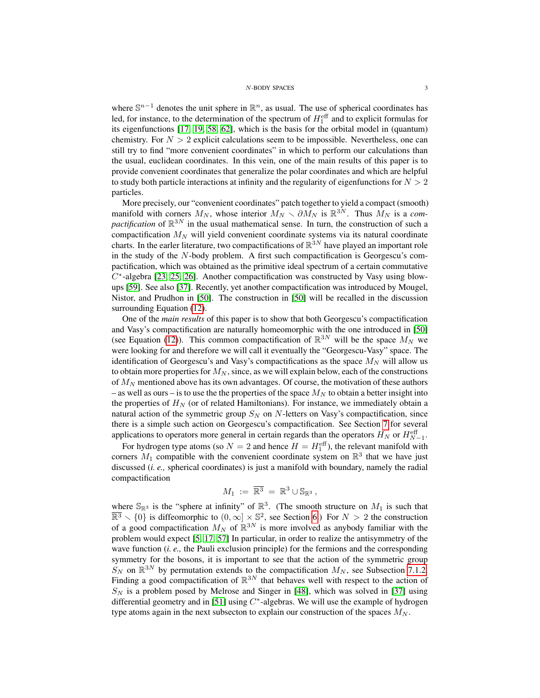where  $\mathbb{S}^{n-1}$  denotes the unit sphere in  $\mathbb{R}^n$ , as usual. The use of spherical coordinates has led, for instance, to the determination of the spectrum of  $H_1^{\text{eff}}$  and to explicit formulas for its eigenfunctions [\[17,](#page-43-4) [19,](#page-43-10) [58,](#page-45-1) [62\]](#page-45-2), which is the basis for the orbital model in (quantum) chemistry. For  $N > 2$  explicit calculations seem to be impossible. Nevertheless, one can still try to find "more convenient coordinates" in which to perform our calculations than the usual, euclidean coordinates. In this vein, one of the main results of this paper is to provide convenient coordinates that generalize the polar coordinates and which are helpful to study both particle interactions at infinity and the regularity of eigenfunctions for  $N > 2$ particles.

More precisely, our "convenient coordinates" patch together to yield a compact (smooth) manifold with corners  $M_N$ , whose interior  $M_N \sim \partial M_N$  is  $\mathbb{R}^{3N}$ . Thus  $M_N$  is a *compactification* of  $\mathbb{R}^{3N}$  in the usual mathematical sense. In turn, the construction of such a compactification  $M_N$  will yield convenient coordinate systems via its natural coordinate charts. In the earler literature, two compactifications of  $\mathbb{R}^{3N}$  have played an important role in the study of the N-body problem. A first such compactification is Georgescu's compactification, which was obtained as the primitive ideal spectrum of a certain commutative  $C^*$ -algebra [\[23,](#page-43-8) [25,](#page-43-9) [26\]](#page-43-11). Another compactification was constructed by Vasy using blowups [\[59\]](#page-45-3). See also [\[37\]](#page-44-3). Recently, yet another compactification was introduced by Mougel, Nistor, and Prudhon in [\[50\]](#page-44-4). The construction in [\[50\]](#page-44-4) will be recalled in the discussion surrounding Equation [\(12\)](#page-6-3).

One of the *main results* of this paper is to show that both Georgescu's compactification and Vasy's compactification are naturally homeomorphic with the one introduced in [\[50\]](#page-44-4) (see Equation [\(12\)](#page-6-3)). This common compactification of  $\mathbb{R}^{3N}$  will be the space  $M_N$  we were looking for and therefore we will call it eventually the "Georgescu-Vasy" space. The identification of Georgescu's and Vasy's compactifications as the space  $M_N$  will allow us to obtain more properties for  $M_N$ , since, as we will explain below, each of the constructions of  $M_N$  mentioned above has its own advantages. Of course, the motivation of these authors – as well as ours – is to use the the properties of the space  $M_N$  to obtain a better insight into the properties of  $H<sub>N</sub>$  (or of related Hamiltonians). For instance, we immediately obtain a natural action of the symmetric group  $S_N$  on N-letters on Vasy's compactification, since there is a simple such action on Georgescu's compactification. See Section [7](#page-36-0) for several applications to operators more general in certain regards than the operators  $H_N$  or  $H_{N-1}^{\text{eff}}$ .

For hydrogen type atoms (so  $N = 2$  and hence  $H = H_1^{\text{eff}}$ ), the relevant manifold with corners  $M_1$  compatible with the convenient coordinate system on  $\mathbb{R}^3$  that we have just discussed (*i. e.,* spherical coordinates) is just a manifold with boundary, namely the radial compactification

$$
M_1 := \overline{\mathbb{R}^3} = \mathbb{R}^3 \cup \mathbb{S}_{\mathbb{R}^3},
$$

where  $\mathbb{S}_{\mathbb{R}^3}$  is the "sphere at infinity" of  $\mathbb{R}^3$ . (The smooth structure on  $M_1$  is such that  $\overline{\mathbb{R}^3} \setminus \{0\}$  is diffeomorphic to  $(0, \infty] \times \mathbb{S}^2$ , see Section [6.](#page-31-0)) For  $N > 2$  the construction of a good compactification  $M_N$  of  $\mathbb{R}^{3N}$  is more involved as anybody familiar with the problem would expect [\[5,](#page-43-1) [17,](#page-43-4) [57\]](#page-45-0) In particular, in order to realize the antisymmetry of the wave function (*i. e.,* the Pauli exclusion principle) for the fermions and the corresponding symmetry for the bosons, it is important to see that the action of the symmetric group  $\hat{S}_N$  on  $\mathbb{R}^{3N}$  by permutation extends to the compactification  $M_N$ , see Subsection [7.1.2.](#page-37-1) Finding a good compactification of  $\mathbb{R}^{3N}$  that behaves well with respect to the action of  $S_N$  is a problem posed by Melrose and Singer in [\[48\]](#page-44-5), which was solved in [\[37\]](#page-44-3) using differential geometry and in [\[51\]](#page-44-6) using  $C^*$ -algebras. We will use the example of hydrogen type atoms again in the next subsecton to explain our construction of the spaces  $M_N$ .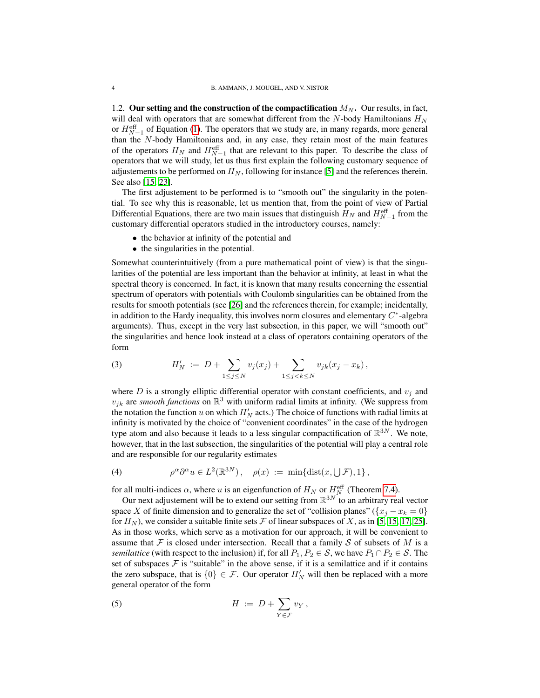<span id="page-3-0"></span>1.2. Our setting and the construction of the compactification  $M_N$ . Our results, in fact, will deal with operators that are somewhat different from the  $N$ -body Hamiltonians  $H_N$ or  $H_{N-1}^{\text{eff}}$  of Equation [\(1\)](#page-1-2). The operators that we study are, in many regards, more general than the N-body Hamiltonians and, in any case, they retain most of the main features of the operators  $H_N$  and  $H_{N-1}^{\text{eff}}$  that are relevant to this paper. To describe the class of operators that we will study, let us thus first explain the following customary sequence of adjustements to be performed on  $H_N$ , following for instance [\[5\]](#page-43-1) and the references therein. See also [\[15,](#page-43-2) [23\]](#page-43-8).

The first adjustement to be performed is to "smooth out" the singularity in the potential. To see why this is reasonable, let us mention that, from the point of view of Partial Differential Equations, there are two main issues that distinguish  $H_N$  and  $H_{N-1}^{\text{eff}}$  from the customary differential operators studied in the introductory courses, namely:

- the behavior at infinity of the potential and
- the singularities in the potential.

Somewhat counterintuitively (from a pure mathematical point of view) is that the singularities of the potential are less important than the behavior at infinity, at least in what the spectral theory is concerned. In fact, it is known that many results concerning the essential spectrum of operators with potentials with Coulomb singularities can be obtained from the results for smooth potentials (see [\[26\]](#page-43-11) and the references therein, for example; incidentally, in addition to the Hardy inequality, this involves norm closures and elementary  $C^*$ -algebra arguments). Thus, except in the very last subsection, in this paper, we will "smooth out" the singularities and hence look instead at a class of operators containing operators of the form

(3) 
$$
H'_{N} := D + \sum_{1 \leq j \leq N} v_{j}(x_{j}) + \sum_{1 \leq j < k \leq N} v_{jk}(x_{j} - x_{k}),
$$

where  $D$  is a strongly elliptic differential operator with constant coefficients, and  $v_j$  and  $v_{jk}$  are *smooth functions* on  $\mathbb{R}^3$  with uniform radial limits at infinity. (We suppress from the notation the function u on which  $H_N'$  acts.) The choice of functions with radial limits at infinity is motivated by the choice of "convenient coordinates" in the case of the hydrogen type atom and also because it leads to a less singular compactification of  $\mathbb{R}^{3N}$ . We note, however, that in the last subsection, the singularities of the potential will play a central role and are responsible for our regularity estimates

(4) 
$$
\rho^{\alpha} \partial^{\alpha} u \in L^{2}(\mathbb{R}^{3N}), \quad \rho(x) := \min\{\text{dist}(x, \bigcup \mathcal{F}), 1\},
$$

for all multi-indices  $\alpha$ , where u is an eigenfunction of  $H_N$  or  $H_N^{\text{eff}}$  (Theorem [7.4\)](#page-41-2).

Our next adjustement will be to extend our setting from  $\mathbb{R}^{3N}$  to an arbitrary real vector space X of finite dimension and to generalize the set of "collision planes" ( $\{x_i - x_k = 0\}$ for  $H_N$ ), we consider a suitable finite sets  $\mathcal F$  of linear subspaces of X, as in [\[5,](#page-43-1) [15,](#page-43-2) [17,](#page-43-4) [25\]](#page-43-9). As in those works, which serve as a motivation for our approach, it will be convenient to assume that  $F$  is closed under intersection. Recall that a family  $S$  of subsets of  $M$  is a *semilattice* (with respect to the inclusion) if, for all  $P_1, P_2 \in S$ , we have  $P_1 \cap P_2 \in S$ . The set of subspaces  $F$  is "suitable" in the above sense, if it is a semilattice and if it contains the zero subspace, that is  $\{0\} \in \mathcal{F}$ . Our operator  $H'_N$  will then be replaced with a more general operator of the form

(5) 
$$
H := D + \sum_{Y \in \mathcal{F}} v_Y,
$$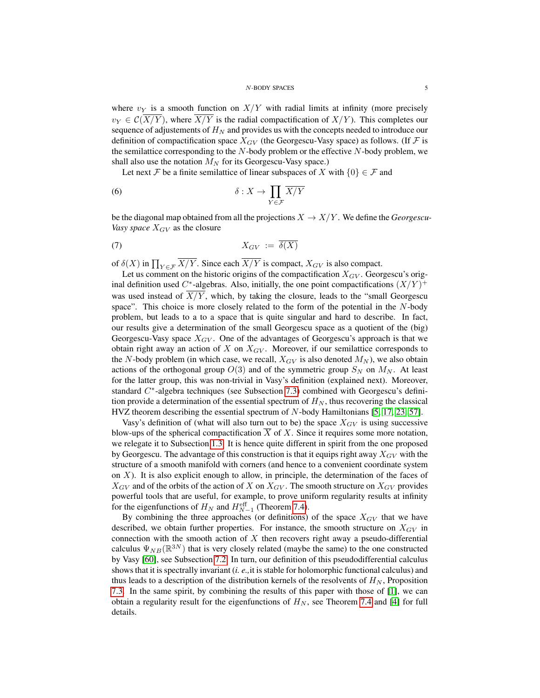where  $v_Y$  is a smooth function on  $X/Y$  with radial limits at infinity (more precisely  $v_Y \in \mathcal{C}(\overline{X/Y})$ , where  $\overline{X/Y}$  is the radial compactification of  $X/Y$ ). This completes our sequence of adjustements of  $H_N$  and provides us with the concepts needed to introduce our definition of compactification space  $X_{GV}$  (the Georgescu-Vasy space) as follows. (If  $\mathcal F$  is the semilattice corresponding to the  $N$ -body problem or the effective  $N$ -body problem, we shall also use the notation  $M_N$  for its Georgescu-Vasy space.)

Let next F be a finite semilattice of linear subspaces of X with  $\{0\} \in \mathcal{F}$  and

(6) 
$$
\delta: X \to \prod_{Y \in \mathcal{F}} \overline{X/Y}
$$

be the diagonal map obtained from all the projections  $X \to X/Y$ . We define the *Georgescu*-*Vasy space*  $X_{GV}$  as the closure

$$
(7) \t\t X_{GV} := \overline{\delta(X)}
$$

of  $\delta(X)$  in  $\prod_{Y \in \mathcal{F}} X/Y$ . Since each  $X/Y$  is compact,  $X_{GV}$  is also compact.

Let us comment on the historic origins of the compactification  $X_{GV}$ . Georgescu's original definition used C<sup>\*</sup>-algebras. Also, initially, the one point compactifications  $(X/Y)^+$ was used instead of  $X/Y$ , which, by taking the closure, leads to the "small Georgescu space". This choice is more closely related to the form of the potential in the N-body problem, but leads to a to a space that is quite singular and hard to describe. In fact, our results give a determination of the small Georgescu space as a quotient of the (big) Georgescu-Vasy space  $X_{GV}$ . One of the advantages of Georgescu's approach is that we obtain right away an action of  $X$  on  $X_{GV}$ . Moreover, if our semilattice corresponds to the N-body problem (in which case, we recall,  $X_{GV}$  is also denoted  $M_N$ ), we also obtain actions of the orthogonal group  $O(3)$  and of the symmetric group  $S_N$  on  $M_N$ . At least for the latter group, this was non-trivial in Vasy's definition (explained next). Moreover, standard C<sup>\*</sup>-algebra techniques (see Subsection [7.3\)](#page-40-0) combined with Georgescu's definition provide a determination of the essential spectrum of  $H_N$ , thus recovering the classical HVZ theorem describing the essential spectrum of N-body Hamiltonians [\[5,](#page-43-1) [17,](#page-43-4) [23,](#page-43-8) [57\]](#page-45-0).

Vasy's definition of (what will also turn out to be) the space  $X_{GV}$  is using successive blow-ups of the spherical compactification  $X$  of  $X$ . Since it requires some more notation, we relegate it to Subsection [1.3.](#page-5-0) It is hence quite different in spirit from the one proposed by Georgescu. The advantage of this construction is that it equips right away  $X_{GV}$  with the structure of a smooth manifold with corners (and hence to a convenient coordinate system on  $X$ ). It is also explicit enough to allow, in principle, the determination of the faces of  $X_{GV}$  and of the orbits of the action of X on  $X_{GV}$ . The smooth structure on  $X_{GV}$  provides powerful tools that are useful, for example, to prove uniform regularity results at infinity for the eigenfunctions of  $H_N$  and  $H_{N-1}^{\text{eff}}$  (Theorem [7.4\)](#page-41-2).

By combining the three approaches (or definitions) of the space  $X_{GV}$  that we have described, we obtain further properties. For instance, the smooth structure on  $X_{GV}$  in connection with the smooth action of  $X$  then recovers right away a pseudo-differential calculus  $\Psi_{NB}(\mathbb{R}^{3N})$  that is very closely related (maybe the same) to the one constructed by Vasy [\[60\]](#page-45-4), see Subsection [7.2.](#page-38-0) In turn, our definition of this pseudodifferential calculus shows that it is spectrally invariant (*i. e.,*it is stable for holomorphic functional calculus) and thus leads to a description of the distribution kernels of the resolvents of  $H_N$ , Proposition [7.3.](#page-39-0) In the same spirit, by combining the results of this paper with those of [\[1\]](#page-43-12), we can obtain a regularity result for the eigenfunctions of  $H_N$ , see Theorem [7.4](#page-41-2) and [\[4\]](#page-43-13) for full details.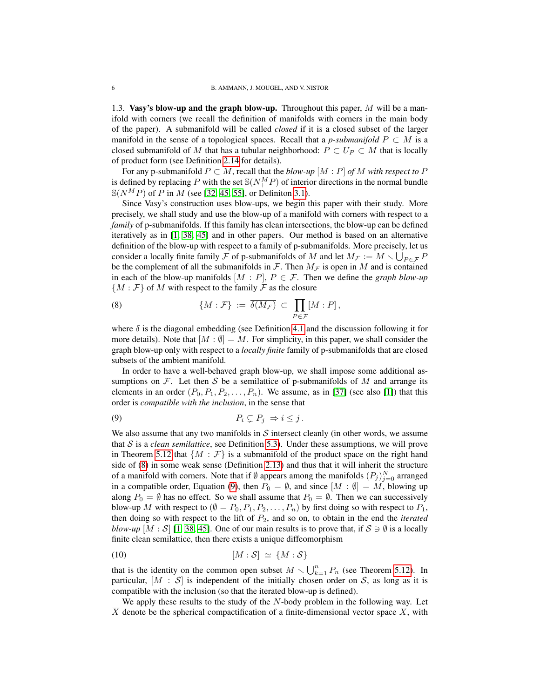<span id="page-5-0"></span>1.3. Vasy's blow-up and the graph blow-up. Throughout this paper,  $M$  will be a manifold with corners (we recall the definition of manifolds with corners in the main body of the paper). A submanifold will be called *closed* if it is a closed subset of the larger manifold in the sense of a topological spaces. Recall that a *p-submanifold*  $P \subset M$  is a closed submanifold of M that has a tubular neighborhood:  $P \subset U_P \subset M$  that is locally of product form (see Definition [2.14](#page-12-0) for details).

For any p-submanifold  $P \subset M$ , recall that the *blow-up*  $[M : P]$  *of* M *with respect to* P is defined by replacing P with the set  $\mathcal{S}(N_{+}^{M}P)$  of interior directions in the normal bundle  $S(N^MP)$  of P in M (see [\[32,](#page-44-7) [45,](#page-44-8) [55\]](#page-44-9), or Definiton [3.1\)](#page-15-2).

Since Vasy's construction uses blow-ups, we begin this paper with their study. More precisely, we shall study and use the blow-up of a manifold with corners with respect to a *family* of p-submanifolds. If this family has clean intersections, the blow-up can be defined iteratively as in [\[1,](#page-43-12) [38,](#page-44-10) [45\]](#page-44-8) and in other papers. Our method is based on an alternative definition of the blow-up with respect to a family of p-submanifolds. More precisely, let us consider a locally finite family  $\bar{\mathcal{F}}$  of p-submanifolds of M and let  $M_{\bar{\mathcal{F}}} := M \setminus \bigcup_{P \in \bar{\mathcal{F}}} P$ be the complement of all the submanifolds in  $\mathcal F$ . Then  $M_{\mathcal F}$  is open in M and is contained in each of the blow-up manifolds  $[M : P]$ ,  $P \in \mathcal{F}$ . Then we define the *graph blow-up*  ${M : \mathcal{F}}$  of M with respect to the family  $\mathcal F$  as the closure

<span id="page-5-1"></span>(8) 
$$
\{M:\mathcal{F}\} := \overline{\delta(M_{\mathcal{F}})} \subset \prod_{P \in \mathcal{F}} [M:P],
$$

where  $\delta$  is the diagonal embedding (see Definition [4.1](#page-20-2) and the discussion following it for more details). Note that  $[M : \emptyset] = M$ . For simplicity, in this paper, we shall consider the graph blow-up only with respect to a *locally finite* family of p-submanifolds that are closed subsets of the ambient manifold.

In order to have a well-behaved graph blow-up, we shall impose some additional assumptions on  $\mathcal F$ . Let then S be a semilattice of p-submanifolds of M and arrange its elements in an order  $(P_0, P_1, P_2, \ldots, P_n)$ . We assume, as in [\[37\]](#page-44-3) (see also [\[1\]](#page-43-12)) that this order is *compatible with the inclusion*, in the sense that

<span id="page-5-2"></span>
$$
(9) \t\t\t P_i \subsetneq P_j \Rightarrow i \leq j.
$$

We also assume that any two manifolds in  $S$  intersect cleanly (in other words, we assume that  $S$  is a *clean semilattice*, see Definition [5.3\)](#page-23-1). Under these assumptions, we will prove in Theorem [5.12](#page-29-0) that  $\{M : \mathcal{F}\}\$ is a submanifold of the product space on the right hand side of [\(8\)](#page-5-1) in some weak sense (Definition [2.13\)](#page-11-0) and thus that it will inherit the structure of a manifold with corners. Note that if  $\emptyset$  appears among the manifolds  $(P_j)_{j=0}^N$  arranged in a compatible order, Equation [\(9\)](#page-5-2), then  $P_0 = \emptyset$ , and since  $[M : \emptyset] = M$ , blowing up along  $P_0 = \emptyset$  has no effect. So we shall assume that  $P_0 = \emptyset$ . Then we can successively blow-up M with respect to  $(\emptyset = P_0, P_1, P_2, \ldots, P_n)$  by first doing so with respect to  $P_1$ , then doing so with respect to the lift of P2, and so on, to obtain in the end the *iterated blow-up*  $[M : S]$  [\[1,](#page-43-12) [38,](#page-44-10) [45\]](#page-44-8). One of our main results is to prove that, if  $S \ni \emptyset$  is a locally finite clean semilattice, then there exists a unique diffeomorphism

$$
[M : \mathcal{S}] \simeq \{M : \mathcal{S}\}
$$

that is the identity on the common open subset  $M \setminus \bigcup_{k=1}^{n} P_n$  (see Theorem [5.12\)](#page-29-0). In particular,  $[M : S]$  is independent of the initially chosen order on S, as long as it is compatible with the inclusion (so that the iterated blow-up is defined).

We apply these results to the study of the  $N$ -body problem in the following way. Let  $\overline{X}$  denote be the spherical compactification of a finite-dimensional vector space X, with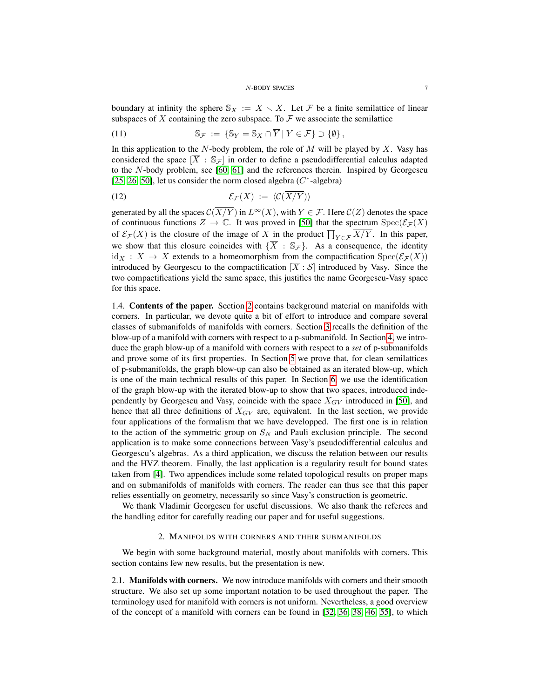### <span id="page-6-4"></span><span id="page-6-3"></span>N-BODY SPACES 7

boundary at infinity the sphere  $\mathbb{S}_X := \overline{X} \setminus X$ . Let F be a finite semilattice of linear subspaces of X containing the zero subspace. To  $\mathcal F$  we associate the semilattice

(11) 
$$
\mathbb{S}_{\mathcal{F}} := \{ \mathbb{S}_Y = \mathbb{S}_X \cap \overline{Y} \mid Y \in \mathcal{F} \} \supset \{ \emptyset \},
$$

In this application to the N-body problem, the role of M will be played by  $\overline{X}$ . Vasy has considered the space  $[\overline{X} : \mathbb{S}_{\mathcal{F}}]$  in order to define a pseudodifferential calculus adapted to the N-body problem, see [\[60,](#page-45-4) [61\]](#page-45-5) and the references therein. Inspired by Georgescu [\[25,](#page-43-9) [26,](#page-43-11) [50\]](#page-44-4), let us consider the norm closed algebra  $(C^*$ -algebra)

$$
(12)\qquad \qquad \mathcal{E}_{\mathcal{F}}(X) \; := \; \langle \mathcal{C}(X/Y) \rangle
$$

generated by all the spaces  $C(X/Y)$  in  $L^{\infty}(X)$ , with  $Y \in \mathcal{F}$ . Here  $C(Z)$  denotes the space of continuous functions  $Z \to \mathbb{C}$ . It was proved in [\[50\]](#page-44-4) that the spectrum  $Spec(\mathcal{E}_{\mathcal{F}}(X))$ of  $\mathcal{E}_{\mathcal{F}}(X)$  is the closure of the image of X in the product  $\prod_{Y \in \mathcal{F}} X/Y$ . In this paper, we show that this closure coincides with  $\{\overline{X} : \mathbb{S}_{\mathcal{F}}\}$ . As a consequence, the identity  $\mathrm{id}_X : X \to X$  extends to a homeomorphism from the compactification  $\mathrm{Spec}(\mathcal{E}_{\mathcal{F}}(X))$ introduced by Georgescu to the compactification  $[\overline{X} : S]$  introduced by Vasy. Since the two compactifications yield the same space, this justifies the name Georgescu-Vasy space for this space.

<span id="page-6-0"></span>1.4. Contents of the paper. Section [2](#page-6-1) contains background material on manifolds with corners. In particular, we devote quite a bit of effort to introduce and compare several classes of submanifolds of manifolds with corners. Section [3](#page-15-0) recalls the definition of the blow-up of a manifold with corners with respect to a p-submanifold. In Section [4,](#page-20-0) we introduce the graph blow-up of a manifold with corners with respect to a *set* of p-submanifolds and prove some of its first properties. In Section [5](#page-22-0) we prove that, for clean semilattices of p-submanifolds, the graph blow-up can also be obtained as an iterated blow-up, which is one of the main technical results of this paper. In Section [6,](#page-31-0) we use the identification of the graph blow-up with the iterated blow-up to show that two spaces, introduced independently by Georgescu and Vasy, coincide with the space  $X_{GV}$  introduced in [\[50\]](#page-44-4), and hence that all three definitions of  $X_{GV}$  are, equivalent. In the last section, we provide four applications of the formalism that we have developped. The first one is in relation to the action of the symmetric group on  $S_N$  and Pauli exclusion principle. The second application is to make some connections between Vasy's pseudodifferential calculus and Georgescu's algebras. As a third application, we discuss the relation between our results and the HVZ theorem. Finally, the last application is a regularity result for bound states taken from [\[4\]](#page-43-13). Two appendices include some related topological results on proper maps and on submanifolds of manifolds with corners. The reader can thus see that this paper relies essentially on geometry, necessarily so since Vasy's construction is geometric.

We thank Vladimir Georgescu for useful discussions. We also thank the referees and the handling editor for carefully reading our paper and for useful suggestions.

# 2. MANIFOLDS WITH CORNERS AND THEIR SUBMANIFOLDS

<span id="page-6-1"></span>We begin with some background material, mostly about manifolds with corners. This section contains few new results, but the presentation is new.

<span id="page-6-2"></span>2.1. Manifolds with corners. We now introduce manifolds with corners and their smooth structure. We also set up some important notation to be used throughout the paper. The terminology used for manifold with corners is not uniform. Nevertheless, a good overview of the concept of a manifold with corners can be found in [\[32,](#page-44-7) [36,](#page-44-11) [38,](#page-44-10) [46,](#page-44-12) [55\]](#page-44-9), to which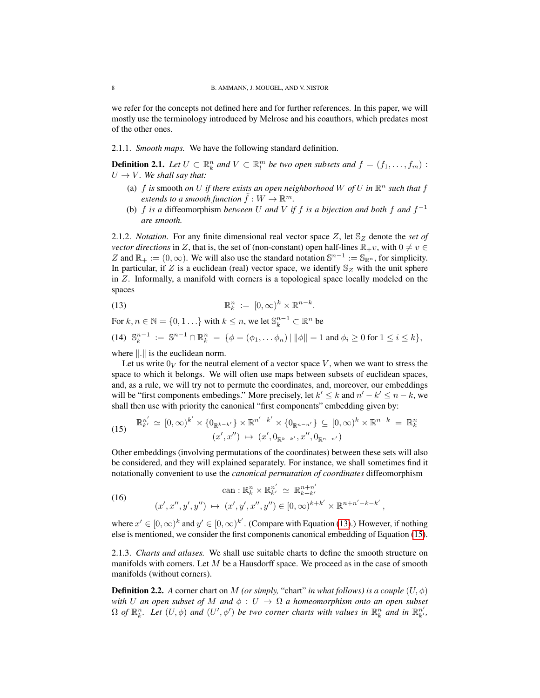we refer for the concepts not defined here and for further references. In this paper, we will mostly use the terminology introduced by Melrose and his coauthors, which predates most of the other ones.

2.1.1. *Smooth maps.* We have the following standard definition.

<span id="page-7-2"></span>**Definition 2.1.** Let  $U \subset \mathbb{R}^n_k$  and  $V \subset \mathbb{R}^m_l$  be two open subsets and  $f = (f_1, \ldots, f_m)$ :  $U \rightarrow V$ *. We shall say that:* 

- (a)  $f$  *is* smooth *on*  $U$  *if there exists an open neighborhood*  $W$  *of*  $U$  *in*  $\mathbb{R}^n$  *such that*  $f$ extends to a smooth function  $\tilde{f}:W\to\mathbb{R}^m.$
- (b)  $f$  *is a* diffeomorphism *between*  $U$  *and*  $V$  *if*  $f$  *is a bijection and both*  $f$  *and*  $f^{-1}$ *are smooth.*

<span id="page-7-3"></span>2.1.2. *Notation.* For any finite dimensional real vector space Z, let  $\mathcal{S}_Z$  denote the *set of vector directions* in Z, that is, the set of (non-constant) open half-lines  $\mathbb{R}_{+}v$ , with  $0 \neq v \in$ Z and  $\mathbb{R}_+ := (0, \infty)$ . We will also use the standard notation  $\mathbb{S}^{n-1} := \mathbb{S}_{\mathbb{R}^n}$ , for simplicity. In particular, if Z is a euclidean (real) vector space, we identify  $\mathcal{S}_Z$  with the unit sphere in Z. Informally, a manifold with corners is a topological space locally modeled on the spaces

<span id="page-7-0"></span>(13) 
$$
\mathbb{R}^n_k := [0,\infty)^k \times \mathbb{R}^{n-k}.
$$

For  $k, n \in \mathbb{N} = \{0, 1, \ldots\}$  with  $k \leq n$ , we let  $\mathbb{S}_k^{n-1} \subset \mathbb{R}^n$  be

<span id="page-7-4"></span>
$$
(14) \ \mathbb{S}_k^{n-1} := \mathbb{S}^{n-1} \cap \mathbb{R}_k^n = \{ \phi = (\phi_1, \dots \phi_n) \mid ||\phi|| = 1 \text{ and } \phi_i \ge 0 \text{ for } 1 \le i \le k \},
$$

where  $\Vert . \Vert$  is the euclidean norm.

Let us write  $0_V$  for the neutral element of a vector space V, when we want to stress the space to which it belongs. We will often use maps between subsets of euclidean spaces, and, as a rule, we will try not to permute the coordinates, and, moreover, our embeddings will be "first components embedings." More precisely, let  $k' \le k$  and  $n' - k' \le n - k$ , we shall then use with priority the canonical "first components" embedding given by:

<span id="page-7-1"></span>(15) 
$$
\mathbb{R}_{k'}^{n'} \simeq [0, \infty)^{k'} \times \{0_{\mathbb{R}^{k-k'}}\} \times \mathbb{R}^{n'-k'} \times \{0_{\mathbb{R}^{n-n'}}\} \subseteq [0, \infty)^k \times \mathbb{R}^{n-k} = \mathbb{R}_{k}^{n}
$$

$$
(x', x'') \mapsto (x', 0_{\mathbb{R}^{k-k'}}, x'', 0_{\mathbb{R}^{n-n'}})
$$

Other embeddings (involving permutations of the coordinates) between these sets will also be considered, and they will explained separately. For instance, we shall sometimes find it notationally convenient to use the *canonical permutation of coordinates* diffeomorphism

<span id="page-7-5"></span>(16) 
$$
\operatorname{can}: \mathbb{R}^n_k \times \mathbb{R}^{n'}_{k'} \simeq \mathbb{R}^{n+n'}_{k+k'}
$$

$$
(x', x'', y', y'') \mapsto (x', y', x'', y'') \in [0, \infty)^{k+k'} \times \mathbb{R}^{n+n'-k-k'},
$$

where  $x' \in [0,\infty)^k$  and  $y' \in [0,\infty)^{k'}$ . (Compare with Equation [\(13\)](#page-7-0).) However, if nothing else is mentioned, we consider the first components canonical embedding of Equation [\(15\)](#page-7-1).

2.1.3. *Charts and atlases.* We shall use suitable charts to define the smooth structure on manifolds with corners. Let  $M$  be a Hausdorff space. We proceed as in the case of smooth manifolds (without corners).

**Definition 2.2.** A corner chart on M *(or simply, "chart" in what follows) is a couple*  $(U, \phi)$ *with* U an open subset of M and  $\phi: U \to \Omega$  a homeomorphism onto an open subset  $\Omega$  of  $\mathbb{R}^n_k$ . Let  $(U, \phi)$  and  $(U', \phi')$  be two corner charts with values in  $\mathbb{R}^n_k$  and in  $\mathbb{R}^{n'}_{k'}$ ,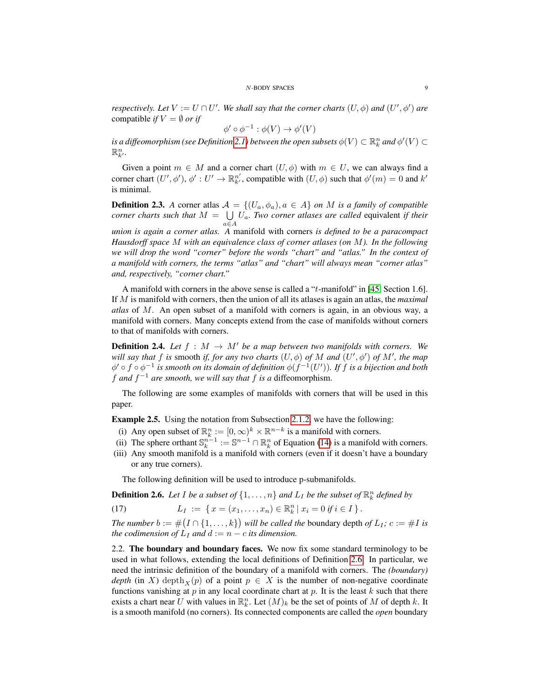*respectively. Let*  $V := U \cap U'$ . We shall say that the corner charts  $(U, \phi)$  and  $(U', \phi')$  are compatible *if*  $V = \emptyset$  *or if* 

$$
\phi' \circ \phi^{-1} : \phi(V) \to \phi'(V)
$$

is a diffeomorphism (see Definition [2.1\)](#page-7-2) between the open subsets  $\phi(V) \subset \mathbb{R}^n_k$  and  $\phi'(V) \subset$  $\mathbb{R}^n_{k}$ .

Given a point  $m \in M$  and a corner chart  $(U, \phi)$  with  $m \in U$ , we can always find a corner chart  $(U', \phi')$ ,  $\phi' : U' \to \mathbb{R}^{n'}_{k'}$ , compatible with  $(U, \phi)$  such that  $\phi'(m) = 0$  and  $k'$ is minimal.

<span id="page-8-4"></span>**Definition 2.3.** A corner atlas  $A = \{(U_a, \phi_a), a \in A\}$  *on* M *is a family of compatible corner charts such that*  $M = \bigcup U_a$ . Two corner atlases are called equivalent if their a∈A *union is again a corner atlas. A* manifold with corners *is defined to be a paracompact Hausdorff space* M *with an equivalence class of corner atlases (on* M*). In the following we will drop the word "corner" before the words "chart" and "atlas." In the context of a manifold with corners, the terms "atlas" and "chart" will always mean "corner atlas"*

*and, respectively, "corner chart."*

A manifold with corners in the above sense is called a "t-manifold" in [\[45,](#page-44-8) Section 1.6]. If M is manifold with corners, then the union of all its atlases is again an atlas, the *maximal atlas* of M. An open subset of a manifold with corners is again, in an obvious way, a manifold with corners. Many concepts extend from the case of manifolds without corners to that of manifolds with corners.

**Definition 2.4.** Let  $f : M \rightarrow M'$  be a map between two manifolds with corners. We *will say that*  $f$  *is* smooth *if, for any two charts*  $(U, \phi)$  *of*  $M$  *and*  $(U', \phi')$  *of*  $M'$ *, the map*  $\phi' \circ f \circ \phi^{-1}$  is smooth on its domain of definition  $\phi(f^{-1}(U'))$ . If f is a bijection and both f and  $f^{-1}$  are smooth, we will say that f is a diffeomorphism.

The following are some examples of manifolds with corners that will be used in this paper.

<span id="page-8-3"></span>Example 2.5. Using the notation from Subsection [2.1.2,](#page-7-3) we have the following:

- (i) Any open subset of  $\mathbb{R}_k^n := [0, \infty)^k \times \mathbb{R}^{n-k}$  is a manifold with corners.
- (ii) The sphere orthant  $\mathbb{S}_k^{n-1} := \mathbb{S}^{n-1} \cap \mathbb{R}_k^n$  of Equation [\(14\)](#page-7-4) is a manifold with corners.
- (iii) Any smooth manifold is a manifold with corners (even if it doesn't have a boundary or any true corners).

<span id="page-8-2"></span>The following definition will be used to introduce p-submanifolds.

<span id="page-8-1"></span>**Definition 2.6.** Let I be a subset of  $\{1, \ldots, n\}$  and  $L_I$  be the subset of  $\mathbb{R}^n_k$  defined by

(17)  $L_I := \{ x = (x_1, \ldots, x_n) \in \mathbb{R}^n_k \mid x_i = 0 \text{ if } i \in I \}.$ 

*The number*  $b := \#(I \cap \{1, \ldots, k\})$  will be called the boundary depth of  $L_I$ ;  $c := \#I$  is *the codimension of*  $L_I$  *and*  $d := n - c$  *its dimension.* 

<span id="page-8-0"></span>2.2. The boundary and boundary faces. We now fix some standard terminology to be used in what follows, extending the local definitions of Definition [2.6.](#page-8-1) In particular, we need the intrinsic definition of the boundary of a manifold with corners. The *(boundary) depth* (in X) depth<sub>X</sub>(p) of a point  $p \in X$  is the number of non-negative coordinate functions vanishing at  $p$  in any local coordinate chart at  $p$ . It is the least  $k$  such that there exists a chart near U with values in  $\mathbb{R}_k^n$ . Let  $(M)_k$  be the set of points of M of depth k. It is a smooth manifold (no corners). Its connected components are called the *open* boundary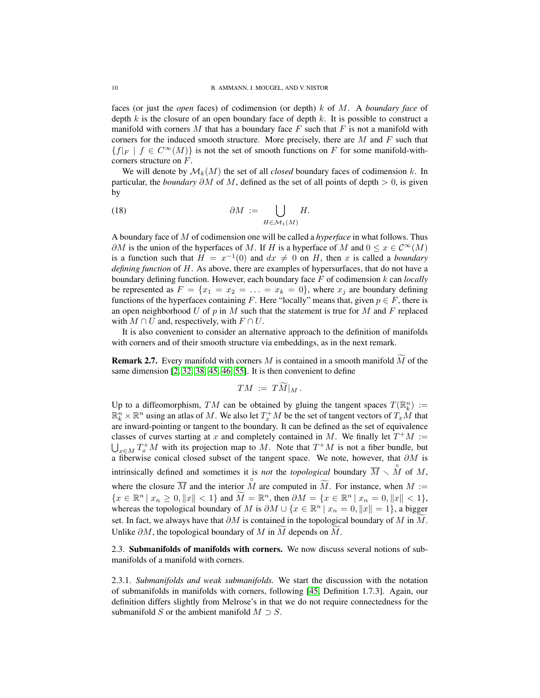faces (or just the *open* faces) of codimension (or depth) k of M. A *boundary face* of depth k is the closure of an open boundary face of depth k. It is possible to construct a manifold with corners  $M$  that has a boundary face  $F$  such that  $F$  is not a manifold with corners for the induced smooth structure. More precisely, there are  $M$  and  $F$  such that  ${f|_F | f \in C^{\infty}(M)}$  is not the set of smooth functions on F for some manifold-withcorners structure on F.

We will denote by  $\mathcal{M}_k(M)$  the set of all *closed* boundary faces of codimension k. In particular, the *boundary*  $\partial M$  of M, defined as the set of all points of depth  $> 0$ , is given by

(18) 
$$
\partial M := \bigcup_{H \in \mathcal{M}_1(M)} H.
$$

A boundary face of M of codimension one will be called a *hyperface* in what follows. Thus  $\partial M$  is the union of the hyperfaces of M. If H is a hyperface of M and  $0 \le x \in C^{\infty}(M)$ is a function such that  $H = x^{-1}(0)$  and  $dx \neq 0$  on H, then x is called a *boundary defining function* of H. As above, there are examples of hypersurfaces, that do not have a boundary defining function. However, each boundary face F of codimension k can *locally* be represented as  $F = \{x_1 = x_2 = \ldots = x_k = 0\}$ , where  $x_i$  are boundary defining functions of the hyperfaces containing F. Here "locally" means that, given  $p \in F$ , there is an open neighborhood U of p in M such that the statement is true for M and F replaced with  $M \cap U$  and, respectively, with  $F \cap U$ .

It is also convenient to consider an alternative approach to the definition of manifolds with corners and of their smooth structure via embeddings, as in the next remark.

**Remark 2.7.** Every manifold with corners M is contained in a smooth manifold  $\widetilde{M}$  of the same dimension [\[2,](#page-43-14) [32,](#page-44-7) [38,](#page-44-10) [45,](#page-44-8) [46,](#page-44-12) [55\]](#page-44-9). It is then convenient to define

$$
TM := TM|_M.
$$

Up to a diffeomorphism, TM can be obtained by gluing the tangent spaces  $T(\mathbb{R}^n_k) :=$  $\mathbb{R}^n_k \times \mathbb{R}^n$  using an atlas of M. We also let  $T_x^+M$  be the set of tangent vectors of  $T_xM$  that are inward-pointing or tangent to the boundary. It can be defined as the set of equivalence classes of curves starting at x and completely contained in M. We finally let  $T^+M :=$  $\bigcup_{x \in M} T_x^+ M$  with its projection map to M. Note that  $T^+ M$  is not a fiber bundle, but a fiberwise conical closed subset of the tangent space. We note, however, that  $\partial M$  is intrinsically defined and sometimes it is *not* the *topological* boundary  $\overline{M} \setminus \overset{\circ}{M}$  of M, where the closure  $\overline{M}$  and the interior  $\overset{\circ}{M}$  are computed in  $\widetilde{M}$ . For instance, when  $M :=$  ${x \in \mathbb{R}^n \mid x_n \ge 0, \|x\| < 1}$  and  $\widetilde{M} = \mathbb{R}^n$ , then  $\partial M = \{x \in \mathbb{R}^n \mid x_n = 0, \|x\| < 1}$ , whereas the topological boundary of M is  $\partial M \cup \{x \in \mathbb{R}^n \mid x_n = 0, ||x|| = 1\}$ , a bigger set. In fact, we always have that  $\partial M$  is contained in the topological boundary of M in M. Unlike  $\partial M$ , the topological boundary of M in M depends on M.

<span id="page-9-0"></span>2.3. Submanifolds of manifolds with corners. We now discuss several notions of submanifolds of a manifold with corners.

2.3.1. *Submanifolds and weak submanifolds.* We start the discussion with the notation of submanifolds in manifolds with corners, following [\[45,](#page-44-8) Definition 1.7.3]. Again, our definition differs slightly from Melrose's in that we do not require connectedness for the submanifold S or the ambient manifold  $M \supset S$ .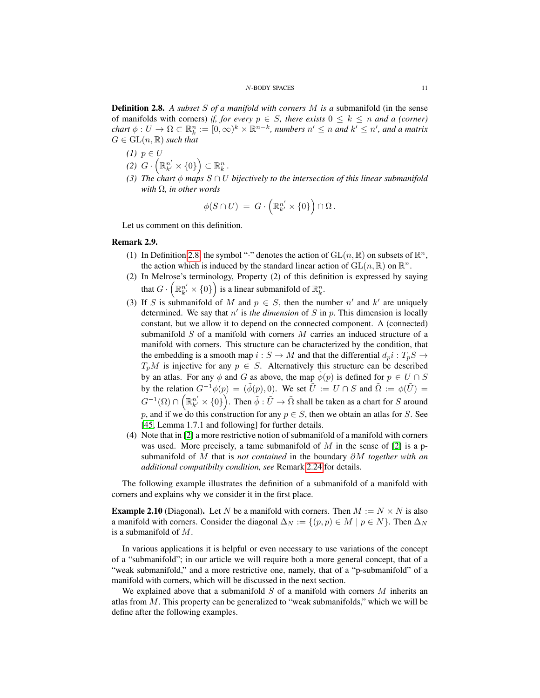<span id="page-10-0"></span>Definition 2.8. *A subset* S *of a manifold with corners* M *is a* submanifold (in the sense of manifolds with corners) *if, for every*  $p \in S$ *, there exists*  $0 \leq k \leq n$  *and a (corner)*  $chart \phi: U \to \Omega \subset \mathbb{R}^n_k := [0,\infty)^k \times \mathbb{R}^{n-k}$ , *numbers*  $n' \leq n$  and  $k' \leq n'$ , and a matrix  $G \in GL(n, \mathbb{R})$  *such that* 

- $(1)$   $p \in U$ (2)  $G \cdot \left(\mathbb{R}_{k'}^{n'} \times \{0\}\right) \subset \mathbb{R}_{k}^{n}$ .
- *(3) The chart*  $\phi$  *maps*  $S \cap U$  *bijectively to the intersection of this linear submanifold with* Ω*, in other words*

$$
\phi(S \cap U) = G \cdot \left( \mathbb{R}_{k'}^{n'} \times \{0\} \right) \cap \Omega.
$$

Let us comment on this definition.

# Remark 2.9.

- (1) In Definition [2.8,](#page-10-0) the symbol ":" denotes the action of  $GL(n, \mathbb{R})$  on subsets of  $\mathbb{R}^n$ , the action which is induced by the standard linear action of  $\text{GL}(n,\mathbb{R})$  on  $\mathbb{R}^n$ .
- (2) In Melrose's terminology, Property (2) of this definition is expressed by saying that  $G \cdot \left(\mathbb{R}_{k'}^{n'} \times \{0\}\right)$  is a linear submanifold of  $\mathbb{R}_{k}^{n}$ .
- (3) If S is submanifold of M and  $p \in S$ , then the number n' and k' are uniquely determined. We say that  $n'$  is the dimension of  $S$  in  $p$ . This dimension is locally constant, but we allow it to depend on the connected component. A (connected) submanifold S of a manifold with corners M carries an induced structure of a manifold with corners. This structure can be characterized by the condition, that the embedding is a smooth map  $i : S \to M$  and that the differential  $d_p i : T_p S \to M$  $T_pM$  is injective for any  $p \in S$ . Alternatively this structure can be described by an atlas. For any  $\phi$  and G as above, the map  $\tilde{\phi}(p)$  is defined for  $p \in U \cap S$ by the relation  $G^{-1}\phi(p) = (\phi(p), 0)$ . We set  $\tilde{U} := U \cap S$  and  $\tilde{\Omega} := \phi(\tilde{U}) =$  $G^{-1}(\Omega)\cap \left(\mathbb{R}_{k'}^{n'}\times\{0\}\right)$ . Then  $\tilde{\phi}:\tilde{U}\to\tilde{\Omega}$  shall be taken as a chart for  $S$  around p, and if we do this construction for any  $p \in S$ , then we obtain an atlas for S. See [\[45,](#page-44-8) Lemma 1.7.1 and following] for further details.
- (4) Note that in [\[2\]](#page-43-14) a more restrictive notion of submanifold of a manifold with corners was used. More precisely, a tame submanifold of  $M$  in the sense of [\[2\]](#page-43-14) is a psubmanifold of M that is *not contained* in the boundary ∂M *together with an additional compatibilty condition, see* Remark [2.24](#page-14-0) for details.

The following example illustrates the definition of a submanifold of a manifold with corners and explains why we consider it in the first place.

<span id="page-10-1"></span>**Example 2.10** (Diagonal). Let N be a manifold with corners. Then  $M := N \times N$  is also a manifold with corners. Consider the diagonal  $\Delta_N := \{(p, p) \in M \mid p \in N\}$ . Then  $\Delta_N$ is a submanifold of M.

In various applications it is helpful or even necessary to use variations of the concept of a "submanifold"; in our article we will require both a more general concept, that of a "weak submanifold," and a more restrictive one, namely, that of a "p-submanifold" of a manifold with corners, which will be discussed in the next section.

We explained above that a submanifold  $S$  of a manifold with corners  $M$  inherits an atlas from  $M$ . This property can be generalized to "weak submanifolds," which we will be define after the following examples.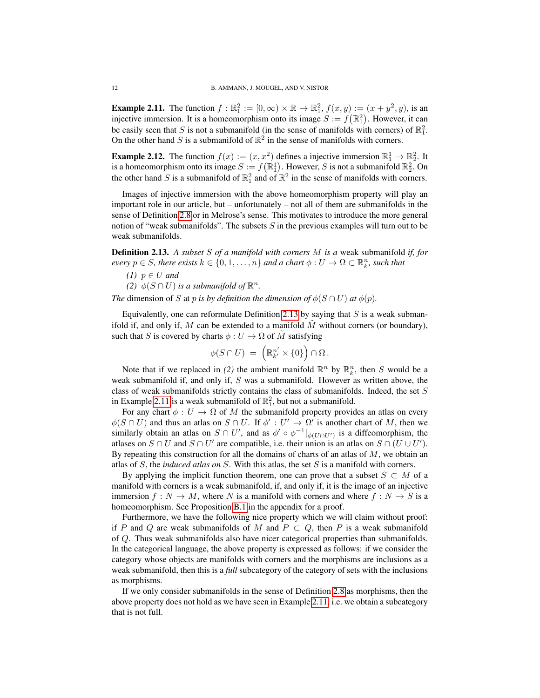<span id="page-11-1"></span>**Example 2.11.** The function  $f : \mathbb{R}^2_1 := [0, \infty) \times \mathbb{R} \to \mathbb{R}^2_1$ ,  $f(x, y) := (x + y^2, y)$ , is an injective immersion. It is a homeomorphism onto its image  $S := f(\mathbb{R}^2_1)$ . However, it can be easily seen that S is not a submanifold (in the sense of manifolds with corners) of  $\mathbb{R}^2$ . On the other hand S is a submanifold of  $\mathbb{R}^2$  in the sense of manifolds with corners.

**Example 2.12.** The function  $f(x) := (x, x^2)$  defines a injective immersion  $\mathbb{R}^1_1 \to \mathbb{R}^2_2$ . It is a homeomorphism onto its image  $S := f(\mathbb{R}^1_1)$ . However, S is not a submanifold  $\mathbb{R}^2_2$ . On the other hand S is a submanifold of  $\mathbb{R}_1^2$  and of  $\mathbb{R}^2$  in the sense of manifolds with corners.

Images of injective immersion with the above homeomorphism property will play an important role in our article, but – unfortunately – not all of them are submanifolds in the sense of Definition [2.8](#page-10-0) or in Melrose's sense. This motivates to introduce the more general notion of "weak submanifolds". The subsets  $S$  in the previous examples will turn out to be weak submanifolds.

<span id="page-11-0"></span>Definition 2.13. *A subset* S *of a manifold with corners* M *is a* weak submanifold *if, for every*  $p \in S$ , there exists  $k \in \{0, 1, ..., n\}$  and a chart  $\phi: U \to \Omega \subset \mathbb{R}^n_k$ , such that

 $(1)$   $p \in U$  *and* 

(2)  $\phi(S \cap U)$  *is a submanifold of*  $\mathbb{R}^n$ .

*The* dimension of S at p *is by definition the dimension of*  $\phi(S \cap U)$  *at*  $\phi(p)$ *.* 

Equivalently, one can reformulate Definition [2.13](#page-11-0) by saying that  $S$  is a weak submanifold if, and only if, M can be extended to a manifold  $M$  without corners (or boundary), such that S is covered by charts  $\phi: U \to \Omega$  of M satisfying

$$
\phi(S \cap U) = \left(\mathbb{R}_{k'}^{n'} \times \{0\}\right) \cap \Omega.
$$

Note that if we replaced in (2) the ambient manifold  $\mathbb{R}^n$  by  $\mathbb{R}^n_k$ , then S would be a weak submanifold if, and only if, S was a submanifold. However as written above, the class of weak submanifolds strictly contains the class of submanifolds. Indeed, the set S in Example [2.11](#page-11-1) is a weak submanifold of  $\mathbb{R}^2$ , but not a submanifold.

For any chart  $\phi: U \to \Omega$  of M the submanifold property provides an atlas on every  $\phi(S \cap U)$  and thus an atlas on  $S \cap U$ . If  $\phi' : U' \to \Omega'$  is another chart of M, then we similarly obtain an atlas on  $S \cap U'$ , and as  $\phi' \circ \phi^{-1}|_{\phi(U \cap U')}$  is a diffeomorphism, the atlases on  $S \cap U$  and  $S \cap U'$  are compatible, i.e. their union is an atlas on  $S \cap (U \cup U')$ . By repeating this construction for all the domains of charts of an atlas of  $M$ , we obtain an atlas of S, the *induced atlas on* S. With this atlas, the set S is a manifold with corners.

By applying the implicit function theorem, one can prove that a subset  $S \subset M$  of a manifold with corners is a weak submanifold, if, and only if, it is the image of an injective immersion  $f : N \to M$ , where N is a manifold with corners and where  $f : N \to S$  is a homeomorphism. See Proposition [B.1](#page-42-1) in the appendix for a proof.

Furthermore, we have the following nice property which we will claim without proof: if P and Q are weak submanifolds of M and  $P \subset Q$ , then P is a weak submanifold of Q. Thus weak submanifolds also have nicer categorical properties than submanifolds. In the categorical language, the above property is expressed as follows: if we consider the category whose objects are manifolds with corners and the morphisms are inclusions as a weak submanifold, then this is a *full* subcategory of the category of sets with the inclusions as morphisms.

If we only consider submanifolds in the sense of Definition [2.8](#page-10-0) as morphisms, then the above property does not hold as we have seen in Example [2.11,](#page-11-1) i.e. we obtain a subcategory that is not full.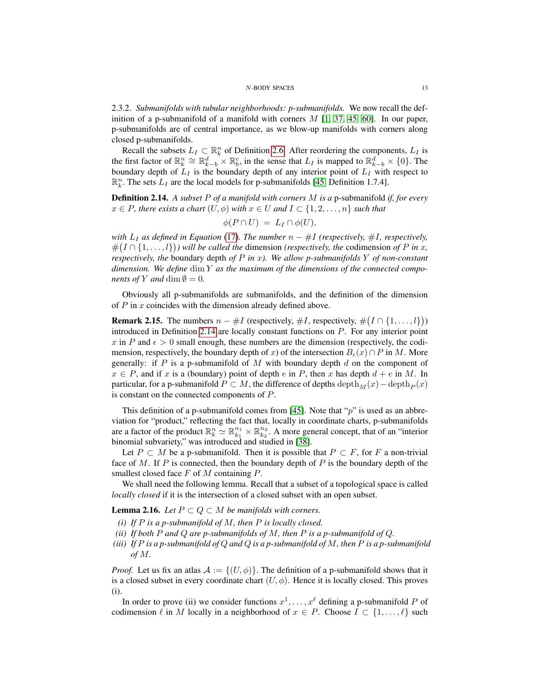### N-BODY SPACES 13

2.3.2. *Submanifolds with tubular neighborhoods: p-submanifolds.* We now recall the definition of a p-submanifold of a manifold with corners  $M$  [\[1,](#page-43-12) [37,](#page-44-3) [45,](#page-44-8) [60\]](#page-45-4). In our paper, p-submanifolds are of central importance, as we blow-up manifolds with corners along closed p-submanifolds.

Recall the subsets  $L_I \subset \mathbb{R}^n_k$  of Definition [2.6.](#page-8-1) After reordering the components,  $L_I$  is the first factor of  $\mathbb{R}_k^n \cong \mathbb{R}_{k-b}^d \times \mathbb{R}_b^c$ , in the sense that  $L_I$  is mapped to  $\mathbb{R}_{k-b}^d \times \{0\}$ . The boundary depth of  $L_I$  is the boundary depth of any interior point of  $L_I$  with respect to  $\mathbb{R}_k^n$ . The sets  $L_I$  are the local models for p-submanifolds [\[45,](#page-44-8) Definition 1.7.4].

<span id="page-12-0"></span>Definition 2.14. *A subset* P *of a manifold with corners* M *is a* p-submanifold *if, for every*  $x \in P$ , there exists a chart  $(U, \phi)$  with  $x \in U$  and  $I \subset \{1, 2, \ldots, n\}$  such that

$$
\phi(P \cap U) = L_I \cap \phi(U),
$$

*with*  $L_I$  *as defined in Equation* [\(17\)](#page-8-2)*. The number*  $n - #I$  *(respectively,* #*I, respectively,*  $\#(I \cap \{1,\ldots,l\})$  *will be called the dimension (respectively, the codimension of P in x, respectively, the* boundary depth *of* P *in* x*). We allow p-submanifolds* Y *of non-constant dimension. We define* dim Y *as the maximum of the dimensions of the connected components of* Y *and* dim  $\emptyset = 0$ *.* 

Obviously all p-submanifolds are submanifolds, and the definition of the dimension of  $P$  in  $x$  coincides with the dimension already defined above.

<span id="page-12-3"></span>**Remark 2.15.** The numbers  $n - #I$  (respectively,  $#I$ , respectively,  $#(I \cap \{1, ..., l\})$ ) introduced in Definition [2.14](#page-12-0) are locally constant functions on P. For any interior point x in P and  $\epsilon > 0$  small enough, these numbers are the dimension (respectively, the codimension, respectively, the boundary depth of x) of the intersection  $B_{\epsilon}(x) \cap P$  in M. More generally: if  $P$  is a p-submanifold of  $M$  with boundary depth  $d$  on the component of  $x \in P$ , and if x is a (boundary) point of depth e in P, then x has depth  $d + e$  in M. In particular, for a p-submanifold  $P \subset M$ , the difference of depths  $\operatorname{depth}_M(x)-\operatorname{depth}_P(x)$ is constant on the connected components of P.

This definition of a p-submanifold comes from [\[45\]](#page-44-8). Note that " $p$ " is used as an abbreviation for "product," reflecting the fact that, locally in coordinate charts, p-submanifolds are a factor of the product  $\mathbb{R}_k^n \simeq \mathbb{R}_{k_1}^{n_1} \times \mathbb{R}_{k_2}^{n_2}$ . A more general concept, that of an "interior binomial subvariety," was introduced and studied in [\[38\]](#page-44-10).

Let  $P \subset M$  be a p-submanifold. Then it is possible that  $P \subset F$ , for F a non-trivial face of M. If P is connected, then the boundary depth of P is the boundary depth of the smallest closed face  $F$  of  $M$  containing  $P$ .

We shall need the following lemma. Recall that a subset of a topological space is called *locally closed* if it is the intersection of a closed subset with an open subset.

<span id="page-12-1"></span>**Lemma 2.16.** *Let*  $P \subset Q \subset M$  *be manifolds with corners.* 

- *(i) If* P *is a p-submanifold of* M*, then* P *is locally closed.*
- <span id="page-12-2"></span>*(ii) If both* P *and* Q *are p-submanifolds of* M*, then* P *is a p-submanifold of* Q*.*
- *(iii) If* P *is a p-submanifold of* Q *and* Q *is a p-submanifold of* M*, then* P *is a p-submanifold of* M*.*

*Proof.* Let us fix an atlas  $A := \{(U, \phi)\}\$ . The definition of a p-submanifold shows that it is a closed subset in every coordinate chart  $(U, \phi)$ . Hence it is locally closed. This proves (i).

In order to prove (ii) we consider functions  $x^1, \ldots, x^\ell$  defining a p-submanifold P of codimension  $\ell$  in M locally in a neighborhood of  $x \in P$ . Choose  $I \subset \{1, \ldots, \ell\}$  such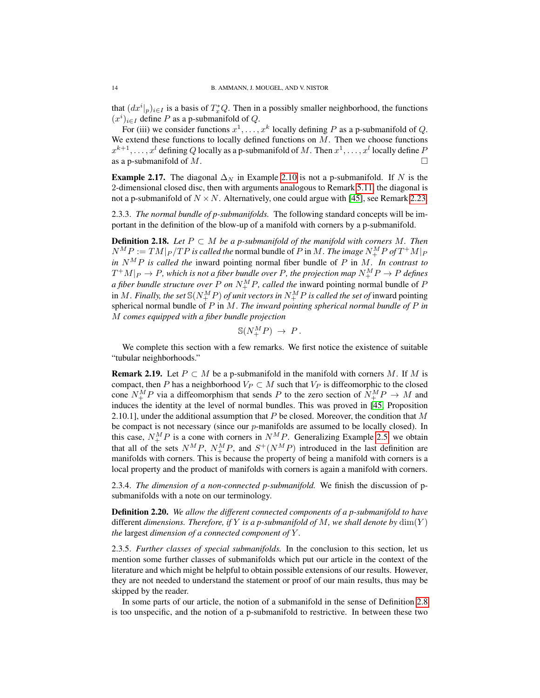that  $(dx^{i}|_{p})_{i\in I}$  is a basis of  $T_{x}^{*}Q$ . Then in a possibly smaller neighborhood, the functions  $(x^{i})_{i\in I}$  define P as a p-submanifold of Q.

For (iii) we consider functions  $x^1, \ldots, x^k$  locally defining P as a p-submanifold of Q. We extend these functions to locally defined functions on  $M$ . Then we choose functions  $x^{k+1}, \ldots, x^l$  defining  $Q$  locally as a p-submanifold of  $M$  . Then  $x^1, \ldots, x^l$  locally define  $P$ as a p-submanifold of M.

**Example 2.17.** The diagonal  $\Delta_N$  in Example [2.10](#page-10-1) is not a p-submanifold. If N is the 2-dimensional closed disc, then with arguments analogous to Remark [5.11,](#page-28-0) the diagonal is not a p-submanifold of  $N \times N$ . Alternatively, one could argue with [\[45\]](#page-44-8), see Remark [2.23.](#page-14-1)

2.3.3. *The normal bundle of p-submanifolds.* The following standard concepts will be important in the definition of the blow-up of a manifold with corners by a p-submanifold.

<span id="page-13-0"></span>**Definition 2.18.** *Let*  $P ⊂ M$  *be a p-submanifold of the manifold with corners*  $M$ *. Then*  $N^MP := TM|_P / TP$  is called the normal bundle of P in M. *The image*  $N^M_+P$  of  $T^+M|_P$ *in*  $N^M P$  *is called the* inward pointing normal fiber bundle of P in M. In contrast to  $T^+M|_P \rightarrow P$ , which is not a fiber bundle over  $P$ , the projection map  $N^M_+P \rightarrow P$  defines *a fiber bundle structure over*  $P$  *on*  $N_{+}^{M}P$ *, called the* inward pointing normal bundle of  $P$ in  $M.$  *Finally, the set*  $\mathbb{S}(N_{+}^{M}P)$  *of unit vectors in*  $N_{+}^{M}P$  *is called the set of* inward pointing spherical normal bundle of P in M. *The inward pointing spherical normal bundle of* P *in* M *comes equipped with a fiber bundle projection*

$$
\mathbb{S}(N^M_+P) \to P.
$$

We complete this section with a few remarks. We first notice the existence of suitable "tubular neighborhoods."

**Remark 2.19.** Let  $P \subset M$  be a p-submanifold in the manifold with corners M. If M is compact, then P has a neighborhood  $V_P \subset M$  such that  $V_P$  is diffeomorphic to the closed cone  $N_{+}^{M}P$  via a diffeomorphism that sends P to the zero section of  $N_{+}^{M}P \rightarrow M$  and induces the identity at the level of normal bundles. This was proved in [\[45,](#page-44-8) Proposition 2.10.1], under the additional assumption that  $P$  be closed. Moreover, the condition that  $M$ be compact is not necessary (since our  $p$ -manifolds are assumed to be locally closed). In this case,  $N_{+}^{M}P$  is a cone with corners in  $N_{-}^{M}P$ . Generalizing Example [2.5,](#page-8-3) we obtain that all of the sets  $N^M P$ ,  $N^M_+ P$ , and  $S^+(N^M P)$  introduced in the last definition are manifolds with corners. This is because the property of being a manifold with corners is a local property and the product of manifolds with corners is again a manifold with corners.

2.3.4. *The dimension of a non-connected p-submanifold.* We finish the discussion of psubmanifolds with a note on our terminology.

<span id="page-13-1"></span>Definition 2.20. *We allow the different connected components of a p-submanifold to have* different *dimensions. Therefore, if* Y *is a p-submanifold of* M*, we shall denote by* dim(Y ) *the* largest *dimension of a connected component of* Y *.*

2.3.5. *Further classes of special submanifolds.* In the conclusion to this section, let us mention some further classes of submanifolds which put our article in the context of the literature and which might be helpful to obtain possible extensions of our results. However, they are not needed to understand the statement or proof of our main results, thus may be skipped by the reader.

In some parts of our article, the notion of a submanifold in the sense of Definition [2.8](#page-10-0) is too unspecific, and the notion of a p-submanifold to restrictive. In between these two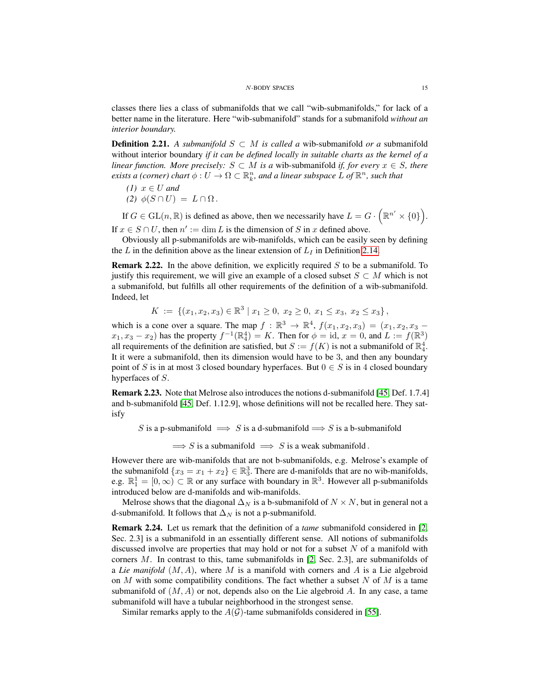classes there lies a class of submanifolds that we call "wib-submanifolds," for lack of a better name in the literature. Here "wib-submanifold" stands for a submanifold *without an interior boundary.*

**Definition 2.21.** A submanifold  $S ⊂ M$  is called a wib-submanifold or a submanifold without interior boundary *if it can be defined locally in suitable charts as the kernel of a linear function. More precisely:*  $S \subset M$  *is a wib-submanifold if, for every*  $x \in S$ *, there exists a (corner) chart*  $\phi: U \to \Omega \subset \mathbb{R}^n_k$ , and a linear subspace L of  $\mathbb{R}^n$ , such that

(1) 
$$
x \in U
$$
 and  
(2)  $\phi(S \cap U) = L \cap \Omega$ .

If  $G \in GL(n, \mathbb{R})$  is defined as above, then we necessarily have  $L = G \cdot (\mathbb{R}^{n'} \times \{0\})$ . If  $x \in S \cap U$ , then  $n' := \dim L$  is the dimension of S in x defined above.

Obviously all p-submanifolds are wib-manifolds, which can be easily seen by defining the L in the definition above as the linear extension of  $L_I$  in Definition [2.14.](#page-12-0)

**Remark 2.22.** In the above definition, we explicitly required  $S$  to be a submanifold. To justify this requirement, we will give an example of a closed subset  $S \subset M$  which is not a submanifold, but fulfills all other requirements of the definition of a wib-submanifold. Indeed, let

$$
K := \{ (x_1, x_2, x_3) \in \mathbb{R}^3 \mid x_1 \ge 0, x_2 \ge 0, x_1 \le x_3, x_2 \le x_3 \},
$$

which is a cone over a square. The map  $f : \mathbb{R}^3 \to \mathbb{R}^4$ ,  $f(x_1, x_2, x_3) = (x_1, x_2, x_3$  $x_1, x_3 - x_2$ ) has the property  $f^{-1}(\mathbb{R}^4_4) = K$ . Then for  $\phi = id$ ,  $x = 0$ , and  $L := f(\mathbb{R}^3)$ all requirements of the definition are satisfied, but  $S := f(K)$  is not a submanifold of  $\mathbb{R}_4^4$ . It it were a submanifold, then its dimension would have to be 3, and then any boundary point of S is in at most 3 closed boundary hyperfaces. But  $0 \in S$  is in 4 closed boundary hyperfaces of S.

<span id="page-14-1"></span>Remark 2.23. Note that Melrose also introduces the notions d-submanifold [\[45,](#page-44-8) Def. 1.7.4] and b-submanifold [\[45,](#page-44-8) Def. 1.12.9], whose definitions will not be recalled here. They satisfy

S is a p-submanifold  $\implies$  S is a d-submanifold  $\implies$  S is a b-submanifold

 $\implies$  S is a submanifold  $\implies$  S is a weak submanifold.

However there are wib-manifolds that are not b-submanifolds, e.g. Melrose's example of the submanifold  $\{x_3 = x_1 + x_2\} \in \mathbb{R}_3^3$ . There are d-manifolds that are no wib-manifolds, e.g.  $\mathbb{R}_1^1 = [0, \infty) \subset \mathbb{R}$  or any surface with boundary in  $\mathbb{R}^3$ . However all p-submanifolds introduced below are d-manifolds and wib-manifolds.

Melrose shows that the diagonal  $\Delta_N$  is a b-submanifold of  $N \times N$ , but in general not a d-submanifold. It follows that  $\Delta_N$  is not a p-submanifold.

<span id="page-14-0"></span>Remark 2.24. Let us remark that the definition of a *tame* submanifold considered in [\[2,](#page-43-14) Sec. 2.3] is a submanifold in an essentially different sense. All notions of submanifolds discussed involve are properties that may hold or not for a subset  $N$  of a manifold with corners  $M$ . In contrast to this, tame submanifolds in [\[2,](#page-43-14) Sec. 2.3], are submanifolds of a *Lie manifold*  $(M, A)$ , where M is a manifold with corners and A is a Lie algebroid on  $M$  with some compatibility conditions. The fact whether a subset  $N$  of  $M$  is a tame submanifold of  $(M, A)$  or not, depends also on the Lie algebroid A. In any case, a tame submanifold will have a tubular neighborhood in the strongest sense.

Similar remarks apply to the  $A(G)$ -tame submanifolds considered in [\[55\]](#page-44-9).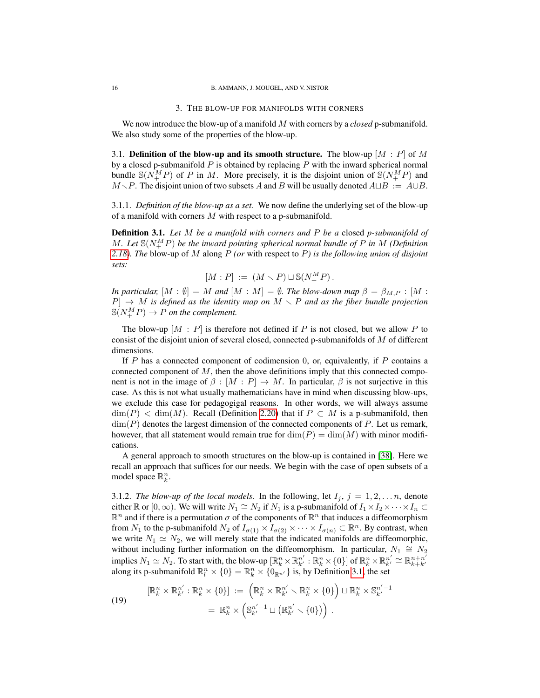# 3. THE BLOW-UP FOR MANIFOLDS WITH CORNERS

<span id="page-15-0"></span>We now introduce the blow-up of a manifold M with corners by a *closed* p-submanifold. We also study some of the properties of the blow-up.

<span id="page-15-1"></span>3.1. Definition of the blow-up and its smooth structure. The blow-up  $[M : P]$  of M by a closed p-submanifold  $P$  is obtained by replacing  $P$  with the inward spherical normal bundle  $\mathbb{S}(N_{+}^{M}P)$  of P in M. More precisely, it is the disjoint union of  $\mathbb{S}(N_{+}^{M}P)$  and  $M\setminus P$ . The disjoint union of two subsets A and B will be usually denoted  $A\sqcup B := A\cup B$ .

3.1.1. *Definition of the blow-up as a set.* We now define the underlying set of the blow-up of a manifold with corners M with respect to a p-submanifold.

<span id="page-15-2"></span>Definition 3.1. *Let* M *be a manifold with corners and* P *be a* closed *p-submanifold of*  $M$ . Let  $\mathbb{S}(N^M_+P)$  be the inward pointing spherical normal bundle of P in M (Definition *[2.18\)](#page-13-0). The* blow-up of M along P *(or* with respect to P*) is the following union of disjoint sets:*

$$
[M:P] \;:=\; (M\smallsetminus P) \sqcup \mathbb{S}(N^M_+P)\,.
$$

*In particular,*  $[M : \emptyset] = M$  *and*  $[M : M] = \emptyset$ *. The blow-down map*  $\beta = \beta_{M,P} : [M : M]$  $P \rightarrow M$  *is defined as the identity map on*  $M \setminus P$  *and as the fiber bundle projection*  $\mathbb{S}(N_{+}^{M}P) \rightarrow P$  *on the complement.* 

The blow-up  $[M : P]$  is therefore not defined if P is not closed, but we allow P to consist of the disjoint union of several closed, connected p-submanifolds of  $M$  of different dimensions.

If  $P$  has a connected component of codimension  $0$ , or, equivalently, if  $P$  contains a connected component of  $M$ , then the above definitions imply that this connected component is not in the image of  $\beta : [M : P] \to M$ . In particular,  $\beta$  is not surjective in this case. As this is not what usually mathematicians have in mind when discussing blow-ups, we exclude this case for pedagogigal reasons. In other words, we will always assume  $\dim(P) < \dim(M)$ . Recall (Definition [2.20\)](#page-13-1) that if  $P \subset M$  is a p-submanifold, then  $\dim(P)$  denotes the largest dimension of the connected components of P. Let us remark, however, that all statement would remain true for  $\dim(P) = \dim(M)$  with minor modifications.

A general approach to smooth structures on the blow-up is contained in [\[38\]](#page-44-10). Here we recall an approach that suffices for our needs. We begin with the case of open subsets of a model space  $\mathbb{R}_k^n$ .

3.1.2. *The blow-up of the local models*. In the following, let  $I_j$ ,  $j = 1, 2, \ldots n$ , denote either  $\mathbb R$  or  $[0,\infty)$ . We will write  $N_1 \cong N_2$  if  $N_1$  is a p-submanifold of  $I_1 \times I_2 \times \cdots \times I_n \subset$  $\mathbb{R}^n$  and if there is a permutation  $\sigma$  of the components of  $\mathbb{R}^n$  that induces a diffeomorphism from  $N_1$  to the p-submanifold  $N_2$  of  $I_{\sigma(1)} \times I_{\sigma(2)} \times \cdots \times I_{\sigma(n)} \subset \mathbb{R}^n$ . By contrast, when we write  $N_1 \simeq N_2$ , we will merely state that the indicated manifolds are diffeomorphic, without including further information on the diffeomorphism. In particular,  $N_1 \cong N_2$ implies  $N_1 \simeq N_2$ . To start with, the blow-up  $[\mathbb{R}_k^n \times \mathbb{R}_{k'}^{n'} : \mathbb{R}_k^n \times \{0\}]$  of  $\mathbb{R}_k^n \times \mathbb{R}_{k'}^{n'} \cong \mathbb{R}_{k+k'}^{n+n'}$ mipries  $N_1 \equiv N_2$ . To start with, the blow-up  $[\mathbb{R}_k \times \mathbb{R}_{k'} : \mathbb{R}_k \times [0_f]$  or  $\mathbb{R}_k \times \mathbb{R}_{k'} = \mathbb{R}_{k+k'}$ <br>along its p-submanifold  $\mathbb{R}_l^n \times \{0\} = \mathbb{R}_k^n \times \{0_{\mathbb{R}^{n'}}\}$  is, by Definition [3.1,](#page-15-2) the set

(19) 
$$
[\mathbb{R}_k^n \times \mathbb{R}_{k'}^{n'} : \mathbb{R}_k^n \times \{0\}] := \left(\mathbb{R}_k^n \times \mathbb{R}_{k'}^{n'} \setminus \mathbb{R}_k^n \times \{0\}\right) \sqcup \mathbb{R}_k^n \times \mathbb{S}_{k'}^{n'-1} = \mathbb{R}_k^n \times \left(\mathbb{S}_{k'}^{n'-1} \sqcup \left(\mathbb{R}_{k'}^{n'} \setminus \{0\}\right)\right).
$$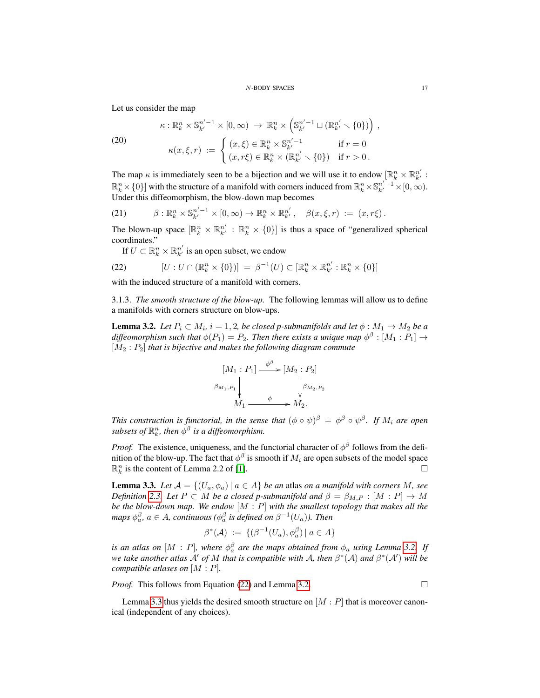### N-BODY SPACES 17

Let us consider the map

(20) 
$$
\kappa: \mathbb{R}_k^n \times \mathbb{S}_{k'}^{n'-1} \times [0, \infty) \to \mathbb{R}_k^n \times \left(\mathbb{S}_{k'}^{n'-1} \sqcup (\mathbb{R}_{k'}^{n'} \smallsetminus \{0\})\right),
$$

$$
\kappa(x, \xi, r) := \begin{cases} (x, \xi) \in \mathbb{R}_k^n \times \mathbb{S}_{k'}^{n'-1} & \text{if } r = 0 \\ (x, \xi) \in \mathbb{R}_k^n \times \mathbb{S}_{k'}^{n'-1} & \text{if } r = 0 \end{cases}
$$

<span id="page-16-4"></span>
$$
\kappa(x,\xi,r) \; := \; \left\{ \; \begin{array}{ll} \text{(1)} & \text{(2)} & \text{(3)} \\ (x,r\xi) \in \mathbb{R}^n_k \times \left( \mathbb{R}^{n'}_{k'} \smallsetminus \{0\} \right) & \text{if } r > 0 \, . \end{array} \right.
$$

The map  $\kappa$  is immediately seen to be a bijection and we will use it to endow  $[\mathbb{R}_k^n \times \mathbb{R}_{k'}^{n'}]$ :  $\mathbb{R}^n_k \times \{0\}$  with the structure of a manifold with corners induced from  $\mathbb{R}^n_k \times \mathbb{S}^{n'-1}_{k'} \times [0,\infty)$ . Under this diffeomorphism, the blow-down map becomes

<span id="page-16-3"></span>(21) 
$$
\beta: \mathbb{R}_k^n \times \mathbb{S}_{k'}^{n'-1} \times [0, \infty) \to \mathbb{R}_k^n \times \mathbb{R}_{k'}^{n'}, \quad \beta(x, \xi, r) := (x, r\xi).
$$

The blown-up space  $[\mathbb{R}^n_k \times \mathbb{R}^{n'}_{k'} : \mathbb{R}^n_k \times \{0\}]$  is thus a space of "generalized spherical coordinates."

<span id="page-16-1"></span>If  $U \subset \mathbb{R}^n_k \times \mathbb{R}^{n'}_{k'}$  is an open subset, we endow

(22) 
$$
[U:U\cap(\mathbb{R}_k^n\times\{0\})]=\beta^{-1}(U)\subset[\mathbb{R}_k^n\times\mathbb{R}_{k'}^{n'}:\mathbb{R}_k^n\times\{0\}]
$$

with the induced structure of a manifold with corners.

3.1.3. *The smooth structure of the blow-up.* The following lemmas will allow us to define a manifolds with corners structure on blow-ups.

<span id="page-16-0"></span>**Lemma 3.2.** Let  $P_i \subset M_i$ ,  $i = 1, 2$ , be closed p-submanifolds and let  $\phi : M_1 \rightarrow M_2$  be a diffeomorphism such that  $\phi(P_1) = P_2$ . Then there exists a unique map  $\phi^{\beta} : [M_1 : P_1] \rightarrow$ [M<sup>2</sup> : P2] *that is bijective and makes the following diagram commute*

$$
[M_1 : P_1] \xrightarrow{\phi^{\beta}} [M_2 : P_2]
$$
  

$$
\beta_{M_1, P_1} \downarrow \qquad \qquad \downarrow \beta_{M_2, P_2}
$$
  

$$
M_1 \xrightarrow{\phi} M_2.
$$

*This construction is functorial, in the sense that*  $(\phi \circ \psi)^\beta = \phi^\beta \circ \psi^\beta$ . If  $M_i$  are open subsets of  $\mathbb{R}^n_k$ , then  $\phi^\beta$  is a diffeomorphism.

*Proof.* The existence, uniqueness, and the functorial character of  $\phi^{\beta}$  follows from the definition of the blow-up. The fact that  $\phi^{\beta}$  is smooth if  $M_i$  are open subsets of the model space  $\mathbb{R}_k^n$  is the content of Lemma 2.2 of [\[1\]](#page-43-12).

<span id="page-16-2"></span>**Lemma 3.3.** Let  $A = \{(U_a, \phi_a) | a \in A\}$  be an atlas on a manifold with corners M, see *Definition* [2.3.](#page-8-4) Let  $P \subset M$  *be a closed p-submanifold and*  $\beta = \beta_{M,P} : [M : P] \rightarrow M$ *be the blow-down map. We endow* [M : P] *with the smallest topology that makes all the maps*  $\phi_a^{\beta}$ ,  $a \in A$ , continuous ( $\phi_a^{\beta}$  is defined on  $\beta^{-1}(U_a)$ ). Then

$$
\beta^*(\mathcal{A}) \ := \ \{ (\beta^{-1}(U_a), \phi_a^{\beta}) \ | \ a \in A \}
$$

*is an atlas on*  $[M : P]$ *, where*  $\phi_a^{\beta}$  *are the maps obtained from*  $\phi_a$  *using Lemma [3.2.](#page-16-0)* If *we take another atlas*  $\mathcal{A}'$  *of* M *that is compatible with*  $\mathcal{A}$ *, then*  $\beta^*(\mathcal{A})$  *and*  $\beta^*(\mathcal{A}')$  *will be compatible atlases on* [M : P]*.*

*Proof.* This follows from Equation [\(22\)](#page-16-1) and Lemma [3.2.](#page-16-0) □

Lemma [3.3](#page-16-2) thus yields the desired smooth structure on  $[M : P]$  that is moreover canonical (independent of any choices).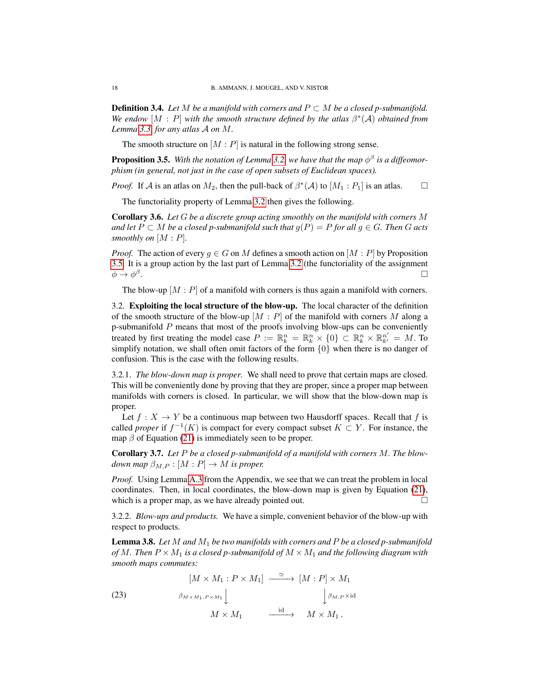**Definition 3.4.** *Let* M *be a manifold with corners and*  $P \subset M$  *be a closed p-submanifold.* We endow  $[M : P]$  with the smooth structure defined by the atlas  $\beta^*(A)$  *obtained from Lemma [3.3,](#page-16-2) for any atlas* A *on* M*.*

The smooth structure on  $[M : P]$  is natural in the following strong sense.

<span id="page-17-1"></span>**Proposition 3.5.** With the notation of Lemma [3.2,](#page-16-0) we have that the map  $\phi^{\beta}$  is a diffeomor*phism (in general, not just in the case of open subsets of Euclidean spaces).*

*Proof.* If A is an atlas on  $M_2$ , then the pull-back of  $\beta^*(A)$  to  $[M_1 : P_1]$  is an atlas.  $\square$ 

The functoriality property of Lemma [3.2](#page-16-0) then gives the following.

<span id="page-17-3"></span>Corollary 3.6. *Let* G *be a discrete group acting smoothly on the manifold with corners* M *and let*  $P ⊂ M$  *be a closed p-submanifold such that*  $g(P) = P$  *for all*  $g ∈ G$ *. Then*  $G$  *acts smoothly on* [M : P]*.*

*Proof.* The action of every  $q \in G$  on M defines a smooth action on  $[M : P]$  by Proposition [3.5.](#page-17-1) It is a group action by the last part of Lemma [3.2](#page-16-0) (the functoriality of the assignment  $\phi \rightarrow \phi^\beta$ .

The blow-up  $[M : P]$  of a manifold with corners is thus again a manifold with corners.

<span id="page-17-0"></span>3.2. Exploiting the local structure of the blow-up. The local character of the definition of the smooth structure of the blow-up  $[M : P]$  of the manifold with corners M along a p-submanifold P means that most of the proofs involving blow-ups can be conveniently treated by first treating the model case  $P := \mathbb{R}^n_k = \mathbb{R}^n_k \times \{0\} \subset \mathbb{R}^n_k \times \mathbb{R}^{n'}_{k'} = M$ . To simplify notation, we shall often omit factors of the form  $\{0\}$  when there is no danger of confusion. This is the case with the following results.

3.2.1. *The blow-down map is proper.* We shall need to prove that certain maps are closed. This will be conveniently done by proving that they are proper, since a proper map between manifolds with corners is closed. In particular, we will show that the blow-down map is proper.

Let  $f : X \to Y$  be a continuous map between two Hausdorff spaces. Recall that f is called *proper* if  $f^{-1}(K)$  is compact for every compact subset  $K \subset Y$ . For instance, the map  $\beta$  of Equation [\(21\)](#page-16-3) is immediately seen to be proper.

<span id="page-17-4"></span>Corollary 3.7. *Let* P *be a closed p-submanifold of a manifold with corners* M*. The blowdown map*  $\beta_{M,P} : [M : P] \to M$  *is proper.* 

*Proof.* Using Lemma [A.3](#page-42-2) from the Appendix, we see that we can treat the problem in local coordinates. Then, in local coordinates, the blow-down map is given by Equation [\(21\)](#page-16-3), which is a proper map, as we have already pointed out.  $\Box$ 

3.2.2. *Blow-ups and products.* We have a simple, convenient behavior of the blow-up with respect to products.

<span id="page-17-2"></span>Lemma 3.8. *Let* M *and* M<sup>1</sup> *be two manifolds with corners and* P *be a closed p-submanifold of* M. Then  $P \times M_1$  *is a closed p-submanifold of*  $M \times M_1$  *and the following diagram with smooth maps commutes:*

(23) 
$$
\begin{aligned}\n[M \times M_1 : P \times M_1] &\xrightarrow{\simeq} [M : P] \times M_1 \\
\beta_{M \times M_1, P \times M_1} \downarrow &\downarrow \beta_{M, P \times \text{id}} \\
M \times M_1 &\xrightarrow{\text{id}} M \times M_1.\n\end{aligned}
$$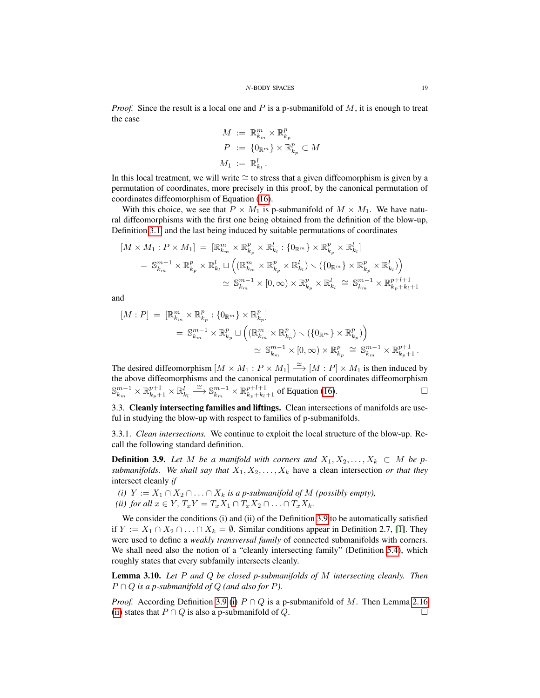*Proof.* Since the result is a local one and P is a p-submanifold of  $M$ , it is enough to treat the case

$$
M := \mathbb{R}_{k_m}^m \times \mathbb{R}_{k_p}^p
$$
  
\n
$$
P := \{0_{\mathbb{R}^m}\} \times \mathbb{R}_{k_p}^p \subset M
$$
  
\n
$$
M_1 := \mathbb{R}_{k_l}^l.
$$

In this local treatment, we will write ≅ to stress that a given diffeomorphism is given by a permutation of coordinates, more precisely in this proof, by the canonical permutation of coordinates diffeomorphism of Equation [\(16\)](#page-7-5).

With this choice, we see that  $P \times M_1$  is p-submanifold of  $M \times M_1$ . We have natural diffeomorphisms with the first one being obtained from the definition of the blow-up, Definition [3.1,](#page-15-2) and the last being induced by suitable permutations of coordinates

$$
[M \times M_1 : P \times M_1] = [\mathbb{R}_{k_m}^m \times \mathbb{R}_{k_p}^p \times \mathbb{R}_{k_l}^l : \{0_{\mathbb{R}^m}\} \times \mathbb{R}_{k_p}^p \times \mathbb{R}_{k_l}^l]
$$
  
\n
$$
= \mathbb{S}_{k_m}^{m-1} \times \mathbb{R}_{k_p}^p \times \mathbb{R}_{k_l}^l \sqcup \left( (\mathbb{R}_{k_m}^m \times \mathbb{R}_{k_p}^p \times \mathbb{R}_{k_l}^l) \setminus (\{0_{\mathbb{R}^m}\} \times \mathbb{R}_{k_p}^p \times \mathbb{R}_{k_l}^l) \right)
$$
  
\n
$$
\simeq \mathbb{S}_{k_m}^{m-1} \times [0, \infty) \times \mathbb{R}_{k_p}^p \times \mathbb{R}_{k_l}^l \cong \mathbb{S}_{k_m}^{m-1} \times \mathbb{R}_{k_p+k_l+1}^{p+l+1}
$$

and

$$
[M:P] = [\mathbb{R}_{k_m}^m \times \mathbb{R}_{k_p}^p : \{0_{\mathbb{R}^m}\} \times \mathbb{R}_{k_p}^p]
$$
  

$$
= \mathbb{S}_{k_m}^{m-1} \times \mathbb{R}_{k_p}^p \sqcup \left( (\mathbb{R}_{k_m}^m \times \mathbb{R}_{k_p}^p) \smallsetminus (\{0_{\mathbb{R}^m}\} \times \mathbb{R}_{k_p}^p) \right)
$$
  

$$
\simeq \mathbb{S}_{k_m}^{m-1} \times [0, \infty) \times \mathbb{R}_{k_p}^p \cong \mathbb{S}_{k_m}^{m-1} \times \mathbb{R}_{k_p+1}^{p+1} .
$$

The desired diffeomorphism  $[M \times M_1 : P \times M_1] \stackrel{\simeq}{\longrightarrow} [M : P] \times M_1$  is then induced by the above diffeomorphisms and the canonical permutation of coordinates diffeomorphism  $\mathbb{S}_{k_m}^{m-1} \times \mathbb{R}_{k_p+1}^l \times \mathbb{R}_{k_l}^l \stackrel{\cong}{\longrightarrow} \mathbb{S}_{k_m}^{m-1} \times \mathbb{R}_{k_p+k_l+1}^{p+l+1}$  of Equation [\(16\)](#page-7-5).

<span id="page-18-0"></span>3.3. Cleanly intersecting families and liftings. Clean intersections of manifolds are useful in studying the blow-up with respect to families of p-submanifolds.

3.3.1. *Clean intersections.* We continue to exploit the local structure of the blow-up. Recall the following standard definition.

<span id="page-18-1"></span>**Definition 3.9.** Let M be a manifold with corners and  $X_1, X_2, \ldots, X_k \subset M$  be p*submanifolds. We shall say that*  $X_1, X_2, \ldots, X_k$  have a clean intersection *or that they* intersect cleanly *if*

<span id="page-18-2"></span>*(i)*  $Y := X_1 ∩ X_2 ∩ ∴ ∩ X_k$  *is a p-submanifold of*  $M$  *(possibly empty), (ii) for all*  $x \in Y$ *,*  $T_xY = T_xX_1 \cap T_xX_2 \cap \ldots \cap T_xX_k$ .

We consider the conditions (i) and (ii) of the Definition [3.9](#page-18-1) to be automatically satisfied if  $Y := X_1 \cap X_2 \cap \ldots \cap X_k = ∅$ . Similar conditions appear in Definition 2.7, [\[1\]](#page-43-12). They were used to define a *weakly transversal family* of connected submanifolds with corners. We shall need also the notion of a "cleanly intersecting family" (Definition [5.4\)](#page-24-0), which roughly states that every subfamily intersects cleanly.

Lemma 3.10. *Let* P *and* Q *be closed p-submanifolds of* M *intersecting cleanly. Then*  $P \cap Q$  *is a p-submanifold of*  $Q$  *(and also for*  $P$ *).* 

*Proof.* According Definition [3.9](#page-18-1) [\(i\)](#page-18-2)  $P \cap Q$  is a p-submanifold of M. Then Lemma [2.16](#page-12-1) [\(ii\)](#page-12-2) states that  $P \cap Q$  is also a p-submanifold of  $Q$ .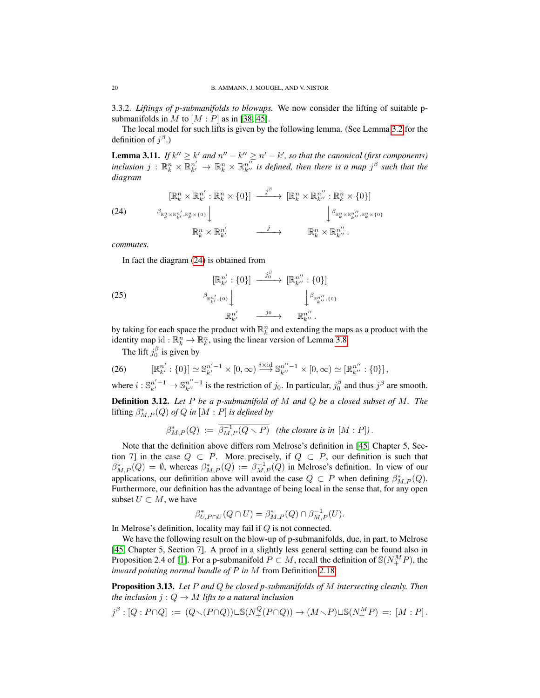3.3.2. *Liftings of p-submanifolds to blowups.* We now consider the lifting of suitable psubmanifolds in M to  $[M : P]$  as in [\[38,](#page-44-10) [45\]](#page-44-8).

The local model for such lifts is given by the following lemma. (See Lemma [3.2](#page-16-0) for the definition of  $j^{\beta}$ .)

**Lemma 3.11.** *If*  $k'' \ge k'$  *and*  $n'' - k'' \ge n' - k'$ , so that the canonical (first components)  $inclusion$   $j$  :  $\mathbb{R}^n_k \times \mathbb{R}^{n'}_{k'} \to \mathbb{R}^n_k \times \mathbb{R}^{n''}_{k''}$  is defined, then there is a map  $j^{\beta}$  such that the *diagram*

<span id="page-19-0"></span>(24) 
$$
\begin{array}{ccc}\n[\mathbb{R}_{k}^{n} \times \mathbb{R}_{k'}^{n'} : \mathbb{R}_{k}^{n} \times \{0\}] & \xrightarrow{j^{\beta}} & [\mathbb{R}_{k}^{n} \times \mathbb{R}_{k''}^{n'} : \mathbb{R}_{k}^{n} \times \{0\}] \\
& & \xrightarrow{\beta_{\mathbb{R}_{k}^{n} \times \mathbb{R}_{k'}^{n'} : \mathbb{R}_{k}^{n} \times \{0\}}} & & \xrightarrow{j} & \mathbb{R}_{k}^{n} \times \mathbb{R}_{k''}^{n'} : \mathbb{R}_{k}^{n} \times \{0\}} \\
& & \mathbb{R}_{k}^{n} \times \mathbb{R}_{k'}^{n'} & \xrightarrow{j} & \mathbb{R}_{k}^{n} \times \mathbb{R}_{k''}^{n'}.\n\end{array}
$$

*commutes.*

In fact the diagram [\(24\)](#page-19-0) is obtained from

(25) 
$$
\begin{array}{ccc}\n[\mathbb{R}_{k'}^{n'}: \{0\}] & \xrightarrow{j_0^{\beta}} & [\mathbb{R}_{k''}^{n''}: \{0\}] \\
& \beta_{\mathbb{R}_{k'}^{n'}, \{0\}} \downarrow & \qquad \downarrow \beta_{\mathbb{R}_{k''}^{n'}, \{0\}} \\
& \mathbb{R}_{k'}^{n'} & \xrightarrow{j_0} & \mathbb{R}_{k''}^{n''}.\n\end{array}
$$

by taking for each space the product with  $\mathbb{R}^n_k$  and extending the maps as a product with the identity map id :  $\mathbb{R}_k^n \to \mathbb{R}_k^n$ , using the linear version of Lemma [3.8.](#page-17-2)

The lift  $j_0^{\beta}$  is given by

(26) 
$$
[\mathbb{R}_{k'}^{n'} : \{0\}] \simeq \mathbb{S}_{k'}^{n'-1} \times [0, \infty) \stackrel{i \times \mathrm{id}}{\longrightarrow} \mathbb{S}_{k''}^{n''-1} \times [0, \infty) \simeq [\mathbb{R}_{k''}^{n''} : \{0\}],
$$

where  $i: \mathbb{S}_{k'}^{n'-1} \to \mathbb{S}_{k''}^{n''-1}$  is the restriction of  $j_0$ . In particular,  $j_0^{\beta}$  and thus  $j^{\beta}$  are smooth. Definition 3.12. *Let* P *be a p-submanifold of* M *and* Q *be a closed subset of* M*. The*

<span id="page-19-1"></span> $\text{lifting } \beta^*_{M,P}(Q) \text{ of } Q \text{ in } [M:P] \text{ is defined by}$ 

$$
\beta^*_{M,P}(Q) := \overline{\beta^{-1}_{M,P}(Q \setminus P)} \quad \text{(the closure is in } [M:P]).
$$

Note that the definition above differs rom Melrose's definition in [\[45,](#page-44-8) Chapter 5, Section 7] in the case  $Q \subset P$ . More precisely, if  $Q \subset P$ , our definition is such that  $\beta^*_{M,P}(Q) = \emptyset$ , whereas  $\beta^*_{M,P}(Q) := \beta^{-1}_{M,P}(Q)$  in Melrose's definition. In view of our applications, our definition above will avoid the case  $Q \subset P$  when defining  $\beta_{M,P}^*(Q)$ . Furthermore, our definition has the advantage of being local in the sense that, for any open subset  $U \subset M$ , we have

$$
\beta^*_{U,P\cap U}(Q\cap U) = \beta^*_{M,P}(Q)\cap \beta^{-1}_{M,P}(U).
$$

In Melrose's definition, locality may fail if  $Q$  is not connected.

We have the following result on the blow-up of p-submanifolds, due, in part, to Melrose [\[45,](#page-44-8) Chapter 5, Section 7]. A proof in a slightly less general setting can be found also in Proposition 2.4 of [\[1\]](#page-43-12). For a p-submanifold  $P \subset M$ , recall the definition of  $\mathcal{S}(N_{+}^{M}P)$ , the *inward pointing normal bundle of* P *in* M from Definition [2.18.](#page-13-0)

<span id="page-19-2"></span>Proposition 3.13. *Let* P *and* Q *be closed p-submanifolds of* M *intersecting cleanly. Then the inclusion*  $j: Q \to M$  *lifts to a natural inclusion* 

$$
j^{\beta} : [Q : P \cap Q] := (Q \setminus (P \cap Q)) \sqcup \mathbb{S}(N^Q_+(P \cap Q)) \to (M \setminus P) \sqcup \mathbb{S}(N^M_+P) =: [M : P].
$$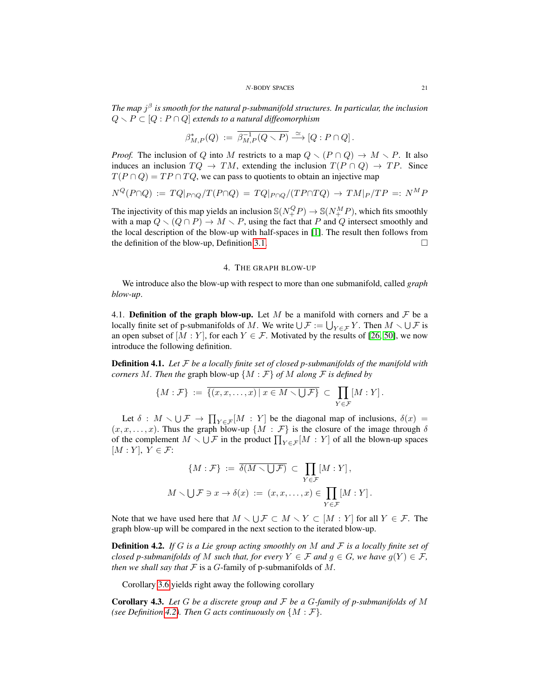*The map* j β *is smooth for the natural p-submanifold structures. In particular, the inclusion*  $Q \setminus P \subset [Q : P \cap Q]$  *extends to a natural diffeomorphism* 

$$
\beta_{M,P}^*(Q) := \overline{\beta_{M,P}^{-1}(Q \setminus P)} \stackrel{\simeq}{\longrightarrow} [Q : P \cap Q].
$$

*Proof.* The inclusion of Q into M restricts to a map  $Q \setminus (P \cap Q) \to M \setminus P$ . It also induces an inclusion  $TQ \rightarrow TM$ , extending the inclusion  $T(P \cap Q) \rightarrow TP$ . Since  $T(P \cap Q) = TP \cap TQ$ , we can pass to quotients to obtain an injective map

$$
N^{Q}(P \cap Q) := TQ|_{P \cap Q}/T(P \cap Q) = TQ|_{P \cap Q}/(TP \cap TQ) \rightarrow TM|_{P}/TP =: N^{M}P
$$

The injectivity of this map yields an inclusion  $\mathbb{S}(N^Q_+P) \to \mathbb{S}(N^M_+P)$ , which fits smoothly with a map  $Q \setminus (Q \cap P) \to M \setminus P$ , using the fact that P and Q intersect smoothly and the local description of the blow-up with half-spaces in [\[1\]](#page-43-12). The result then follows from the definition of the blow-up, Definition [3.1.](#page-15-2)  $\Box$ 

# 4. THE GRAPH BLOW-UP

<span id="page-20-0"></span>We introduce also the blow-up with respect to more than one submanifold, called *graph blow-up*.

<span id="page-20-1"></span>4.1. Definition of the graph blow-up. Let M be a manifold with corners and  $\mathcal F$  be a locally finite set of p-submanifolds of M. We write  $\bigcup \mathcal{F} := \bigcup_{Y \in \mathcal{F}} Y$ . Then  $M \setminus \bigcup \mathcal{F}$  is an open subset of  $[M:Y]$ , for each  $Y \in \mathcal{F}$ . Motivated by the results of [\[26,](#page-43-11) [50\]](#page-44-4), we now introduce the following definition.

<span id="page-20-2"></span>Definition 4.1. *Let* F *be a locally finite set of closed p-submanifolds of the manifold with corners* M. Then the graph blow-up  $\{M : \mathcal{F}\}\$  of M along  $\mathcal{F}$  is defined by

$$
\{M:\mathcal{F}\} := \overline{\{(x,x,\ldots,x) \mid x \in M \setminus \bigcup \mathcal{F}\}} \subset \prod_{Y \in \mathcal{F}} [M:Y].
$$

Let  $\delta : M \setminus \bigcup \mathcal{F} \to \prod_{Y \in \mathcal{F}}[M : Y]$  be the diagonal map of inclusions,  $\delta(x) =$  $(x, x, \ldots, x)$ . Thus the graph blow-up  $\{M : \mathcal{F}\}\$ is the closure of the image through  $\delta$ of the complement  $M \setminus \bigcup \mathcal{F}$  in the product  $\prod_{Y \in \mathcal{F}}[M : Y]$  of all the blown-up spaces  $[M:Y], Y \in \mathcal{F}$ :

$$
\{M : \mathcal{F}\} := \overline{\delta(M \setminus \bigcup \mathcal{F})} \subset \prod_{Y \in \mathcal{F}} [M : Y],
$$
  

$$
M \setminus \bigcup \mathcal{F} \ni x \to \delta(x) := (x, x, \dots, x) \in \prod_{Y \in \mathcal{F}} [M : Y].
$$

Note that we have used here that  $M \setminus \bigcup \mathcal{F} \subset M \setminus Y \subset [M : Y]$  for all  $Y \in \mathcal{F}$ . The graph blow-up will be compared in the next section to the iterated blow-up.

<span id="page-20-3"></span>Definition 4.2. *If* G *is a Lie group acting smoothly on* M *and* F *is a locally finite set of closed p-submanifolds of* M *such that, for every*  $Y \in \mathcal{F}$  *and*  $g \in G$ *, we have*  $g(Y) \in \mathcal{F}$ *, then we shall say that*  $F$  is a  $G$ -family of p-submanifolds of  $M$ .

Corollary [3.6](#page-17-3) yields right away the following corollary

Corollary 4.3. *Let* G *be a discrete group and* F *be a* G*-family of p-submanifolds of* M *(see Definition [4.2\)](#page-20-3). Then G acts continuously on*  $\{M : \mathcal{F}\}.$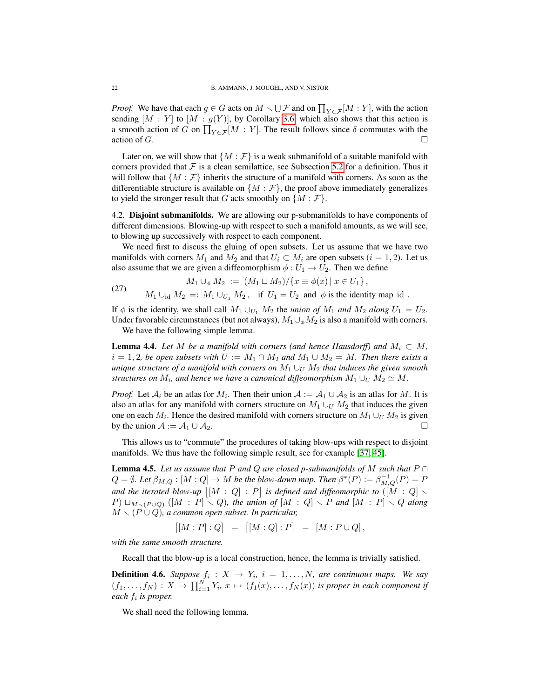*Proof.* We have that each  $g \in G$  acts on  $M \setminus \bigcup \mathcal{F}$  and on  $\prod_{Y \in \mathcal{F}}[M : Y]$ , with the action sending  $[M : Y]$  to  $[M : g(Y)]$ , by Corollary [3.6,](#page-17-3) which also shows that this action is a smooth action of G on  $\prod_{Y \in \mathcal{F}} [M : Y]$ . The result follows since  $\delta$  commutes with the action of  $G$ .

Later on, we will show that  $\{M : \mathcal{F}\}\$ is a weak submanifold of a suitable manifold with corners provided that  $\mathcal F$  is a clean semilattice, see Subsection [5.2](#page-23-0) for a definition. Thus it will follow that  $\{M : \mathcal{F}\}\$  inherits the structure of a manifold with corners. As soon as the differentiable structure is available on  $\{M : \mathcal{F}\}\$ , the proof above immediately generalizes to yield the stronger result that G acts smoothly on  $\{M : \mathcal{F}\}.$ 

<span id="page-21-0"></span>4.2. Disjoint submanifolds. We are allowing our p-submanifolds to have components of different dimensions. Blowing-up with respect to such a manifold amounts, as we will see, to blowing up successively with respect to each component.

We need first to discuss the gluing of open subsets. Let us assume that we have two manifolds with corners  $M_1$  and  $M_2$  and that  $U_i \subset M_i$  are open subsets  $(i = 1, 2)$ . Let us also assume that we are given a diffeomorphism  $\phi: U_1 \to U_2$ . Then we define

(27) 
$$
M_1 \cup_{\phi} M_2 := (M_1 \cup M_2) / \{x \equiv \phi(x) \mid x \in U_1\},
$$

$$
M_1 \cup_{\text{id}} M_2 =: M_1 \cup_{U_1} M_2, \text{ if } U_1 = U_2 \text{ and } \phi \text{ is the identity map id }.
$$

If  $\phi$  is the identity, we shall call  $M_1 \cup_{U_1} M_2$  the *union of*  $M_1$  *and*  $M_2$  *along*  $U_1 = U_2$ *.* Under favorable circumstances (but not always),  $M_1 \cup_{\phi} M_2$  is also a manifold with corners.

We have the following simple lemma.

**Lemma 4.4.** *Let* M *be a manifold with corners (and hence Hausdorff) and*  $M_i \subset M$ ,  $i = 1, 2$ , be open subsets with  $U := M_1 \cap M_2$  and  $M_1 \cup M_2 = M$ . Then there exists a *unique structure of a manifold with corners on*  $M_1 \cup_U M_2$  *that induces the given smooth structures on*  $M_i$ *, and hence we have a canonical diffeomorphism*  $M_1 \cup_U M_2 \simeq M$ .

*Proof.* Let  $A_i$  be an atlas for  $M_i$ . Then their union  $A := A_1 \cup A_2$  is an atlas for M. It is also an atlas for any manifold with corners structure on  $M_1 \cup_U M_2$  that induces the given one on each  $M_i$ . Hence the desired manifold with corners structure on  $M_1 \cup_{U} M_2$  is given by the union  $A := A_1 \cup A_2$ .

This allows us to "commute" the procedures of taking blow-ups with respect to disjoint manifolds. We thus have the following simple result, see for example [\[37,](#page-44-3) [45\]](#page-44-8).

<span id="page-21-1"></span>**Lemma 4.5.** Let us assume that P and Q are closed p-submanifolds of M such that  $P \cap$  $Q = \emptyset$ . Let  $\beta_{M,Q} : [M:Q] \to M$  be the blow-down map. Then  $\beta^*(P) := \beta_{M,Q}^{-1}(P) = P$ and the iterated blow-up  $\big[ [M:Q] : P \big]$  is defined and diffeomorphic to  $([M:Q] \setminus P)$  $P) \sqcup_{M \smallsetminus (P \cup Q)} ([M : P] \smallsetminus Q)$ , the union of  $[M : Q] \smallsetminus P$  and  $[M : P] \smallsetminus Q$  along  $M \setminus (P \cup Q)$ , a common open subset. In particular,

$$
[[M:P]:Q] = [[M:Q]:P] = [M:P\cup Q],
$$

*with the same smooth structure.*

Recall that the blow-up is a local construction, hence, the lemma is trivially satisfied.

**Definition 4.6.** Suppose  $f_i: X \rightarrow Y_i$ ,  $i = 1,..., N$ , are continuous maps. We say  $(f_1,\ldots,f_N):X\to \prod_{i=1}^N Y_i, x\mapsto (f_1(x),\ldots,f_N(x))$  is proper in each component if *each* f<sup>i</sup> *is proper.*

We shall need the following lemma.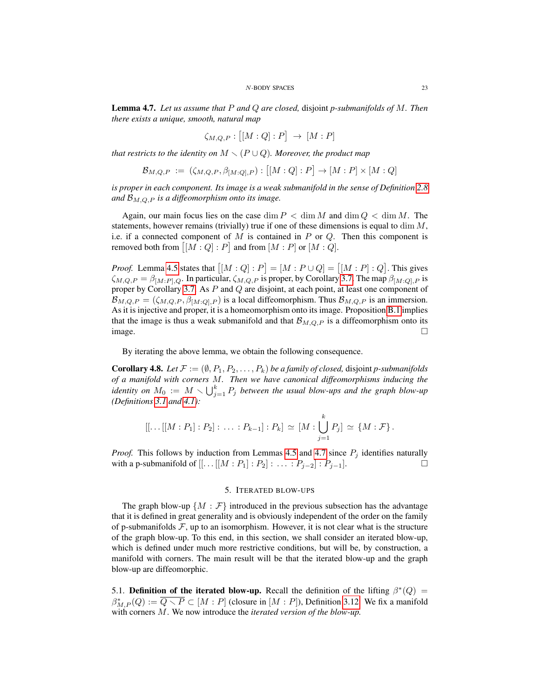<span id="page-22-2"></span>Lemma 4.7. *Let us assume that* P *and* Q *are closed,* disjoint *p-submanifolds of* M*. Then there exists a unique, smooth, natural map*

$$
\zeta_{M,Q,P}:\big[[M:Q]:P\big]\,\to\,[M:P]
$$

*that restricts to the identity on*  $M \setminus (P \cup Q)$ *. Moreover, the product map* 

$$
\mathcal{B}_{M,Q,P} := (\zeta_{M,Q,P}, \beta_{[M:Q],P}) : [[M:Q]:P] \to [M:P] \times [M:Q]
$$

*is proper in each component. Its image is a weak submanifold in the sense of Definition* [2.8](#page-10-0) and  $\mathcal{B}_{M,Q,P}$  *is a diffeomorphism onto its image.* 

Again, our main focus lies on the case dim  $P < \dim M$  and  $\dim Q < \dim M$ . The statements, however remains (trivially) true if one of these dimensions is equal to dim  $M$ , i.e. if a connected component of  $M$  is contained in  $P$  or  $Q$ . Then this component is removed both from  $[[M:Q]:P]$  and from  $[M:P]$  or  $[M:Q]$ .

*Proof.* Lemma [4.5](#page-21-1) states that  $[[M:Q]:P] = [M:P\cup Q] = [[M:P]:Q]$ . This gives  $\zeta_{M,Q,P} = \beta_{[M:P],Q}$ . In particular,  $\zeta_{M,Q,P}$  is proper, by Corollary [3.7.](#page-17-4) The map  $\beta_{[M:Q],P}$  is proper by Corollary [3.7.](#page-17-4) As P and Q are disjoint, at each point, at least one component of  $\mathcal{B}_{M,Q,P} = (\zeta_{M,Q,P}, \beta_{[M:Q],P})$  is a local diffeomorphism. Thus  $\mathcal{B}_{M,Q,P}$  is an immersion. As it is injective and proper, it is a homeomorphism onto its image. Proposition [B.1](#page-42-1) implies that the image is thus a weak submanifold and that  $\mathcal{B}_{M,Q,P}$  is a diffeomorphism onto its  $image.$ 

By iterating the above lemma, we obtain the following consequence.

**Corollary 4.8.** *Let*  $\mathcal{F} := (\emptyset, P_1, P_2, \ldots, P_k)$  *be a family of closed, disjoint p-submanifolds of a manifold with corners* M*. Then we have canonical diffeomorphisms inducing the* identity on  $M_0 := M \setminus \bigcup_{j=1}^k P_j$  between the usual blow-ups and the graph blow-up *(Definitions [3.1](#page-15-2) and [4.1\)](#page-20-2):*

$$
[[\dots[[M:P_1]:P_2]:\dots:P_{k-1}]:P_k]\simeq [M:\bigcup_{j=1}^k P_j]\simeq \{M:\mathcal{F}\}.
$$

*Proof.* This follows by induction from Lemmas [4.5](#page-21-1) and [4.7](#page-22-2) since  $P_i$  identifies naturally with a p-submanifold of  $[[...[[M:P_1]:P_2]:...:P_{j-2}]:P_{j-1}].$  □

### 5. ITERATED BLOW-UPS

<span id="page-22-0"></span>The graph blow-up  $\{M : \mathcal{F}\}\$  introduced in the previous subsection has the advantage that it is defined in great generality and is obviously independent of the order on the family of p-submanifolds  $\mathcal{F}$ , up to an isomorphism. However, it is not clear what is the structure of the graph blow-up. To this end, in this section, we shall consider an iterated blow-up, which is defined under much more restrictive conditions, but will be, by construction, a manifold with corners. The main result will be that the iterated blow-up and the graph blow-up are diffeomorphic.

<span id="page-22-1"></span>5.1. Definition of the iterated blow-up. Recall the definition of the lifting  $\beta^*(Q)$  =  $\beta_{M,P}^*(Q) := \overline{Q \setminus P} \subset [M : P]$  (closure in  $[M : P]$ ), Definition [3.12.](#page-19-1) We fix a manifold with corners M. We now introduce the *iterated version of the blow-up.*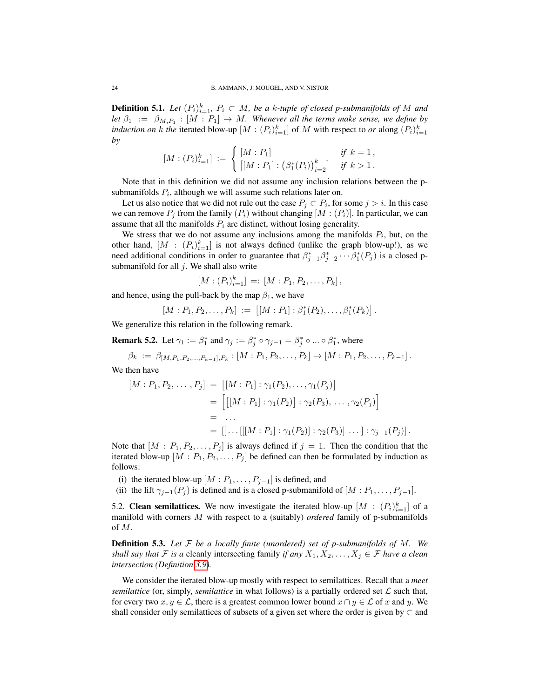**Definition 5.1.** Let  $(P_i)_{i=1}^k$ ,  $P_i \subset M$ , be a k-tuple of closed p-submanifolds of M and let  $\beta_1 := \beta_{M,P_1} : [M : P_1] \to M$ . Whenever all the terms make sense, we define by *induction on k the iterated blow-up*  $[M : (P_i)_{i=1}^k]$  of M with respect to *or* along  $(P_i)_{i=1}^k$ *by*

$$
[M:(P_i)_{i=1}^k] := \begin{cases} [M:P_1] & \text{if } k = 1, \\ \left[ [M:P_1] : (\beta_1^*(P_i))_{i=2}^k \right] & \text{if } k > 1. \end{cases}
$$

Note that in this definition we did not assume any inclusion relations between the psubmanifolds  $P_i$ , although we will assume such relations later on.

Let us also notice that we did not rule out the case  $P_j \subset P_i$ , for some  $j > i$ . In this case we can remove  $P_j$  from the family  $(P_i)$  without changing  $[M:(P_i)]$ . In particular, we can assume that all the manifolds  $P_i$  are distinct, without losing generality.

We stress that we do not assume any inclusions among the manifolds  $P_i$ , but, on the other hand,  $[M : (P_i)_{i=1}^k]$  is not always defined (unlike the graph blow-up!), as we need additional conditions in order to guarantee that  $\beta_{j-1}^* \beta_{j-2}^* \cdots \beta_1^* (P_j)$  is a closed psubmanifold for all  $j$ . We shall also write

$$
[M:(P_i)_{i=1}^k] =: [M:P_1, P_2, \ldots, P_k],
$$

and hence, using the pull-back by the map  $\beta_1$ , we have

$$
[M:P_1,P_2,\ldots,P_k] := [[M:P_1]:\beta_1^*(P_2),\ldots,\beta_1^*(P_k)].
$$

We generalize this relation in the following remark.

<span id="page-23-2"></span>**Remark 5.2.** Let  $\gamma_1 := \beta_1^*$  and  $\gamma_j := \beta_j^* \circ \gamma_{j-1} = \beta_j^* \circ ... \circ \beta_1^*$ , where

$$
\beta_k := \beta_{[M,P_1,P_2,...,P_{k-1}],P_k}: [M:P_1,P_2,...,P_k] \to [M:P_1,P_2,...,P_{k-1}].
$$

We then have

$$
[M : P_1, P_2, \dots, P_j] = [[M : P_1] : \gamma_1(P_2), \dots, \gamma_1(P_j)]
$$
  
= 
$$
\left[ [[M : P_1] : \gamma_1(P_2)] : \gamma_2(P_3), \dots, \gamma_2(P_j) \right]
$$
  
= ...  
= 
$$
[[\dots[[[M : P_1] : \gamma_1(P_2)] : \gamma_2(P_3)] \dots] : \gamma_{j-1}(P_j)].
$$

Note that  $[M : P_1, P_2, \ldots, P_j]$  is always defined if  $j = 1$ . Then the condition that the iterated blow-up  $[M : P_1, P_2, \ldots, P_j]$  be defined can then be formulated by induction as follows:

- (i) the iterated blow-up  $[M : P_1, \ldots, P_{j-1}]$  is defined, and
- (ii) the lift  $\gamma_{i-1}(P_i)$  is defined and is a closed p-submanifold of  $[M : P_1, \ldots, P_{i-1}]$ .

<span id="page-23-0"></span>5.2. Clean semilattices. We now investigate the iterated blow-up  $[M : (P_i)_{i=1}^k]$  of a manifold with corners M with respect to a (suitably) *ordered* family of p-submanifolds of M.

<span id="page-23-1"></span>Definition 5.3. *Let* F *be a locally finite (unordered) set of p-submanifolds of* M*. We shall say that*  $\mathcal F$  *is a* cleanly intersecting family *if any*  $X_1, X_2, \ldots, X_j \in \mathcal F$  *have a clean intersection (Definition [3.9\)](#page-18-1).*

We consider the iterated blow-up mostly with respect to semilattices. Recall that a *meet semilattice* (or, simply, *semilattice* in what follows) is a partially ordered set  $\mathcal{L}$  such that, for every two  $x, y \in \mathcal{L}$ , there is a greatest common lower bound  $x \cap y \in \mathcal{L}$  of x and y. We shall consider only semilattices of subsets of a given set where the order is given by  $\subset$  and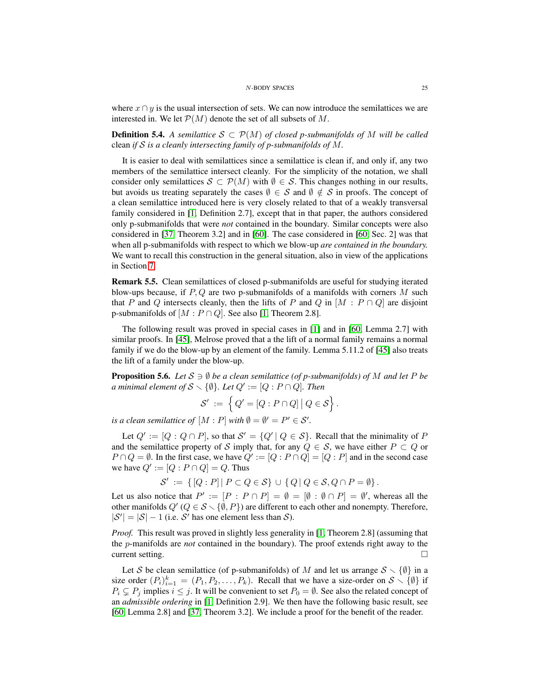where  $x \cap y$  is the usual intersection of sets. We can now introduce the semilattices we are interested in. We let  $\mathcal{P}(M)$  denote the set of all subsets of M.

<span id="page-24-0"></span>**Definition 5.4.** A semilattice  $S \subset \mathcal{P}(M)$  of closed p-submanifolds of M will be called clean *if* S *is a cleanly intersecting family of p-submanifolds of* M*.*

It is easier to deal with semilattices since a semilattice is clean if, and only if, any two members of the semilattice intersect cleanly. For the simplicity of the notation, we shall consider only semilattices  $S \subset \mathcal{P}(M)$  with  $\emptyset \in \mathcal{S}$ . This changes nothing in our results, but avoids us treating separately the cases  $\emptyset \in S$  and  $\emptyset \notin S$  in proofs. The concept of a clean semilattice introduced here is very closely related to that of a weakly transversal family considered in [\[1,](#page-43-12) Definition 2.7], except that in that paper, the authors considered only p-submanifolds that were *not* contained in the boundary. Similar concepts were also considered in [\[37,](#page-44-3) Theorem 3.2] and in [\[60\]](#page-45-4). The case considered in [\[60,](#page-45-4) Sec. 2] was that when all p-submanifolds with respect to which we blow-up *are contained in the boundary.* We want to recall this construction in the general situation, also in view of the applications in Section [7.](#page-36-0)

Remark 5.5. Clean semilattices of closed p-submanifolds are useful for studying iterated blow-ups because, if  $P, Q$  are two p-submanifolds of a manifolds with corners M such that P and Q intersects cleanly, then the lifts of P and Q in  $[M : P \cap Q]$  are disjoint p-submanifolds of  $[M : P \cap Q]$ . See also [\[1,](#page-43-12) Theorem 2.8].

The following result was proved in special cases in [\[1\]](#page-43-12) and in [\[60,](#page-45-4) Lemma 2.7] with similar proofs. In [\[45\]](#page-44-8), Melrose proved that a the lift of a normal family remains a normal family if we do the blow-up by an element of the family. Lemma 5.11.2 of [\[45\]](#page-44-8) also treats the lift of a family under the blow-up.

<span id="page-24-1"></span>**Proposition 5.6.** *Let*  $S \ni \emptyset$  *be a clean semilattice (of p-submanifolds) of* M *and let* P *be a* minimal element of  $S \setminus \{\emptyset\}$ . Let  $Q' := [Q : P \cap Q]$ . Then

$$
\mathcal{S}' := \left\{ Q' = [Q : P \cap Q] \, \middle| \, Q \in \mathcal{S} \right\}.
$$

*is a clean semilattice of*  $[M : P]$  *with*  $\emptyset = \emptyset' = P' \in \mathcal{S}'$ .

Let  $Q' := [Q : Q \cap P]$ , so that  $S' = \{Q' | Q \in S\}$ . Recall that the minimality of P and the semilattice property of S imply that, for any  $Q \in S$ , we have either  $P \subset Q$  or  $P \cap Q = \emptyset$ . In the first case, we have  $Q' := [Q : P \cap Q] = [Q : P]$  and in the second case we have  $Q' := [Q : P \cap Q] = Q$ . Thus

$$
\mathcal{S}' := \{ [Q : P] | P \subset Q \in \mathcal{S} \} \cup \{ Q | Q \in \mathcal{S}, Q \cap P = \emptyset \}.
$$

Let us also notice that  $P' := [P : P \cap P] = \emptyset = [\emptyset : \emptyset \cap P] = \emptyset'$ , whereas all the other manifolds  $Q'$  ( $Q \in S \setminus \{\emptyset, P\}$ ) are different to each other and nonempty. Therefore,  $|\mathcal{S}'| = |\mathcal{S}| - 1$  (i.e. S' has one element less than S).

*Proof.* This result was proved in slightly less generality in [\[1,](#page-43-12) Theorem 2.8] (assuming that the p-manifolds are *not* contained in the boundary). The proof extends right away to the current setting.  $\Box$ 

Let S be clean semilattice (of p-submanifolds) of M and let us arrange  $S \setminus \{\emptyset\}$  in a size order  $(P_i)_{i=1}^k = (P_1, P_2, \ldots, P_k)$ . Recall that we have a size-order on  $S \setminus \{\emptyset\}$  if  $P_i \subsetneq P_j$  implies  $i \leq j$ . It will be convenient to set  $P_0 = \emptyset$ . See also the related concept of an *admissible ordering* in [\[1,](#page-43-12) Definition 2.9]. We then have the following basic result, see [\[60,](#page-45-4) Lemma 2.8] and [\[37,](#page-44-3) Theorem 3.2]. We include a proof for the benefit of the reader.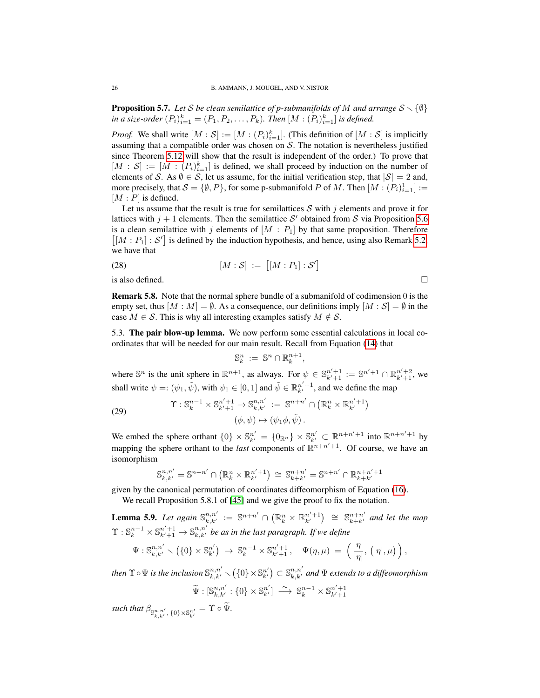**Proposition 5.7.** Let S be clean semilattice of p-submanifolds of M and arrange  $S \setminus \{\emptyset\}$ *in a size-order*  $(P_i)_{i=1}^k = (P_1, P_2, \ldots, P_k)$ *. Then*  $[M : (P_i)_{i=1}^k]$  *is defined.* 

*Proof.* We shall write  $[M : \mathcal{S}] := [M : (P_i)_{i=1}^k]$ . (This definition of  $[M : \mathcal{S}]$  is implicitly assuming that a compatible order was chosen on  $S$ . The notation is nevertheless justified since Theorem [5.12](#page-29-0) will show that the result is independent of the order.) To prove that  $[M : S] := [M : (P_i)_{i=1}^k]$  is defined, we shall proceed by induction on the number of elements of S. As  $\emptyset \in S$ , let us assume, for the initial verification step, that  $|S| = 2$  and, more precisely, that  $S = \{\emptyset, P\}$ , for some p-submanifold P of M. Then  $[M : (P_i)_{i=1}^1]$  :=  $[M : P]$  is defined.

Let us assume that the result is true for semilattices  $S$  with j elements and prove it for lattices with  $j + 1$  elements. Then the semilattice S' obtained from S via Proposition [5.6](#page-24-1) is a clean semilattice with j elements of  $[M : P_1]$  by that same proposition. Therefore  $[[M : P_1] : S']$  is defined by the induction hypothesis, and hence, using also Remark [5.2,](#page-23-2) we have that

(28) 
$$
[M : S] := [[M : P_1] : S']
$$

is also defined.  $\Box$ 

Remark 5.8. Note that the normal sphere bundle of a submanifold of codimension 0 is the empty set, thus  $[M : M] = \emptyset$ . As a consequence, our definitions imply  $[M : S] = \emptyset$  in the case  $M \in \mathcal{S}$ . This is why all interesting examples satisfy  $M \notin \mathcal{S}$ .

<span id="page-25-0"></span>5.3. The pair blow-up lemma. We now perform some essential calculations in local coordinates that will be needed for our main result. Recall from Equation [\(14\)](#page-7-4) that

$$
\mathbb{S}_k^n := \mathbb{S}^n \cap \mathbb{R}_k^{n+1},
$$

where  $\mathbb{S}^n$  is the unit sphere in  $\mathbb{R}^{n+1}$ , as always. For  $\psi \in \mathbb{S}_{k'+1}^{n'+1} := \mathbb{S}^{n'+1} \cap \mathbb{R}_{k'+1}^{n'+2}$ , we shall write  $\psi =: (\psi_1, \tilde{\psi})$ , with  $\psi_1 \in [0, 1]$  and  $\tilde{\psi} \in \mathbb{R}^{n'+1}_{k'}$ , and we define the map

<span id="page-25-2"></span>(29) 
$$
\Upsilon : \mathbb{S}_k^{n-1} \times \mathbb{S}_{k'+1}^{n'+1} \to \mathbb{S}_{k,k'}^{n,n'} := \mathbb{S}^{n+n'} \cap \left( \mathbb{R}_k^n \times \mathbb{R}_{k'}^{n'+1} \right) (\phi, \psi) \mapsto (\psi_1 \phi, \tilde{\psi}).
$$

We embed the sphere orthant  $\{0\} \times \mathbb{S}_{k'}^{n'} = \{0_{\mathbb{R}^n}\}\times \mathbb{S}_{k'}^{n'} \subset \mathbb{R}^{n+n'+1}$  into  $\mathbb{R}^{n+n'+1}$  by mapping the sphere orthant to the *last* components of  $\mathbb{R}^{n+n'+1}$ . Of course, we have an isomorphism

$$
\mathbb{S}_{k,k'}^{n,n'} = \mathbb{S}^{n+n'} \cap (\mathbb{R}_k^n \times \mathbb{R}_{k'}^{n'+1}) \cong \mathbb{S}_{k+k'}^{n+n'} = \mathbb{S}^{n+n'} \cap \mathbb{R}_{k+k'}^{n+n'+1}
$$

given by the canonical permutation of coordinates diffeomorphism of Equation [\(16\)](#page-7-5).

We recall Proposition 5.8.1 of [\[45\]](#page-44-8) and we give the proof to fix the notation.

<span id="page-25-1"></span>**Lemma 5.9.** Let again  $\mathbb{S}_{k,k'}^{n,n'} := \mathbb{S}^{n+n'} \cap \left( \mathbb{R}_k^n \times \mathbb{R}_{k'}^{n'+1} \right) \cong \mathbb{S}_{k+k'}^{n+n'}$  and let the map  $\Upsilon$  :  $\mathbb{S}^{n-1}_k \times \mathbb{S}^{n'+1}_{k'+1} \to \mathbb{S}^{n,n'}_{k,k'}$  be as in the last paragraph. If we define

$$
\Psi: \mathbb{S}^{n,n'}_{k,k'} \setminus \left(\{0\} \times \mathbb{S}^{n'}_{k'}\right) \ \to \ \mathbb{S}^{n-1}_k \times \mathbb{S}^{n'+1}_{k'+1}, \quad \Psi(\eta,\mu) \ = \ \left(\frac{\eta}{|\eta|},\, \left(|\eta|,\mu\right)\right),
$$

then  $\Upsilon \circ \Psi$  is the inclusion  $\mathbb{S}^{n,n'}_{k,k'} \smallsetminus (\{0\}\times\mathbb{S}^{n'}_{k'})\subset \mathbb{S}^{n,n'}_{k,k'}$  and  $\Psi$  extends to a diffeomorphism

$$
\widetilde{\Psi}: [\mathbb{S}^{n,n'}_{k,k'} : \{0\} \times \mathbb{S}^{n'}_{k'}] \longrightarrow \mathbb{S}^{n-1}_{k} \times \mathbb{S}^{n'+1}_{k'+1}
$$

 $\textit{such that } \beta_{\mathbb{S}^{n,n'}_{k,k'},\{0\}\times\mathbb{S}^{n'}_{k'}} = \Upsilon \circ \Psi.$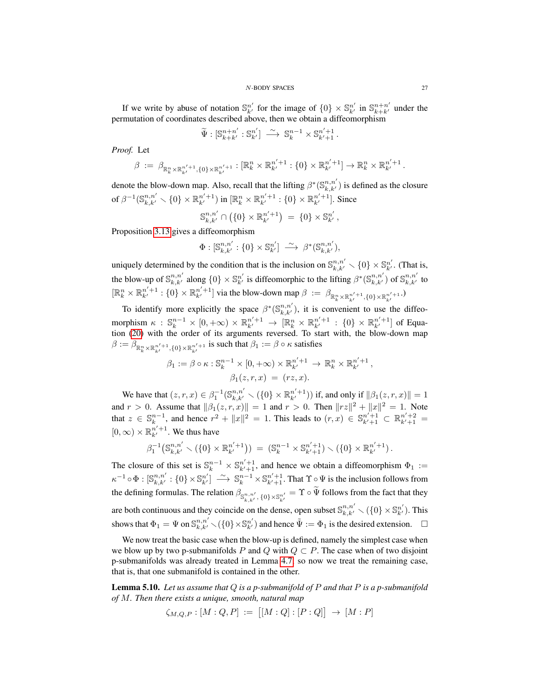#### N-BODY SPACES 27

If we write by abuse of notation  $\mathbb{S}_{k'}^{n'}$  for the image of  $\{0\} \times \mathbb{S}_{k'}^{n'}$  in  $\mathbb{S}_{k+k'}^{n+n'}$  under the permutation of coordinates described above, then we obtain a diffeomorphism

$$
\widetilde{\Psi}: [\mathbb{S}_{k+k'}^{n+n'} : \mathbb{S}_{k'}^{n'}] \longrightarrow \mathbb{S}_{k}^{n-1} \times \mathbb{S}_{k'+1}^{n'+1}.
$$

*Proof.* Let

$$
\beta := \beta_{\mathbb{R}_k^n \times \mathbb{R}_{k'}^{n'+1}, \{0\} \times \mathbb{R}_{k'}^{n'+1}} : [\mathbb{R}_k^n \times \mathbb{R}_{k'}^{n'+1} : \{0\} \times \mathbb{R}_{k'}^{n'+1}] \to \mathbb{R}_k^n \times \mathbb{R}_{k'}^{n'+1}.
$$

denote the blow-down map. Also, recall that the lifting  $\beta^*(\mathbb{S}^{n,n'}_{k,k'})$  is defined as the closure of  $\beta^{-1}(\mathbb{S}^{n,n'}_{k,k'}\smallsetminus\{0\}\times\mathbb{R}^{n'+1}_{k'})$  in  $[\mathbb{R}^n_k\times\mathbb{R}^{n'+1}_{k'}:\{0\}\times\mathbb{R}^{n'+1}_{k'}].$  Since

$$
\mathbb{S}_{k,k'}^{n,n'} \cap \left( \{0\} \times \mathbb{R}_{k'}^{n'+1} \right) \ = \ \{0\} \times \mathbb{S}_{k'}^{n'},
$$

Proposition [3.13](#page-19-2) gives a diffeomorphism

$$
\Phi:[\mathbb{S}_{k,k'}^{n,n'}:\{0\}\times\mathbb{S}_{k'}^{n'}]\ \stackrel{\sim}{\longrightarrow}\ \beta^*(\mathbb{S}_{k,k'}^{n,n'}),
$$

uniquely determined by the condition that is the inclusion on  $\mathbb{S}_{k,k'}^{n,n'} \setminus \{0\} \times \mathbb{S}_{k'}^{n'}$ . (That is, the blow-up of  $\mathbb{S}_{k,k'}^{n,n'}$  along  $\{0\} \times \mathbb{S}_{k'}^{n'}$  is diffeomorphic to the lifting  $\beta^*(\mathbb{S}_{k,k'}^{n,n'})$  of  $\mathbb{S}_{k,k'}^{n,n'}$  to  $[\mathbb{R}_k^n \times \mathbb{R}_{k'}^{n'+1} : \{0\} \times \mathbb{R}_{k'}^{n'+1}]$  via the blow-down map  $\beta := \beta_{\mathbb{R}_k^n \times \mathbb{R}_{k'}^{n'+1}, \{0\} \times \mathbb{R}_{k'}^{n'+1}}$ .

To identify more explicitly the space  $\beta^*(\mathbb{S}^{n,n'}_{k,k'})$ , it is convenient to use the diffeomorphism  $\kappa$  :  $\mathbb{S}_k^{n-1} \times [0, +\infty) \times \mathbb{R}_{k'}^{n'+1} \to [\mathbb{R}_k^n \times \mathbb{R}_{k'}^{n'+1} : \{0\} \times \mathbb{R}_{k'}^{n'+1}]$  of Equation [\(20\)](#page-16-4) with the order of its arguments reversed. To start with, the blow-down map  $\beta := \beta_{\mathbb{R}_k^n \times \mathbb{R}_{k'}^{n'+1}, \{0\} \times \mathbb{R}_{k'}^{n'+1}}$  is such that  $\beta_1 := \beta \circ \kappa$  satisfies

$$
\beta_1 := \beta \circ \kappa : \mathbb{S}_k^{n-1} \times [0, +\infty) \times \mathbb{R}_{k'}^{n'+1} \to \mathbb{R}_k^n \times \mathbb{R}_{k'}^{n'+1},
$$

$$
\beta_1(z, r, x) = (rz, x).
$$

We have that  $(z, r, x) \in \beta_1^{-1}(\mathbb{S}_{k,k'}^{n,n'} \setminus (\{0\} \times \mathbb{R}_{k'}^{n'+1}))$  if, and only if  $\|\beta_1(z, r, x)\| = 1$ and  $r > 0$ . Assume that  $\|\beta_1(z, r, x)\| = 1$  and  $r > 0$ . Then  $\|rz\|^2 + \|x\|^2 = 1$ . Note that  $z \in \mathbb{S}_k^{n-1}$ , and hence  $r^2 + ||x||^2 = 1$ . This leads to  $(r, x) \in \mathbb{S}_{k'+1}^{n'+1} \subset \mathbb{R}_{k'+1}^{n'+2} =$  $[0, \infty) \times \mathbb{R}_{k'}^{n'+1}$ . We thus have

$$
\beta_1^{-1}\big(\mathbb{S}_{k,k'}^{n,n'}\setminus(\{0\}\times\mathbb{R}_{k'}^{n'+1})\big) = (\mathbb{S}_k^{n-1}\times\mathbb{S}_{k'+1}^{n'+1})\setminus(\{0\}\times\mathbb{R}_{k'}^{n'+1}).
$$

The closure of this set is  $\mathbb{S}_k^{n-1} \times \mathbb{S}_{k'+1}^{n'+1}$ , and hence we obtain a diffeomorphism  $\Phi_1 :=$  $\kappa^{-1} \circ \Phi : [\mathbb{S}_{k,k'}^{n,n'} : \{0\} \times \mathbb{S}_{k'}^{n'}] \longrightarrow \mathbb{S}_{k}^{n-1} \times \mathbb{S}_{k'+1}^{n'+1}$ . That  $\Upsilon \circ \Psi$  is the inclusion follows from the defining formulas. The relation  $\beta_{\mathbb{S}^{n,n'}_{k,k'},\{0\}\times\mathbb{S}^{n'}_{k'}}=\Upsilon\circ\Psi$  follows from the fact that they are both continuous and they coincide on the dense, open subset  $\mathbb{S}_{k,k'}^{n,n'} \setminus (\{0\} \times \mathbb{S}_{k'}^{n'})$ . This shows that  $\Phi_1 = \Psi$  on  $\mathbb{S}_{k,k'}^{n,n'} \setminus (\{0\} \times \mathbb{S}_{k'}^{n'})$  and hence  $\tilde{\Psi} := \Phi_1$  is the desired extension.  $\Box$ 

We now treat the basic case when the blow-up is defined, namely the simplest case when we blow up by two p-submanifolds P and Q with  $Q \subset P$ . The case when of two disjoint p-submanifolds was already treated in Lemma [4.7,](#page-22-2) so now we treat the remaining case, that is, that one submanifold is contained in the other.

<span id="page-26-0"></span>Lemma 5.10. *Let us assume that* Q *is a p-submanifold of* P *and that* P *is a p-submanifold of* M*. Then there exists a unique, smooth, natural map*

$$
\zeta_{M,Q,P} : [M:Q,P] := [[M:Q] : [P:Q]] \to [M:P]
$$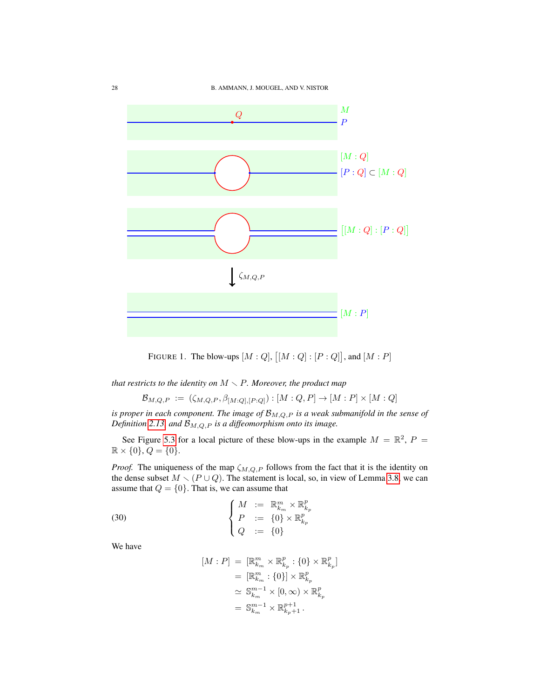

FIGURE 1. The blow-ups  $[M:Q], [[M:Q]: [P:Q]],$  and  $[M:P]$ 

*that restricts to the identity on*  $M \setminus P$ *. Moreover, the product map* 

$$
\mathcal{B}_{M,Q,P} := (\zeta_{M,Q,P}, \beta_{[M:Q],[P:Q]}) : [M:Q,P] \to [M:P] \times [M:Q]
$$

*is proper in each component. The image of*  $\mathcal{B}_{M,Q,P}$  *is a weak submanifold in the sense of Definition* [2.13,](#page-11-0) and  $\mathcal{B}_{M,Q,P}$  *is a diffeomorphism onto its image.* 

See Figure [5.3](#page-26-0) for a local picture of these blow-ups in the example  $M = \mathbb{R}^2$ ,  $P =$  $\mathbb{R} \times \{0\}, Q = \{0\}.$ 

*Proof.* The uniqueness of the map  $\zeta_{M,Q,P}$  follows from the fact that it is the identity on the dense subset  $M \setminus (P \cup Q)$ . The statement is local, so, in view of Lemma [3.8,](#page-17-2) we can assume that  $Q = \{0\}$ . That is, we can assume that

(30) 
$$
\begin{cases} M := \mathbb{R}_{k_m}^m \times \mathbb{R}_{k_p}^p \\ P := \{0\} \times \mathbb{R}_{k_p}^p \\ Q := \{0\} \end{cases}
$$

We have

<span id="page-27-0"></span>
$$
[M : P] = [\mathbb{R}_{k_m}^m \times \mathbb{R}_{k_p}^p : \{0\} \times \mathbb{R}_{k_p}^p]
$$
  
\n
$$
= [\mathbb{R}_{k_m}^m : \{0\}] \times \mathbb{R}_{k_p}^p
$$
  
\n
$$
\simeq \mathbb{S}_{k_m}^{m-1} \times [0, \infty) \times \mathbb{R}_{k_p}^p
$$
  
\n
$$
= \mathbb{S}_{k_m}^{m-1} \times \mathbb{R}_{k_p+1}^{p+1}.
$$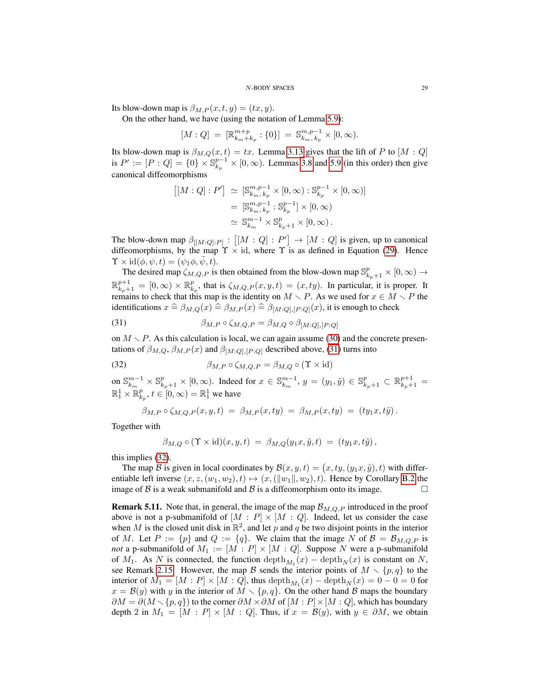### N-BODY SPACES 29

Its blow-down map is  $\beta_{M,P}(x,t,y) = (tx, y)$ .

On the other hand, we have (using the notation of Lemma [5.9\)](#page-25-1):

$$
[M:Q] = [\mathbb{R}^{m+p}_{k_m+k_p} : \{0\}] = \mathbb{S}^{m,p-1}_{k_m,k_p} \times [0,\infty).
$$

Its blow-down map is  $\beta_{M,Q}(x,t) = tx$ . Lemma [3.13](#page-19-2) gives that the lift of P to [M : Q] is  $P' := [P:Q] = \{0\} \times \mathbb{S}_{k_p}^{p-1} \times [0,\infty)$ . Lemmas [3.8](#page-17-2) and [5.9](#page-25-1) (in this order) then give canonical diffeomorphisms

$$
\begin{aligned} [[M:Q]:P'] &\simeq [\mathbb{S}^{m,p-1}_{k_m,k_p} \times [0,\infty) : \mathbb{S}^{p-1}_{k_p} \times [0,\infty)] \\ &= [\mathbb{S}^{m,p-1}_{k_m,k_p} : \mathbb{S}^{p-1}_{k_p}] \times [0,\infty) \\ &\simeq \mathbb{S}^{m-1}_{k_m} \times \mathbb{S}^{p}_{k_p+1} \times [0,\infty) \,. \end{aligned}
$$

The blow-down map  $\beta_{[[M:Q]:P]} : [[M:Q]:P'] \rightarrow [M:Q]$  is given, up to canonical diffeomorphisms, by the map  $\Upsilon \times id$ , where  $\Upsilon$  is as defined in Equation [\(29\)](#page-25-2). Hence  $\Upsilon \times id(\phi, \psi, t) = (\psi_1 \phi, \psi, t).$ 

The desired map  $\zeta_{M,Q,P}$  is then obtained from the blow-down map  $\mathbb{S}^p_{k_P+1} \times [0,\infty) \to$  $\mathbb{R}_{k_p+1}^{p+1} = [0,\infty) \times \mathbb{R}_{k_p}^p$ , that is  $\zeta_{M,Q,P}(x,y,t) = (x, ty)$ . In particular, it is proper. It remains to check that this map is the identity on  $M \setminus P$ . As we used for  $x \in M \setminus P$  the identifications  $x \triangleq \beta_{M,Q}(x) \triangleq \beta_{M,P}(x) \triangleq \beta_{[M:Q],[P : Q]}(x)$ , it is enough to check

<span id="page-28-1"></span>(31) 
$$
\beta_{M,P} \circ \zeta_{M,Q,P} = \beta_{M,Q} \circ \beta_{[M:Q],[P:Q]}
$$

on  $M \setminus P$ . As this calculation is local, we can again assume [\(30\)](#page-27-0) and the concrete presentations of  $\beta_{M,Q}, \beta_{M,P}(x)$  and  $\beta_{[M:Q],[P:Q]}$  described above, [\(31\)](#page-28-1) turns into

(32) 
$$
\beta_{M,P} \circ \zeta_{M,Q,P} = \beta_{M,Q} \circ (\Upsilon \times id)
$$

on  $\mathbb{S}_{k_m}^{m-1} \times \mathbb{S}_{k_p+1}^p \times [0, \infty)$ . Indeed for  $x \in \mathbb{S}_{k_m}^{m-1}$ ,  $y = (y_1, \tilde{y}) \in \mathbb{S}_{k_p+1}^p \subset \mathbb{R}_{k_p+1}^{p+1}$  $\mathbb{R}^1_1 \times \mathbb{R}^p_{k_p}, t \in [0, \infty) = \mathbb{R}^1_1$  we have

<span id="page-28-2"></span>
$$
\beta_{M,P} \circ \zeta_{M,Q,P}(x,y,t) = \beta_{M,P}(x,ty) = \beta_{M,P}(x,ty) = (ty_1x,t\tilde{y}).
$$

Together with

$$
\beta_{M,Q} \circ (\Upsilon \times id)(x,y,t) = \beta_{M,Q}(y_1x,\tilde{y},t) = (ty_1x,t\tilde{y}),
$$

this implies [\(32\)](#page-28-2).

The map  $\mathcal B$  is given in local coordinates by  $\mathcal B(x, y, t) = (x, ty, (y_1x, \tilde{y}), t)$  with differentiable left inverse  $(x, z, (w_1, w_2), t) \mapsto (x, (||w_1||, w_2), t)$ . Hence by Corollary [B.2](#page-42-3) the image of B is a weak submanifold and B is a diffeomorphism onto its image.  $\square$ 

<span id="page-28-0"></span>**Remark 5.11.** Note that, in general, the image of the map  $\mathcal{B}_{M,Q,P}$  introduced in the proof above is not a p-submanifold of  $[M : P] \times [M : Q]$ . Indeed, let us consider the case when M is the closed unit disk in  $\mathbb{R}^2$ , and let p and q be two disjoint points in the interior of M. Let  $P := \{p\}$  and  $Q := \{q\}$ . We claim that the image N of  $\mathcal{B} = \mathcal{B}_{M,Q,P}$  is *not* a p-submanifold of  $M_1 := [M : P] \times [M : Q]$ . Suppose N were a p-submanifold of  $M_1$ . As N is connected, the function  $\text{depth}_{M_1}(x) - \text{depth}_N(x)$  is constant on N, see Remark [2.15.](#page-12-3) However, the map B sends the interior points of  $M \setminus \{p, q\}$  to the interior of  $M_1 = [M : P] \times [M : Q]$ , thus  $\text{depth}_{M_1}(x) - \text{depth}_N(x) = 0 - 0 = 0$  for  $x = B(y)$  with y in the interior of  $M \setminus \{p, q\}$ . On the other hand B maps the boundary  $\partial M = \partial (M \setminus \{p, q\})$  to the corner  $\partial M \times \partial M$  of  $[M : P] \times [M : Q]$ , which has boundary depth 2 in  $M_1 = [M : P] \times [M : Q]$ . Thus, if  $x = B(y)$ , with  $y \in \partial M$ , we obtain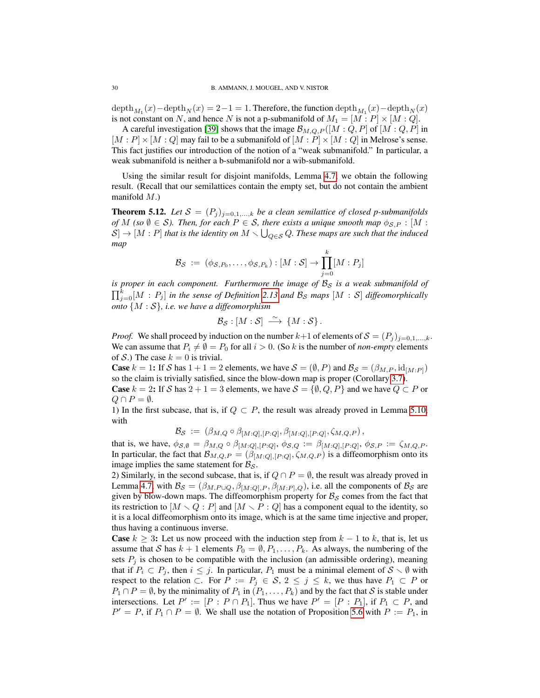$\mathrm{depth}_{M_1}(x)-\mathrm{depth}_N(x)=2-1=1.$  Therefore, the function  $\mathrm{depth}_M(x)-\mathrm{depth}_N(x)$ is not constant on N, and hence N is not a p-submanifold of  $M_1 = [M : P] \times [M : Q]$ .

A careful investigation [\[39\]](#page-44-13) shows that the image  $\mathcal{B}_{M,Q,P}([M:Q,P]$  of  $[M:Q,P]$  in  $[M : P] \times [M : Q]$  may fail to be a submanifold of  $[M : P] \times [M : Q]$  in Melrose's sense. This fact justifies our introduction of the notion of a "weak submanifold." In particular, a weak submanifold is neither a b-submanifold nor a wib-submanifold.

Using the similar result for disjoint manifolds, Lemma [4.7,](#page-22-2) we obtain the following result. (Recall that our semilattices contain the empty set, but do not contain the ambient manifold  $M$ .)

<span id="page-29-0"></span>**Theorem 5.12.** Let  $S = (P_j)_{j=0,1,...,k}$  be a clean semilattice of closed p-submanifolds *of M* (so  $\emptyset \in S$ ). Then, for each  $P \in S$ , there exists a unique smooth map  $\phi_{S,P} : [M :$  $[\mathcal{S}] \to [M : P]$  that is the identity on  $M \setminus \bigcup_{Q \in \mathcal{S}} Q$ . These maps are such that the induced *map*

$$
\mathcal{B}_{\mathcal{S}} \; := \; (\phi_{\mathcal{S},P_0}, \ldots, \phi_{\mathcal{S},P_k}) : [M : \mathcal{S}] \to \prod_{j=0}^k [M : P_j]
$$

*is proper in each component. Furthermore the image of*  $B<sub>S</sub>$  *is a weak submanifold of*  $\prod_{j=0}^{k}[M:P_j]$  *in the sense of Definition* [2.13](#page-11-0) and  $\mathcal{B}_{\mathcal{S}}$  maps  $[M:S]$  diffeomorphically *onto* {M : S}*, i.e. we have a diffeomorphism*

$$
\mathcal{B}_{\mathcal{S}}:[M:\mathcal{S}]\ \stackrel{\sim}{\longrightarrow}\ \{M:\mathcal{S}\}.
$$

*Proof.* We shall proceed by induction on the number  $k+1$  of elements of  $S = (P_j)_{j=0,1,\dots,k}$ . We can assume that  $P_i \neq \emptyset = P_0$  for all  $i > 0$ . (So k is the number of *non-empty* elements of S.) The case  $k = 0$  is trivial.

**Case**  $k = 1$ : If S has  $1 + 1 = 2$  elements, we have  $S = (\emptyset, P)$  and  $\mathcal{B}_{S} = (\beta_{M,P}, \text{id}_{[M:P]})$ so the claim is trivially satisfied, since the blow-down map is proper (Corollary [3.7\)](#page-17-4).

**Case**  $k = 2$ : If S has  $2 + 1 = 3$  elements, we have  $S = \{\emptyset, Q, P\}$  and we have  $Q \subset P$  or  $Q \cap P = \emptyset$ .

1) In the first subcase, that is, if  $Q \subset P$ , the result was already proved in Lemma [5.10,](#page-26-0) with

$$
\mathcal{B}_{\mathcal{S}} := (\beta_{M,Q} \circ \beta_{[M:Q],[P:Q]}, \beta_{[M:Q],[P:Q]}, \zeta_{M,Q,P}),
$$

that is, we have,  $\phi_{\mathcal{S},\emptyset} = \beta_{M,Q} \circ \beta_{[M:Q],[P:Q]}, \phi_{\mathcal{S},Q} := \beta_{[M:Q],[P:Q]}, \phi_{\mathcal{S},P} := \zeta_{M,Q,P}$ . In particular, the fact that  $\mathcal{B}_{M,Q,P} = (\beta_{[M:Q],[P:Q]}, \zeta_{M,Q,P})$  is a diffeomorphism onto its image implies the same statement for  $\mathcal{B}_{\mathcal{S}}$ .

2) Similarly, in the second subcase, that is, if  $Q \cap P = \emptyset$ , the result was already proved in Lemma [4.7,](#page-22-2) with  $B_{\mathcal{S}} = (\beta_{M,P\cup Q}, \beta_{[M:Q],P}, \beta_{[M:P],Q})$ , i.e. all the components of  $B_{\mathcal{S}}$  are given by blow-down maps. The diffeomorphism property for  $B<sub>S</sub>$  comes from the fact that its restriction to  $[M \setminus Q : P]$  and  $[M \setminus P : Q]$  has a component equal to the identity, so it is a local diffeomorphism onto its image, which is at the same time injective and proper, thus having a continuous inverse.

**Case**  $k \geq 3$ : Let us now proceed with the induction step from  $k - 1$  to k, that is, let us assume that S has  $k + 1$  elements  $P_0 = \emptyset, P_1, \ldots, P_k$ . As always, the numbering of the sets  $P_j$  is chosen to be compatible with the inclusion (an admissible ordering), meaning that if  $P_i \subset P_j$ , then  $i \leq j$ . In particular,  $P_1$  must be a minimal element of  $S \setminus \emptyset$  with respect to the relation ⊂. For  $P := P_j \in S$ ,  $2 \le j \le k$ , we thus have  $P_1 \subset P$  or  $P_1 \cap P = \emptyset$ , by the minimality of  $P_1$  in  $(P_1, \ldots, P_k)$  and by the fact that S is stable under intersections. Let  $P' := [P : P \cap P_1]$ . Thus we have  $P' = [P : P_1]$ , if  $P_1 \subset P$ , and  $P' = P$ , if  $P_1 \cap P = \emptyset$ . We shall use the notation of Proposition [5.6](#page-24-1) with  $P := P_1$ , in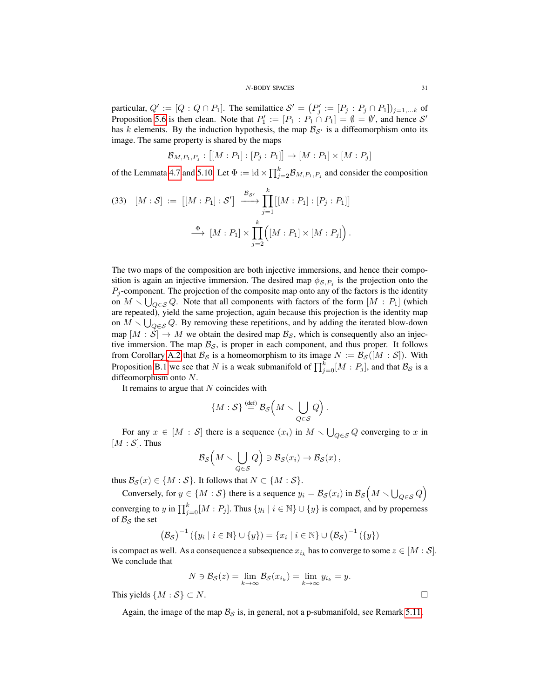particular,  $Q' := [Q : Q \cap P_1]$ . The semilattice  $S' = (P'_j := [P_j : P_j \cap P_1])_{j=1,...k}$  of Proposition [5.6](#page-24-1) is then clean. Note that  $P'_1 := [P_1 : P_1 \cap P_1] = \emptyset = \emptyset'$ , and hence S' has k elements. By the induction hypothesis, the map  $\mathcal{B}_{S'}$  is a diffeomorphism onto its image. The same property is shared by the maps

$$
\mathcal{B}_{M,P_1,P_j} : [[M : P_1] : [P_j : P_1]] \to [M : P_1] \times [M : P_j]
$$

of the Lemmata [4.7](#page-22-2) and [5.10.](#page-26-0) Let  $\Phi := id \times \prod_{j=2}^{k} B_{M,P_1,P_j}$  and consider the composition

(33) 
$$
[M:S] := [[M:P_1]:S'] \xrightarrow{\mathcal{B}_{S'}} \prod_{j=1}^{k} [[M:P_1]:[P_j:P_1]]
$$

$$
\xrightarrow{\Phi} [M:P_1] \times \prod_{j=2}^{k} ([M:P_1] \times [M:P_j]).
$$

The two maps of the composition are both injective immersions, and hence their composition is again an injective immersion. The desired map  $\phi_{\mathcal{S},P_j}$  is the projection onto the  $P_j$ -component. The projection of the composite map onto any of the factors is the identity on  $M \setminus \bigcup_{Q \in \mathcal{S}} Q$ . Note that all components with factors of the form  $[M : P_1]$  (which are repeated), yield the same projection, again because this projection is the identity map on  $M \setminus \bigcup_{Q \in \mathcal{S}} Q$ . By removing these repetitions, and by adding the iterated blow-down map  $[M : S] \to M$  we obtain the desired map  $\mathcal{B}_{S}$ , which is consequently also an injective immersion. The map  $\mathcal{B}_{\mathcal{S}}$ , is proper in each component, and thus proper. It follows from Corollary [A.2](#page-41-3) that  $\mathcal{B}_{\mathcal{S}}$  is a homeomorphism to its image  $N := \mathcal{B}_{\mathcal{S}}([M : \mathcal{S}])$ . With Proposition [B.1](#page-42-1) we see that N is a weak submanifold of  $\prod_{j=0}^{k} [M : P_j]$ , and that  $\mathcal{B}_{\mathcal{S}}$  is a diffeomorphism onto N.

It remains to argue that  $N$  coincides with

$$
\{M:\mathcal{S}\}\stackrel{\text{(def)}}{=}\overline{\mathcal{B}_{\mathcal{S}}\left(M\smallsetminus\bigcup_{Q\in\mathcal{S}}Q\right)}.
$$

For any  $x \in [M : S]$  there is a sequence  $(x_i)$  in  $M \setminus \bigcup_{Q \in S} Q$  converging to x in  $[M : S]$ . Thus

$$
\mathcal{B}_{\mathcal{S}}\Big(M\smallsetminus\bigcup_{Q\in\mathcal{S}}Q\Big)\ni\mathcal{B}_{\mathcal{S}}(x_i)\to\mathcal{B}_{\mathcal{S}}(x)\,,
$$

thus  $\mathcal{B}_{\mathcal{S}}(x) \in \{M : \mathcal{S}\}$ . It follows that  $N \subset \{M : \mathcal{S}\}$ .

Conversely, for  $y \in \{M : S\}$  there is a sequence  $y_i = \mathcal{B}_{\mathcal{S}}(x_i)$  in  $\mathcal{B}_{\mathcal{S}}(M \setminus \bigcup_{Q \in \mathcal{S}} Q)$ 

converging to y in  $\prod_{j=0}^{k} [M : P_j]$ . Thus  $\{y_i \mid i \in \mathbb{N}\} \cup \{y\}$  is compact, and by properness of  $B_{\mathcal{S}}$  the set

$$
(\mathcal{B}_{\mathcal{S}})^{-1} (\{y_i \mid i \in \mathbb{N}\} \cup \{y\}) = \{x_i \mid i \in \mathbb{N}\} \cup (\mathcal{B}_{\mathcal{S}})^{-1} (\{y\})
$$

is compact as well. As a consequence a subsequence  $x_{i_k}$  has to converge to some  $z \in [M : \mathcal{S}]$ . We conclude that

$$
N \ni \mathcal{B}_{\mathcal{S}}(z) = \lim_{k \to \infty} \mathcal{B}_{\mathcal{S}}(x_{i_k}) = \lim_{k \to \infty} y_{i_k} = y.
$$

This yields  $\{M : \mathcal{S}\} \subset N$ .

Again, the image of the map  $\mathcal{B}_S$  is, in general, not a p-submanifold, see Remark [5.11.](#page-28-0)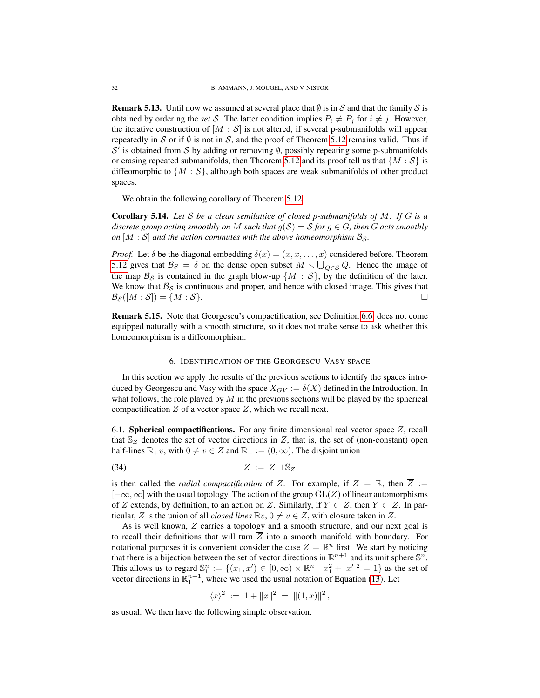**Remark 5.13.** Until now we assumed at several place that  $\emptyset$  is in S and that the family S is obtained by ordering the *set* S. The latter condition implies  $P_i \neq P_j$  for  $i \neq j$ . However, the iterative construction of  $[M : S]$  is not altered, if several p-submanifolds will appear repeatedly in S or if  $\emptyset$  is not in S, and the proof of Theorem [5.12](#page-29-0) remains valid. Thus if  $S'$  is obtained from S by adding or removing  $\emptyset$ , possibly repeating some p-submanifolds or erasing repeated submanifolds, then Theorem [5.12](#page-29-0) and its proof tell us that  $\{M : \mathcal{S}\}\$ is diffeomorphic to  $\{M : S\}$ , although both spaces are weak submanifolds of other product spaces.

We obtain the following corollary of Theorem [5.12.](#page-29-0)

<span id="page-31-2"></span>Corollary 5.14. *Let* S *be a clean semilattice of closed p-submanifolds of* M*. If* G *is a discrete group acting smoothly on* M *such that*  $g(S) = S$  *for*  $g \in G$ *, then* G *acts smoothly on*  $[M : S]$  *and the action commutes with the above homeomorphism*  $B_s$ *.* 

*Proof.* Let  $\delta$  be the diagonal embedding  $\delta(x) = (x, x, \dots, x)$  considered before. Theorem [5.12](#page-29-0) gives that  $\mathcal{B}_S = \delta$  on the dense open subset  $M \setminus \bigcup_{Q \in S} Q$ . Hence the image of the map  $\mathcal{B}_{\mathcal{S}}$  is contained in the graph blow-up  $\{M : \mathcal{S}\}\$ , by the definition of the later. We know that  $\mathcal{B}_{\mathcal{S}}$  is continuous and proper, and hence with closed image. This gives that  $\mathcal{B}_{\mathcal{S}}([M:\mathcal{S}]) = \{M : \mathcal{S}\}.$ 

Remark 5.15. Note that Georgescu's compactification, see Definition [6.6,](#page-35-1) does not come equipped naturally with a smooth structure, so it does not make sense to ask whether this homeomorphism is a diffeomorphism.

# 6. IDENTIFICATION OF THE GEORGESCU-VASY SPACE

<span id="page-31-0"></span>In this section we apply the results of the previous sections to identify the spaces introduced by Georgescu and Vasy with the space  $X_{GV} := \overline{\delta(X)}$  defined in the Introduction. In what follows, the role played by  $M$  in the previous sections will be played by the spherical compactification  $Z$  of a vector space  $Z$ , which we recall next.

<span id="page-31-1"></span>6.1. **Spherical compactifications.** For any finite dimensional real vector space  $Z$ , recall that  $\mathbb{S}_Z$  denotes the set of vector directions in Z, that is, the set of (non-constant) open half-lines  $\mathbb{R}_+v$ , with  $0 \neq v \in Z$  and  $\mathbb{R}_+ := (0, \infty)$ . The disjoint union

$$
\overline{Z} := Z \sqcup \mathbb{S}_Z
$$

is then called the *radial compactification* of Z. For example, if  $Z = \mathbb{R}$ , then  $\overline{Z} :=$  $[-\infty, \infty]$  with the usual topology. The action of the group  $GL(Z)$  of linear automorphisms of Z extends, by definition, to an action on  $\overline{Z}$ . Similarly, if  $Y \subset Z$ , then  $\overline{Y} \subset \overline{Z}$ . In particular,  $\overline{Z}$  is the union of all *closed lines*  $\overline{\mathbb{R}v}$ ,  $0 \neq v \in Z$ , with closure taken in  $\overline{Z}$ .

As is well known,  $\overline{Z}$  carries a topology and a smooth structure, and our next goal is to recall their definitions that will turn  $\overline{Z}$  into a smooth manifold with boundary. For notational purposes it is convenient consider the case  $Z = \mathbb{R}^n$  first. We start by noticing that there is a bijection between the set of vector directions in  $\mathbb{R}^{n+1}$  and its unit sphere  $\mathbb{S}^n$ . This allows us to regard  $\mathbb{S}_1^n := \{(x_1, x') \in [0, \infty) \times \mathbb{R}^n \mid x_1^2 + |x'|^2 = 1\}$  as the set of vector directions in  $\mathbb{R}^{n+1}$ , where we used the usual notation of Equation [\(13\)](#page-7-0). Let

$$
\langle x \rangle^2 := 1 + ||x||^2 = ||(1,x)||^2,
$$

as usual. We then have the following simple observation.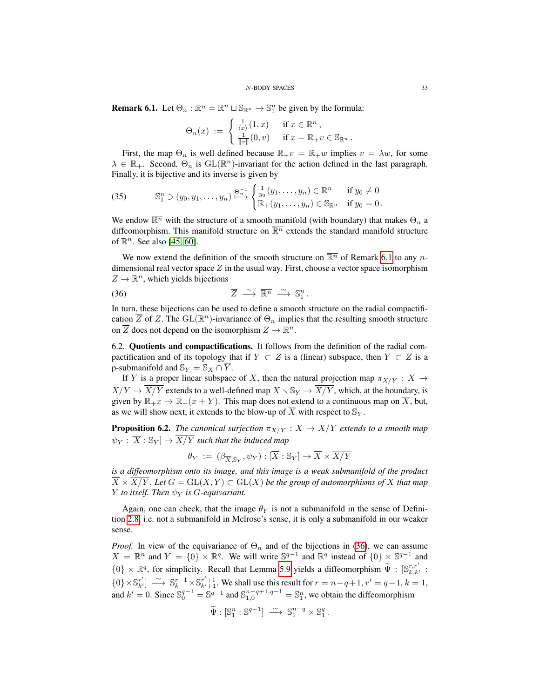<span id="page-32-1"></span>**Remark 6.1.** Let  $\Theta_n : \overline{\mathbb{R}^n} = \mathbb{R}^n \cup \mathbb{S}_{\mathbb{R}^n} \to \mathbb{S}_1^n$  be given by the formula:

$$
\Theta_n(x) := \begin{cases} \frac{1}{\langle x \rangle}(1,x) & \text{if } x \in \mathbb{R}^n, \\ \frac{1}{\|v\|}(0,v) & \text{if } x = \mathbb{R}_+ v \in \mathbb{S}_{\mathbb{R}^n}. \end{cases}
$$

First, the map  $\Theta_n$  is well defined because  $\mathbb{R}_+v = \mathbb{R}_+w$  implies  $v = \lambda w$ , for some  $\lambda \in \mathbb{R}_+$ . Second,  $\Theta_n$  is  $\text{GL}(\mathbb{R}^n)$ -invariant for the action defined in the last paragraph. Finally, it is bijective and its inverse is given by

<span id="page-32-3"></span>(35) 
$$
\mathbb{S}_1^n \ni (y_0, y_1, \dots, y_n) \stackrel{\Theta_n^{-1}}{\longrightarrow} \begin{cases} \frac{1}{y_0}(y_1, \dots, y_n) \in \mathbb{R}^n & \text{if } y_0 \neq 0 \\ \mathbb{R}_+(y_1, \dots, y_n) \in \mathbb{S}_{\mathbb{R}^n} & \text{if } y_0 = 0. \end{cases}
$$

We endow  $\overline{\mathbb{R}^n}$  with the structure of a smooth manifold (with boundary) that makes  $\Theta_n$  a diffeomorphism. This manifold structure on  $\overline{\mathbb{R}^n}$  extends the standard manifold structure of  $\mathbb{R}^n$ . See also [\[45,](#page-44-8) [60\]](#page-45-4).

We now extend the definition of the smooth structure on  $\overline{\mathbb{R}^n}$  of Remark [6.1](#page-32-1) to any ndimensional real vector space  $Z$  in the usual way. First, choose a vector space isomorphism  $Z \to \mathbb{R}^n$ , which yields bijections

<span id="page-32-2"></span>
$$
\overline{Z} \stackrel{\sim}{\longrightarrow} \overline{\mathbb{R}^n} \stackrel{\sim}{\longrightarrow} \mathbb{S}^n_1.
$$

In turn, these bijections can be used to define a smooth structure on the radial compactification  $\overline{Z}$  of Z. The GL( $\mathbb{R}^n$ )-invariance of  $\Theta_n$  implies that the resulting smooth structure on  $\overline{Z}$  does not depend on the isomorphism  $Z \to \mathbb{R}^n$ .

<span id="page-32-0"></span>6.2. Quotients and compactifications. It follows from the definition of the radial compactification and of its topology that if  $Y \subset Z$  is a (linear) subspace, then  $\overline{Y} \subset \overline{Z}$  is a p-submanifold and  $\mathbb{S}_Y = \mathbb{S}_X \cap \overline{Y}$ .

If Y is a proper linear subspace of X, then the natural projection map  $\pi_{X/Y} : X \to Y$  $X/Y \to \overline{X/Y}$  extends to a well-defined map  $\overline{X} \setminus \mathbb{S}_Y \to \overline{X/Y}$ , which, at the boundary, is given by  $\mathbb{R}_+x \mapsto \mathbb{R}_+(x + Y)$ . This map does not extend to a continuous map on  $\overline{X}$ , but, as we will show next, it extends to the blow-up of  $\overline{X}$  with respect to  $\mathbb{S}_Y$ .

<span id="page-32-4"></span>**Proposition 6.2.** *The canonical surjection*  $\pi_{X/Y} : X \to X/Y$  *extends to a smooth map*  $\psi_Y : [\overline{X} : \mathbb{S}_Y] \to \overline{X/Y}$  such that the induced map

$$
\theta_Y \; := \; (\beta_{\overline{X}, \mathbb{S}_Y}, \psi_Y) : [\overline{X} : \mathbb{S}_Y] \to \overline{X} \times \overline{X/Y}
$$

*is a diffeomorphism onto its image, and this image is a weak submanifold of the product*  $\overline{X} \times \overline{X/Y}$ *. Let*  $G = GL(X, Y) \subset GL(X)$  *be the group of automorphisms of* X *that map Y to itself. Then*  $\psi_Y$  *is G-equivariant.* 

Again, one can check, that the image  $\theta_Y$  is not a submanifold in the sense of Definition [2.8,](#page-10-0) i.e. not a submanifold in Melrose's sense, it is only a submanifold in our weaker sense.

*Proof.* In view of the equivariance of  $\Theta_n$  and of the bijections in [\(36\)](#page-32-2), we can assume  $X = \mathbb{R}^n$  and  $Y = \{0\} \times \mathbb{R}^q$ . We will write  $\mathbb{S}^{q-1}$  and  $\mathbb{R}^q$  instead of  $\{0\} \times \mathbb{S}^{q-1}$  and  $\{0\} \times \mathbb{R}^q$ , for simplicity. Recall that Lemma [5.9](#page-25-1) yields a diffeomorphism  $\widetilde{\Psi}$  :  $[\mathbb{S}_{k,k'}^{r,r'}]$  ${0} \times \mathbb{S}_{k'}^{r'} \longrightarrow \mathbb{S}_{k}^{r-1} \times \mathbb{S}_{k'+1}^{r'+1}$ . We shall use this result for  $r = n - q + 1$ ,  $r' = q - 1$ ,  $k = 1$ , and  $k' = 0$ . Since  $\mathbb{S}_0^{q-1} = \mathbb{S}^{q-1}$  and  $\mathbb{S}_{1,0}^{n-q+1,q-1} = \mathbb{S}_1^n$ , we obtain the diffeomorphism

$$
\widetilde{\Psi}: \mathbb{S}_1^n : \mathbb{S}^{q-1} \right] \longrightarrow \mathbb{S}_1^{n-q} \times \mathbb{S}_1^q.
$$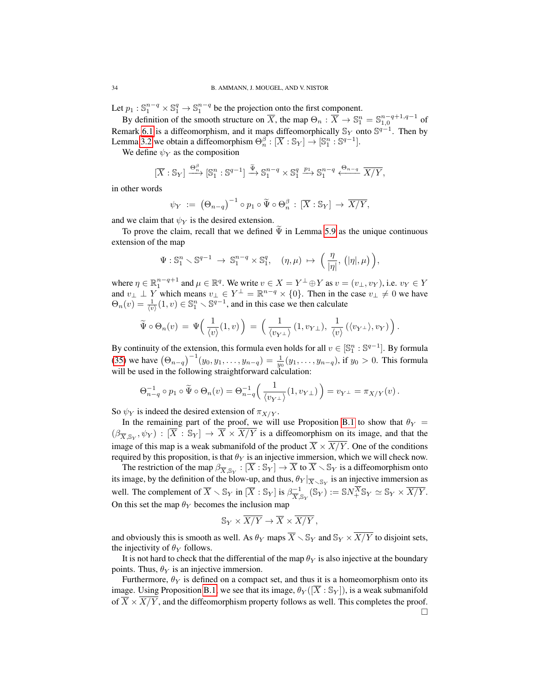Let  $p_1 : \mathbb{S}_1^{n-q} \times \mathbb{S}_1^q \to \mathbb{S}_1^{n-q}$  be the projection onto the first component.

By definition of the smooth structure on  $\overline{X}$ , the map  $\Theta_n : \overline{X} \to \mathbb{S}^n_1 = \mathbb{S}^{n-q+1,q-1}_{1,0}$  of Remark [6.1](#page-32-1) is a diffeomorphism, and it maps diffeomorphically  $\mathbb{S}_Y$  onto  $\mathbb{S}^{q-1}$ . Then by Lemma [3.2](#page-16-0) we obtain a diffeomorphism  $\Theta_n^{\beta}: [\overline{X} : \mathbb{S}_Y] \to [\mathbb{S}_1^n : \mathbb{S}^{q-1}].$ 

We define  $\psi_Y$  as the composition

$$
[\overline{X}:\mathbb{S}_Y] \xrightarrow{\Theta_n^{\beta}} [\mathbb{S}_1^n : \mathbb{S}^{q-1}] \xrightarrow{\widetilde{\Psi}} \mathbb{S}_1^{n-q} \times \mathbb{S}_1^q \xrightarrow{p_1} \mathbb{S}_1^{n-q} \xleftarrow{\Theta_{n-q}} \overline{X/Y},
$$

in other words

$$
\psi_Y \; := \; \big(\Theta_{n-q}\big)^{-1} \circ p_1 \circ \widetilde{\Psi} \circ \Theta_n^{\beta} \, : \, [\overline{X} : \mathbb{S}_Y] \to \overline{X/Y},
$$

and we claim that  $\psi_Y$  is the desired extension.

To prove the claim, recall that we defined  $\Psi$  in Lemma [5.9](#page-25-1) as the unique continuous extension of the map

$$
\Psi: \mathbb{S}^n_1 \smallsetminus \mathbb{S}^{q-1} \ \to \ \mathbb{S}^{n-q}_1 \times \mathbb{S}^q_1, \quad (\eta,\mu) \ \mapsto \ \Big(\, \frac{\eta}{|\eta|}, \ \big(|\eta|,\mu\big)\, \Big),
$$

where  $\eta \in \mathbb{R}_1^{n-q+1}$  and  $\mu \in \mathbb{R}^q$ . We write  $v \in X = Y^{\perp} \oplus Y$  as  $v = (v_{\perp}, v_Y)$ , i.e.  $v_Y \in Y$ where  $\eta \in \mathbb{R}_1$  and  $\mu \in \mathbb{R}^{\infty}$ . We write  $v \in \Lambda = I$   $\forall$  if as  $v = (v_{\perp}, v_Y)$ , i.e.  $v_Y \in I$ <br>and  $v_{\perp} \perp Y$  which means  $v_{\perp} \in Y^{\perp} = \mathbb{R}^{n-q} \times \{0\}$ . Then in the case  $v_{\perp} \neq 0$  we have  $\Theta_n(v) = \frac{1}{\langle v \rangle}(1, v) \in \mathbb{S}_1^n \setminus \mathbb{S}^{q-1}$ , and in this case we then calculate

$$
\widetilde{\Psi} \circ \Theta_n(v) = \Psi\left(\frac{1}{\langle v \rangle}(1,v)\right) = \left(\frac{1}{\langle v_{Y^{\perp}} \rangle}(1,v_{Y^{\perp}}), \frac{1}{\langle v \rangle}(\langle v_{Y^{\perp}} \rangle, v_Y)\right).
$$

By continuity of the extension, this formula even holds for all  $v \in [\mathbb{S}_1^n : \mathbb{S}^{q-1}]$ . By formula [\(35\)](#page-32-3) we have  $(\Theta_{n-q})^{-1}(y_0, y_1, \ldots, y_{n-q}) = \frac{1}{y_0}(y_1, \ldots, y_{n-q})$ , if  $y_0 > 0$ . This formula will be used in the following straightforward calculation:

$$
\Theta_{n-q}^{-1} \circ p_1 \circ \widetilde{\Psi} \circ \Theta_n(v) = \Theta_{n-q}^{-1} \left( \frac{1}{\langle v_{Y^{\perp}} \rangle} (1, v_{Y^{\perp}}) \right) = v_{Y^{\perp}} = \pi_{X/Y}(v).
$$

So  $\psi_Y$  is indeed the desired extension of  $\pi_{X/Y}$ .

In the remaining part of the proof, we will use Proposition [B.1](#page-42-1) to show that  $\theta_Y$  =  $(\beta_{\overline{X},\mathbb{S}_Y},\psi_Y) : [\overline{X} : \mathbb{S}_Y] \to \overline{X} \times \overline{X/Y}$  is a diffeomorphism on its image, and that the image of this map is a weak submanifold of the product  $\overline{X} \times \overline{X/Y}$ . One of the conditions required by this proposition, is that  $\theta_Y$  is an injective immersion, which we will check now.

The restriction of the map  $\beta_{\overline{X}, \mathbb{S}_Y} : [\overline{X} : \mathbb{S}_Y] \to \overline{X}$  to  $\overline{X} \setminus \mathbb{S}_Y$  is a diffeomorphism onto its image, by the definition of the blow-up, and thus,  $\theta_Y|_{\overline{X} \setminus \mathbb{S}_Y}$  is an injective immersion as well. The complement of  $\overline{X} \setminus \mathbb{S}_Y$  in  $[\overline{X} : \mathbb{S}_Y]$  is  $\beta_{\overline{X}, \mathbb{S}_Y}^{-1}(\mathbb{S}_Y) := \mathbb{S}N_+^{\overline{X}}\mathbb{S}_Y \simeq \mathbb{S}_Y \times \overline{X/Y}$ . On this set the map  $\theta_Y$  becomes the inclusion map

$$
\mathbb{S}_Y \times \overline{X/Y} \to \overline{X} \times \overline{X/Y},
$$

and obviously this is smooth as well. As  $\theta_Y$  maps  $\overline{X} \setminus \mathbb{S}_Y$  and  $\mathbb{S}_Y \times \overline{X/Y}$  to disjoint sets, the injectivity of  $\theta_Y$  follows.

It is not hard to check that the differential of the map  $\theta_Y$  is also injective at the boundary points. Thus,  $\theta_Y$  is an injective immersion.

Furthermore,  $\theta_Y$  is defined on a compact set, and thus it is a homeomorphism onto its image. Using Proposition [B.1,](#page-42-1) we see that its image,  $\theta_Y([\overline{X} : S_Y])$ , is a weak submanifold of  $\overline{X} \times X/Y$ , and the diffeomorphism property follows as well. This completes the proof.  $\Box$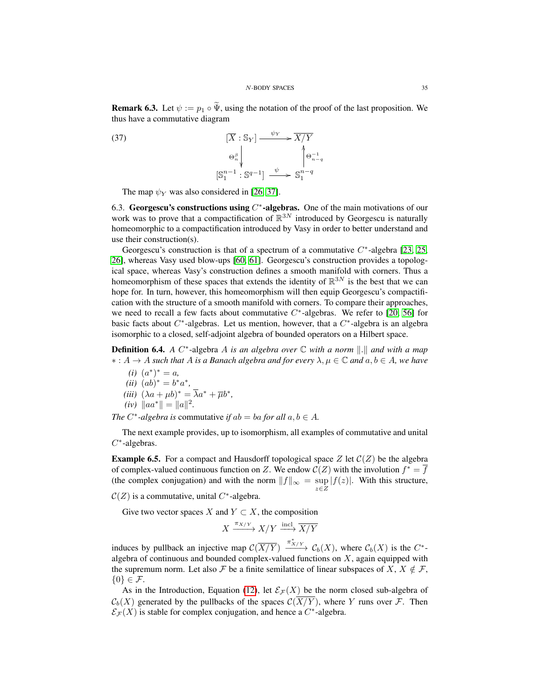**Remark 6.3.** Let  $\psi := p_1 \circ \tilde{\Psi}$ , using the notation of the proof of the last proposition. We thus have a commutative diagram

n−q

(37) 
$$
\left[\overline{X} : \mathbb{S}_Y\right] \xrightarrow{\psi_Y} \overline{X/Y}
$$

$$
\Theta_n^{\beta} \downarrow \qquad \qquad \left(\Theta_{n-1}^{-1} : \mathbb{S}^{q-1}\right) \xrightarrow{\psi} \mathbb{S}_1^{n-q}
$$

The map  $\psi_Y$  was also considered in [\[26,](#page-43-11) [37\]](#page-44-3).

<span id="page-34-0"></span>6.3. Georgescu's constructions using  $C^*$ -algebras. One of the main motivations of our work was to prove that a compactification of  $\mathbb{R}^{3N}$  introduced by Georgescu is naturally homeomorphic to a compactification introduced by Vasy in order to better understand and use their construction(s).

Georgescu's construction is that of a spectrum of a commutative  $C^*$ -algebra [\[23,](#page-43-8) [25,](#page-43-9) [26\]](#page-43-11), whereas Vasy used blow-ups [\[60,](#page-45-4) [61\]](#page-45-5). Georgescu's construction provides a topological space, whereas Vasy's construction defines a smooth manifold with corners. Thus a homeomorphism of these spaces that extends the identity of  $\mathbb{R}^{3N}$  is the best that we can hope for. In turn, however, this homeomorphism will then equip Georgescu's compactification with the structure of a smooth manifold with corners. To compare their approaches, we need to recall a few facts about commutative  $C^*$ -algebras. We refer to [\[20,](#page-43-15) [56\]](#page-45-6) for basic facts about  $C^*$ -algebras. Let us mention, however, that a  $C^*$ -algebra is an algebra isomorphic to a closed, self-adjoint algebra of bounded operators on a Hilbert space.

**Definition 6.4.** *A* C<sup>\*</sup>-algebra *A* is an algebra over ℂ with a norm ||.|| and with a map ∗ : A → A *such that* A *is a Banach algebra and for every* λ, µ ∈ C *and* a, b ∈ A*, we have*

 $(i)$   $(a^*)^* = a$ ,  $(ii) (ab)^* = b^*a^*$ (*iii*)  $(\lambda a + \mu b)^* = \overline{\lambda}a^* + \overline{\mu}b^*$ ,  $(iv)$   $\|aa^*\| = \|a\|^2.$ 

*The*  $C^*$ -algebra is commutative *if*  $ab = ba$  *for all*  $a, b \in A$ *.* 

The next example provides, up to isomorphism, all examples of commutative and unital  $C^*$ -algebras.

**Example 6.5.** For a compact and Hausdorff topological space Z let  $C(Z)$  be the algebra of complex-valued continuous function on Z. We endow  $\mathcal{C}(Z)$  with the involution  $f^* = \overline{f}$ (the complex conjugation) and with the norm  $||f||_{\infty} = \sup_{z \in Z} |f(z)|$ . With this structure,

 $\mathcal{C}(Z)$  is a commutative, unital  $C^*$ -algebra.

Give two vector spaces X and  $Y \subset X$ , the composition

$$
X \xrightarrow{\pi_{X/Y}} X/Y \xrightarrow{\text{incl}} \overline{X/Y}
$$

induces by pullback an injective map  $\mathcal{C}(\overline{X/Y}) \xrightarrow{\pi_{X/Y}^*} \mathcal{C}_b(X)$ , where  $\mathcal{C}_b(X)$  is the  $C^*$ algebra of continuous and bounded complex-valued functions on  $X$ , again equipped with the supremum norm. Let also F be a finite semilattice of linear subspaces of X,  $X \notin \mathcal{F}$ ,  $\{0\} \in \mathcal{F}$ .

As in the Introduction, Equation [\(12\)](#page-6-3), let  $\mathcal{E}_\mathcal{F}(X)$  be the norm closed sub-algebra of  $\mathcal{C}_b(X)$  generated by the pullbacks of the spaces  $\mathcal{C}(\overline{X/Y})$ , where Y runs over F. Then  $\mathcal{E}_{\mathcal{F}}(X)$  is stable for complex conjugation, and hence a  $C^*$ -algebra.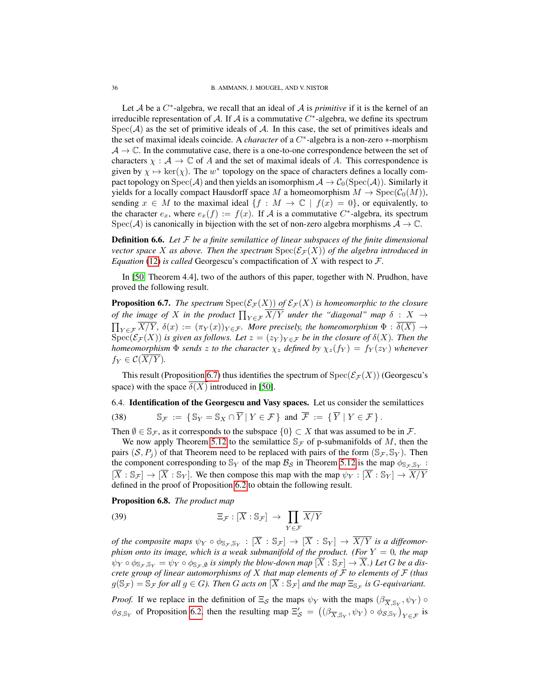Let  $A$  be a  $C^*$ -algebra, we recall that an ideal of  $A$  is *primitive* if it is the kernel of an irreducible representation of A. If A is a commutative  $C^*$ -algebra, we define its spectrum  $Spec(\mathcal{A})$  as the set of primitive ideals of  $\mathcal{A}$ . In this case, the set of primitives ideals and the set of maximal ideals coincide. A *character* of a C ∗ -algebra is a non-zero ∗-morphism  $A \rightarrow \mathbb{C}$ . In the commutative case, there is a one-to-one correspondence between the set of characters  $\chi : \mathcal{A} \to \mathbb{C}$  of A and the set of maximal ideals of A. This correspondence is given by  $\chi \mapsto \ker(\chi)$ . The w<sup>\*</sup> topology on the space of characters defines a locally compact topology on  $Spec(\mathcal{A})$  and then yields an isomorphism  $\mathcal{A} \to C_0(Spec(\mathcal{A}))$ . Similarly it yields for a locally compact Hausdorff space M a homeomorphism  $M \to \text{Spec}(\mathcal{C}_0(M)),$ sending  $x \in M$  to the maximal ideal  $\{f : M \to \mathbb{C} \mid f(x) = 0\}$ , or equivalently, to the character  $e_x$ , where  $e_x(f) := f(x)$ . If A is a commutative C<sup>\*</sup>-algebra, its spectrum Spec(A) is canonically in bijection with the set of non-zero algebra morphisms  $A \to \mathbb{C}$ .

<span id="page-35-1"></span>Definition 6.6. *Let* F *be a finite semilattice of linear subspaces of the finite dimensional vector space* X *as above. Then the spectrum*  $Spec(\mathcal{E}_{\mathcal{F}}(X))$  *of the algebra introduced in Equation* [\(12\)](#page-6-3) *is called* Georgescu's compactification of X with respect to  $\mathcal{F}$ .

In [\[50,](#page-44-4) Theorem 4.4], two of the authors of this paper, together with N. Prudhon, have proved the following result.

<span id="page-35-2"></span>**Proposition 6.7.** *The spectrum*  $Spec(\mathcal{E}_{\mathcal{F}}(X))$  *of*  $\mathcal{E}_{\mathcal{F}}(X)$  *is homeomorphic to the closure of the image of* X in the product  $\prod_{Y \in \mathcal{F}} X/Y$  under the "diagonal" map  $\delta$  :  $X$   $\rightarrow$  $\prod_{Y \in \mathcal{F}} X/Y$ ,  $\delta(x) := (\pi_Y(x))_{Y \in \mathcal{F}}$ *. More precisely, the homeomorphism*  $\Phi : \delta(X) \to$  $\operatorname{Spec}(\mathcal{E}_{\mathcal{F}}(X))$  *is given as follows. Let*  $z = (z_Y)_{Y \in \mathcal{F}}$  *be in the closure of*  $\delta(X)$ *. Then the homeomorphism*  $\Phi$  *sends* z to the character  $\chi_z$  defined by  $\chi_z(f_Y) = f_Y(z_Y)$  whenever  $f_Y \in \mathcal{C}(\overline{X/Y}).$ 

This result (Proposition [6.7\)](#page-35-2) thus identifies the spectrum of  $Spec(\mathcal{E}_{\mathcal{F}}(X))$  (Georgescu's space) with the space  $\delta(X)$  introduced in [\[50\]](#page-44-4).

<span id="page-35-0"></span>6.4. Identification of the Georgescu and Vasy spaces. Let us consider the semilattices

<span id="page-35-4"></span>(38) 
$$
\mathbb{S}_{\mathcal{F}} := \{ \mathbb{S}_Y = \mathbb{S}_X \cap \overline{Y} \mid Y \in \mathcal{F} \} \text{ and } \overline{\mathcal{F}} := \{ \overline{Y} \mid Y \in \mathcal{F} \}.
$$

Then  $\emptyset \in \mathbb{S}_{\mathcal{F}}$ , as it corresponds to the subspace  $\{0\} \subset X$  that was assumed to be in  $\mathcal{F}$ .

We now apply Theorem [5.12](#page-29-0) to the semilattice  $\mathbb{S}_{\mathcal{F}}$  of p-submanifolds of M, then the pairs  $(S, P_i)$  of that Theorem need to be replaced with pairs of the form  $(\mathbb{S}_{\mathcal{F}}, \mathbb{S}_{Y})$ . Then the component corresponding to  $\mathbb{S}_Y$  of the map  $\mathcal{B}_S$  in Theorem [5.12](#page-29-0) is the map  $\phi_{\mathbb{S}_{\mathcal{F}},\mathbb{S}_Y}$ :  $[\overline{X} : \mathbb{S}_{\mathcal{F}}] \to [\overline{X} : \mathbb{S}_{\mathcal{Y}}]$ . We then compose this map with the map  $\psi_Y : [\overline{X} : \mathbb{S}_{\mathcal{Y}}] \to \overline{X/Y}$ defined in the proof of Proposition [6.2](#page-32-4) to obtain the following result.

<span id="page-35-3"></span>Proposition 6.8. *The product map*

(39) 
$$
\Xi_{\mathcal{F}} : [\overline{X} : \mathbb{S}_{\mathcal{F}}] \rightarrow \prod_{Y \in \mathcal{F}} \overline{X/Y}
$$

*of the composite maps*  $\psi_Y \circ \phi_{\mathbb{S}_{\mathcal{F}},\mathbb{S}_Y} : [\overline{X} : \mathbb{S}_{\mathcal{F}}] \to [\overline{X} : \mathbb{S}_Y] \to \overline{X/Y}$  is a diffeomor*phism onto its image, which is a weak submanifold of the product. (For*  $Y = 0$ *, the map*  $\psi_Y \circ \phi_{\mathbb{S}_{\mathcal{F}}, \mathbb{S}_Y} = \psi_Y \circ \phi_{\mathbb{S}_{\mathcal{F}}, \emptyset}$  *is simply the blow-down map*  $[\overline{X} : \mathbb{S}_{\mathcal{F}}] \to \overline{X}$ *.) Let G be a discrete group of linear automorphisms of* X *that map elements of* F *to elements of* F *(thus*  $g(\mathbb{S}_{\mathcal{F}}) = \mathbb{S}_{\mathcal{F}}$  for all  $g \in G$ ). Then G acts on  $[\overline{X} : \mathbb{S}_{\mathcal{F}}]$  and the map  $\Xi_{\mathbb{S}_{\mathcal{F}}}$  is G-equivariant.

*Proof.* If we replace in the definition of  $\Xi_{\mathcal{S}}$  the maps  $\psi_Y$  with the maps  $(\beta_{\overline{X}, \mathbb{S}_Y}, \psi_Y)$   $\circ$  $\phi_{S,S_Y}$  of Proposition [6.2,](#page-32-4) then the resulting map  $\Xi_S' = ((\beta_{\overline{X},S_Y}, \psi_Y) \circ \phi_{S,S_Y})_{Y \in \mathcal{F}}$  is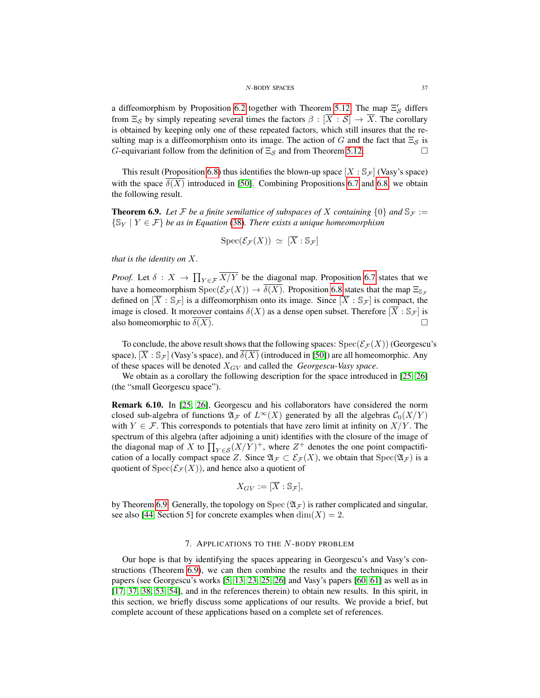#### N-BODY SPACES 37

a diffeomorphism by Proposition [6.2](#page-32-4) together with Theorem [5.12.](#page-29-0) The map  $\Xi'_{\mathcal{S}}$  differs from  $\Xi_{\mathcal{S}}$  by simply repeating several times the factors  $\beta : [\overline{X} : \mathcal{S}] \to \overline{X}$ . The corollary is obtained by keeping only one of these repeated factors, which still insures that the resulting map is a diffeomorphism onto its image. The action of G and the fact that  $\Xi_{\mathcal{S}}$  is G-equivariant follow from the definition of  $\Xi_{\mathcal{S}}$  and from Theorem [5.12.](#page-29-0)

This result (Proposition [6.8\)](#page-35-3) thus identifies the blown-up space  $X : S_{\mathcal{F}}$  (Vasy's space) with the space  $\delta(X)$  introduced in [\[50\]](#page-44-4). Combining Propositions [6.7](#page-35-2) and [6.8,](#page-35-3) we obtain the following result.

<span id="page-36-1"></span>**Theorem 6.9.** Let F be a finite semilattice of subspaces of X containing  $\{0\}$  and  $\mathbb{S}_F :=$ {S<sup>Y</sup> | Y ∈ F} *be as in Equation* [\(38\)](#page-35-4)*. There exists a unique homeomorphism*

$$
\text{Spec}(\mathcal{E}_{\mathcal{F}}(X)) \simeq [\overline{X} : \mathbb{S}_{\mathcal{F}}]
$$

*that is the identity on* X*.*

*Proof.* Let  $\delta: X \to \prod_{Y \in \mathcal{F}} X/Y$  be the diagonal map. Proposition [6.7](#page-35-2) states that we have a homeomorphism  $Spec(\mathcal{E}_{\mathcal{F}}(X)) \to \overline{\delta(X)}$ . Proposition [6.8](#page-35-3) states that the map  $\Xi_{\mathbb{S}_{\mathcal{F}}}$ defined on  $[\overline{X} : \mathbb{S}_{\mathcal{F}}]$  is a diffeomorphism onto its image. Since  $[\overline{X} : \mathbb{S}_{\mathcal{F}}]$  is compact, the image is closed. It moreover contains  $\delta(X)$  as a dense open subset. Therefore  $[\overline{X} : \mathbb{S}_{\mathcal{F}}]$  is also homeomorphic to  $\delta(X)$ .

To conclude, the above result shows that the following spaces:  $Spec(\mathcal{E}_{\mathcal{F}}(X))$  (Georgescu's space),  $[\overline{X} : S_{\mathcal{F}}]$  (Vasy's space), and  $\delta(X)$  (introduced in [\[50\]](#page-44-4)) are all homeomorphic. Any of these spaces will be denoted XGV and called the *Georgescu-Vasy space*.

We obtain as a corollary the following description for the space introduced in [\[25,](#page-43-9) [26\]](#page-43-11) (the "small Georgescu space").

Remark 6.10. In [\[25,](#page-43-9) [26\]](#page-43-11), Georgescu and his collaborators have considered the norm closed sub-algebra of functions  $\mathfrak{A}_{\mathcal{F}}$  of  $L^{\infty}(X)$  generated by all the algebras  $C_0(X/Y)$ with  $Y \in \mathcal{F}$ . This corresponds to potentials that have zero limit at infinity on  $X/Y$ . The spectrum of this algebra (after adjoining a unit) identifies with the closure of the image of the diagonal map of X to  $\prod_{Y \in \mathcal{S}} (X/Y)^+$ , where  $Z^+$  denotes the one point compactification of a locally compact space Z. Since  $\mathfrak{A}_{\mathcal{F}} \subset \mathcal{E}_{\mathcal{F}}(X)$ , we obtain that  $\text{Spec}(\mathfrak{A}_{\mathcal{F}})$  is a quotient of  $Spec(\mathcal{E}_{\mathcal{F}}(X))$ , and hence also a quotient of

$$
X_{GV}:=[\overline{X}:\mathbb{S}_{\mathcal{F}}],
$$

by Theorem [6.9.](#page-36-1) Generally, the topology on  $Spec (\mathfrak{A}_{\mathcal{F}})$  is rather complicated and singular, see also [\[44,](#page-44-14) Section 5] for concrete examples when  $\dim(X) = 2$ .

### 7. APPLICATIONS TO THE N-BODY PROBLEM

<span id="page-36-0"></span>Our hope is that by identifying the spaces appearing in Georgescu's and Vasy's constructions (Theorem [6.9\)](#page-36-1), we can then combine the results and the techniques in their papers (see Georgescu's works [\[5,](#page-43-1) [13,](#page-43-5) [23,](#page-43-8) [25,](#page-43-9) [26\]](#page-43-11) and Vasy's papers [\[60,](#page-45-4) [61\]](#page-45-5) as well as in [\[17,](#page-43-4) [37,](#page-44-3) [38,](#page-44-10) [53,](#page-44-15) [54\]](#page-44-16), and in the references therein) to obtain new results. In this spirit, in this section, we briefly discuss some applications of our results. We provide a brief, but complete account of these applications based on a complete set of references.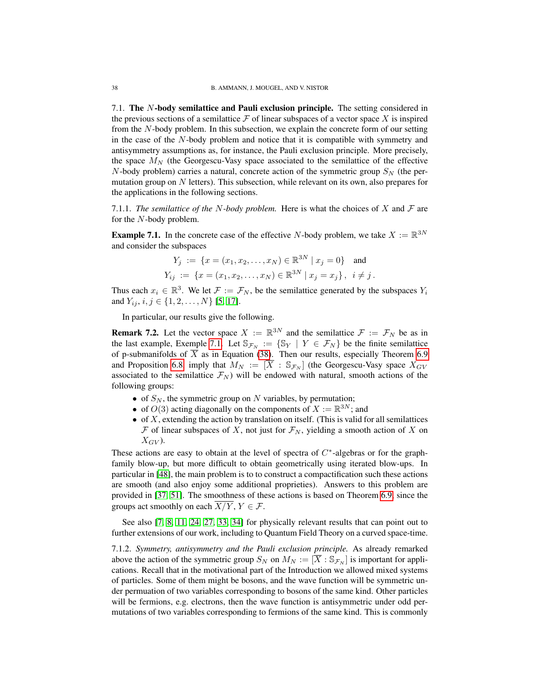<span id="page-37-0"></span>7.1. The N-body semilattice and Pauli exclusion principle. The setting considered in the previous sections of a semilattice  $\mathcal F$  of linear subspaces of a vector space X is inspired from the N-body problem. In this subsection, we explain the concrete form of our setting in the case of the N-body problem and notice that it is compatible with symmetry and antisymmetry assumptions as, for instance, the Pauli exclusion principle. More precisely, the space  $M_N$  (the Georgescu-Vasy space associated to the semilattice of the effective N-body problem) carries a natural, concrete action of the symmetric group  $S_N$  (the permutation group on  $N$  letters). This subsection, while relevant on its own, also prepares for the applications in the following sections.

7.1.1. *The semilattice of the N-body problem.* Here is what the choices of X and  $\mathcal F$  are for the N-body problem.

<span id="page-37-2"></span>**Example 7.1.** In the concrete case of the effective N-body problem, we take  $X := \mathbb{R}^{3N}$ and consider the subspaces

$$
Y_j := \{ x = (x_1, x_2, \dots, x_N) \in \mathbb{R}^{3N} \mid x_j = 0 \}
$$
 and  

$$
Y_{ij} := \{ x = (x_1, x_2, \dots, x_N) \in \mathbb{R}^{3N} \mid x_j = x_j \}, i \neq j.
$$

Thus each  $x_i \in \mathbb{R}^3$ . We let  $\mathcal{F} := \mathcal{F}_N$ , be the semilattice generated by the subspaces  $Y_i$ and  $Y_{ij}$ ,  $i, j \in \{1, 2, ..., N\}$  [\[5,](#page-43-1) [17\]](#page-43-4).

In particular, our results give the following.

<span id="page-37-3"></span>**Remark 7.2.** Let the vector space  $X := \mathbb{R}^{3N}$  and the semilattice  $\mathcal{F} := \mathcal{F}_N$  be as in the last example, Exemple [7.1.](#page-37-2) Let  $\mathbb{S}_{\mathcal{F}_N} := \{ \mathbb{S}_Y \mid Y \in \mathcal{F}_N \}$  be the finite semilattice of p-submanifolds of  $\overline{X}$  as in Equation [\(38\)](#page-35-4). Then our results, especially Theorem [6.9](#page-36-1) and Proposition [6.8,](#page-35-3) imply that  $M_N := [\overline{X} : \mathbb{S}_{\mathcal{F}_N}]$  (the Georgescu-Vasy space  $X_{GV}$ associated to the semilattice  $\mathcal{F}_N$ ) will be endowed with natural, smooth actions of the following groups:

- of  $S_N$ , the symmetric group on N variables, by permutation;
- of  $O(3)$  acting diagonally on the components of  $X := \mathbb{R}^{3N}$ ; and
- $\bullet$  of X, extending the action by translation on itself. (This is valid for all semilattices  $F$  of linear subspaces of X, not just for  $\mathcal{F}_N$ , yielding a smooth action of X on  $X_{GV}$ ).

These actions are easy to obtain at the level of spectra of  $C^*$ -algebras or for the graphfamily blow-up, but more difficult to obtain geometrically using iterated blow-ups. In particular in [\[48\]](#page-44-5), the main problem is to to construct a compactification such these actions are smooth (and also enjoy some additional proprieties). Answers to this problem are provided in [\[37,](#page-44-3) [51\]](#page-44-6). The smoothness of these actions is based on Theorem [6.9,](#page-36-1) since the groups act smoothly on each  $\overline{X/Y}$ ,  $Y \in \mathcal{F}$ .

See also [\[7,](#page-43-16) [8,](#page-43-17) [11,](#page-43-18) [24,](#page-43-19) [27,](#page-44-17) [33,](#page-44-18) [34\]](#page-44-19) for physically relevant results that can point out to further extensions of our work, including to Quantum Field Theory on a curved space-time.

<span id="page-37-1"></span>7.1.2. *Symmetry, antisymmetry and the Pauli exclusion principle.* As already remarked above the action of the symmetric group  $S_N$  on  $M_N := [\overline{X} : \mathbb{S}_{\mathcal{F}_N}]$  is important for applications. Recall that in the motivational part of the Introduction we allowed mixed systems of particles. Some of them might be bosons, and the wave function will be symmetric under permuation of two variables corresponding to bosons of the same kind. Other particles will be fermions, e.g. electrons, then the wave function is antisymmetric under odd permutations of two variables corresponding to fermions of the same kind. This is commonly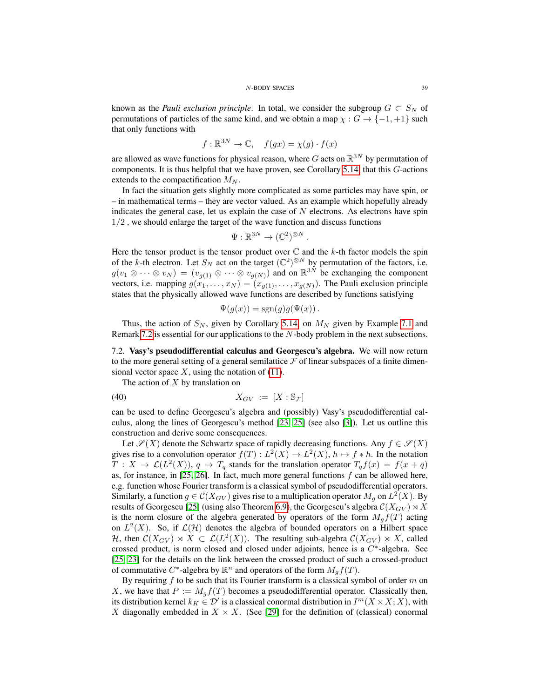known as the *Pauli exclusion principle*. In total, we consider the subgroup  $G \subset S_N$  of permutations of particles of the same kind, and we obtain a map  $\chi : G \to \{-1, +1\}$  such that only functions with

$$
f: \mathbb{R}^{3N} \to \mathbb{C}, \quad f(gx) = \chi(g) \cdot f(x)
$$

are allowed as wave functions for physical reason, where G acts on  $\mathbb{R}^{3N}$  by permutation of components. It is thus helpful that we have proven, see Corollary [5.14,](#page-31-2) that this G-actions extends to the compactification  $M_N$ .

In fact the situation gets slightly more complicated as some particles may have spin, or – in mathematical terms – they are vector valued. As an example which hopefully already indicates the general case, let us explain the case of  $N$  electrons. As electrons have spin 1/2 , we should enlarge the target of the wave function and discuss functions

$$
\Psi: \mathbb{R}^{3N} \to (\mathbb{C}^2)^{\otimes N}.
$$

Here the tensor product is the tensor product over  $\mathbb C$  and the k-th factor models the spin of the k-th electron. Let  $S_N$  act on the target  $(\mathbb{C}^2)^{\otimes N}$  by permutation of the factors, i.e.  $g(v_1 \otimes \cdots \otimes v_N) = (v_{g(1)} \otimes \cdots \otimes v_{g(N)})$  and on  $\mathbb{R}^{3N}$  be exchanging the component vectors, i.e. mapping  $g(x_1, \ldots, x_N) = (x_{g(1)}, \ldots, x_{g(N)})$ . The Pauli exclusion principle states that the physically allowed wave functions are described by functions satisfying

$$
\Psi(g(x)) = \text{sgn}(g)g(\Psi(x)).
$$

Thus, the action of  $S_N$ , given by Corollary [5.14,](#page-31-2) on  $M_N$  given by Example [7.1](#page-37-2) and Remark [7.2](#page-37-3) is essential for our applications to the N-body problem in the next subsections.

<span id="page-38-0"></span>7.2. Vasy's pseudodifferential calculus and Georgescu's algebra. We will now return to the more general setting of a general semilattice  $F$  of linear subspaces of a finite dimensional vector space  $X$ , using the notation of [\(11\)](#page-6-4).

The action of  $X$  by translation on

$$
(40) \t\t X_{GV} := [\overline{X} : \mathbb{S}_{\mathcal{F}}]
$$

can be used to define Georgescu's algebra and (possibly) Vasy's pseudodifferential calculus, along the lines of Georgescu's method [\[23,](#page-43-8) [25\]](#page-43-9) (see also [\[3\]](#page-43-20)). Let us outline this construction and derive some consequences.

Let  $\mathscr{S}(X)$  denote the Schwartz space of rapidly decreasing functions. Any  $f \in \mathscr{S}(X)$ gives rise to a convolution operator  $f(T) : L^2(X) \to L^2(X)$ ,  $h \mapsto f * h$ . In the notation  $T: X \to \mathcal{L}(L^2(X)), q \mapsto T_q$  stands for the translation operator  $T_q f(x) = f(x+q)$ as, for instance, in [\[25,](#page-43-9) [26\]](#page-43-11). In fact, much more general functions  $f$  can be allowed here, e.g. function whose Fourier transform is a classical symbol of pseudodifferential operators. Similarly, a function  $g \in \mathcal{C}(X_{GV})$  gives rise to a multiplication operator  $M_g$  on  $L^2(X)$ . By results of Georgescu [\[25\]](#page-43-9) (using also Theorem [6.9\)](#page-36-1), the Georgescu's algebra  $\mathcal{C}(X_{GV}) \rtimes X$ is the norm closure of the algebra generated by operators of the form  $M_g f(T)$  acting on  $L^2(X)$ . So, if  $\mathcal{L}(\mathcal{H})$  denotes the algebra of bounded operators on a Hilbert space H, then  $\mathcal{C}(X_{GV}) \rtimes X \subset \mathcal{L}(L^2(X))$ . The resulting sub-algebra  $\mathcal{C}(X_{GV}) \rtimes X$ , called crossed product, is norm closed and closed under adjoints, hence is a  $C^*$ -algebra. See [\[25,](#page-43-9) [23\]](#page-43-8) for the details on the link between the crossed product of such a crossed-product of commutative  $C^*$ -algebra by  $\mathbb{R}^n$  and operators of the form  $M_g f(T)$ .

By requiring  $f$  to be such that its Fourier transform is a classical symbol of order  $m$  on X, we have that  $P := M_g f(T)$  becomes a pseudodifferential operator. Classically then, its distribution kernel  $k_K \in \mathcal{D}'$  is a classical conormal distribution in  $I^m(X \times X; X)$ , with X diagonally embedded in  $X \times X$ . (See [\[29\]](#page-44-20) for the definition of (classical) conormal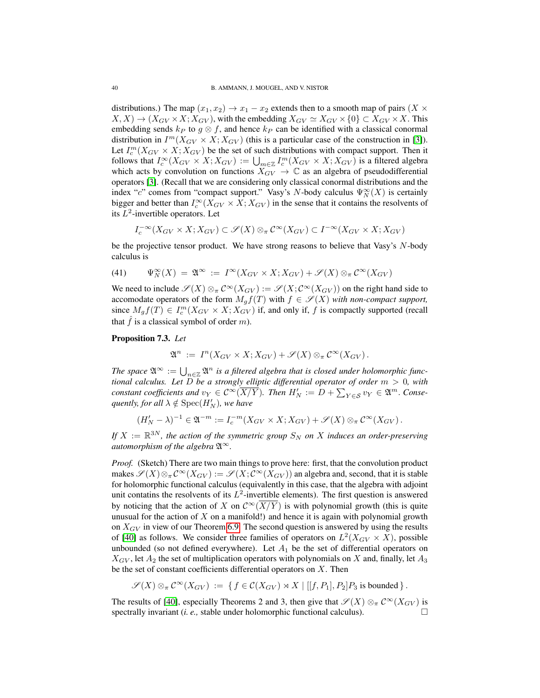distributions.) The map  $(x_1, x_2) \rightarrow x_1 - x_2$  extends then to a smooth map of pairs  $(X \times$  $(X, X) \to (X_{GV} \times X; X_{GV})$ , with the embedding  $X_{GV} \simeq X_{GV} \times \{0\} \subset X_{GV} \times X$ . This embedding sends  $k_P$  to  $g \otimes f$ , and hence  $k_P$  can be identified with a classical conormal distribution in  $I^m(X_{GV} \times X; X_{GV})$  (this is a particular case of the construction in [\[3\]](#page-43-20)). Let  $I_c^m(X_{GV} \times X; X_{GV})$  be the set of such distributions with compact support. Then it follows that  $I_c^{\infty}(X_{GV} \times X; X_{GV}) := \bigcup_{m \in \mathbb{Z}} I_c^m(X_{GV} \times X; X_{GV})$  is a filtered algebra which acts by convolution on functions  $X_{GV} \to \mathbb{C}$  as an algebra of pseudodifferential operators [\[3\]](#page-43-20). (Recall that we are considering only classical conormal distributions and the index "c" comes from "compact support." Vasy's N-body calculus  $\Psi_N^{\infty}(X)$  is certainly bigger and better than  $I_c^{\infty}(X_{GV} \times X; X_{GV})$  in the sense that it contains the resolvents of its  $L^2$ -invertible operators. Let

$$
I_c^{-\infty}(X_{GV} \times X; X_{GV}) \subset \mathscr{S}(X) \otimes_{\pi} \mathcal{C}^{\infty}(X_{GV}) \subset I^{-\infty}(X_{GV} \times X; X_{GV})
$$

be the projective tensor product. We have strong reasons to believe that Vasy's N-body calculus is

(41) 
$$
\Psi_N^{\infty}(X) = \mathfrak{A}^{\infty} := I^{\infty}(X_{GV} \times X; X_{GV}) + \mathscr{S}(X) \otimes_{\pi} \mathcal{C}^{\infty}(X_{GV})
$$

We need to include  $\mathscr{S}(X) \otimes_{\pi} C^{\infty}(X_{GV}) := \mathscr{S}(X; C^{\infty}(X_{GV}))$  on the right hand side to accomodate operators of the form  $M_g f(T)$  with  $f \in \mathcal{S}(X)$  *with non-compact support,* since  $M_g f(T) \in I_c^m(X_{GV} \times X; X_{GV})$  if, and only if, f is compactly supported (recall that  $\hat{f}$  is a classical symbol of order m).

# <span id="page-39-0"></span>Proposition 7.3. *Let*

$$
\mathfrak{A}^n := I^n(X_{GV} \times X; X_{GV}) + \mathscr{S}(X) \otimes_{\pi} \mathcal{C}^{\infty}(X_{GV}).
$$

The space  $\mathfrak{A}^{\infty} := \bigcup_{n \in \mathbb{Z}} \mathfrak{A}^n$  is a filtered algebra that is closed under holomorphic func*tional calculus. Let* D *be a strongly elliptic differential operator of order* m > 0*, with constant coefficients and*  $v_Y \in C^\infty(\overline{X/Y})$ . Then  $H'_N := D + \sum_{Y \in S} v_Y \in \mathfrak{A}^m$ . Conse- $\mathit{quently},$  for all  $\lambda \notin \mathrm{Spec}(H_N')$ , we have

$$
(H'_N - \lambda)^{-1} \in \mathfrak{A}^{-m} := I_c^{-m}(X_{GV} \times X; X_{GV}) + \mathscr{S}(X) \otimes_{\pi} \mathcal{C}^{\infty}(X_{GV}).
$$

If  $X := \mathbb{R}^{3N}$ , the action of the symmetric group  $S_N$  on  $X$  induces an order-preserving *automorphism of the algebra*  $\mathfrak{A}^{\infty}$ *.* 

*Proof.* (Sketch) There are two main things to prove here: first, that the convolution product makes  $\mathscr{S}(X) \otimes_{\pi} C^{\infty}(X_{GV}) := \mathscr{S}(X; C^{\infty}(X_{GV}))$  an algebra and, second, that it is stable for holomorphic functional calculus (equivalently in this case, that the algebra with adjoint unit contatins the resolvents of its  $L^2$ -invertible elements). The first question is answered by noticing that the action of X on  $\mathcal{C}^{\infty}(\overline{X}|\overline{Y})$  is with polynomial growth (this is quite unusual for the action of  $X$  on a manifold!) and hence it is again with polynomial growth on  $X_{GV}$  in view of our Theorem [6.9.](#page-36-1) The second question is answered by using the results of [\[40\]](#page-44-21) as follows. We consider three families of operators on  $L^2(X_{GV} \times X)$ , possible unbounded (so not defined everywhere). Let  $A_1$  be the set of differential operators on  $X_{GV}$ , let  $A_2$  the set of multiplication operators with polynomials on X and, finally, let  $A_3$ be the set of constant coefficients differential operators on  $X$ . Then

$$
\mathscr{S}(X) \otimes_{\pi} C^{\infty}(X_{GV}) := \{ f \in C(X_{GV}) \rtimes X \mid [[f, P_1], P_2]P_3 \text{ is bounded } \}.
$$

The results of [\[40\]](#page-44-21), especially Theorems 2 and 3, then give that  $\mathscr{S}(X) \otimes_{\pi} \mathcal{C}^{\infty}(X_{GV})$  is spectrally invariant (*i. e.,* stable under holomorphic functional calculus).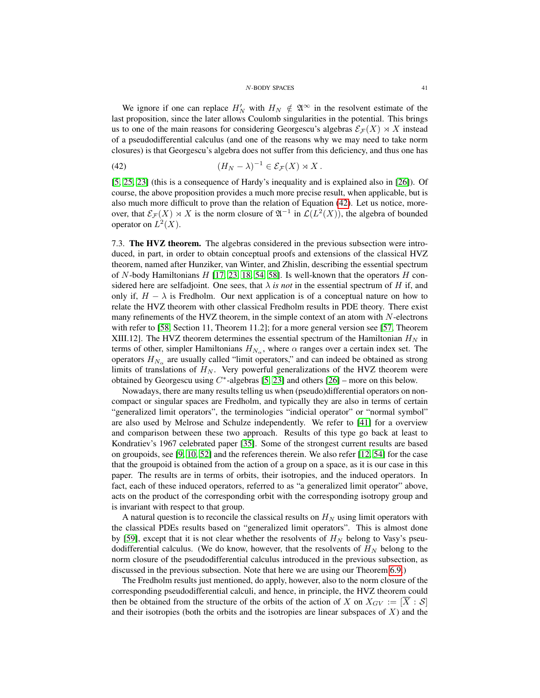### <span id="page-40-1"></span>N-BODY SPACES 41

We ignore if one can replace  $H_N'$  with  $H_N \notin \mathfrak{A}^{\infty}$  in the resolvent estimate of the last proposition, since the later allows Coulomb singularities in the potential. This brings us to one of the main reasons for considering Georgescu's algebras  $\mathcal{E}_{\mathcal{F}}(X) \rtimes X$  instead of a pseudodifferential calculus (and one of the reasons why we may need to take norm closures) is that Georgescu's algebra does not suffer from this deficiency, and thus one has

(42) 
$$
(H_N - \lambda)^{-1} \in \mathcal{E}_{\mathcal{F}}(X) \rtimes X.
$$

[\[5,](#page-43-1) [25,](#page-43-9) [23\]](#page-43-8) (this is a consequence of Hardy's inequality and is explained also in [\[26\]](#page-43-11)). Of course, the above proposition provides a much more precise result, when applicable, but is also much more difficult to prove than the relation of Equation [\(42\)](#page-40-1). Let us notice, moreover, that  $\mathcal{E}_{\mathcal{F}}(X) \rtimes X$  is the norm closure of  $\mathfrak{A}^{-1}$  in  $\mathcal{L}(L^2(X))$ , the algebra of bounded operator on  $L^2(X)$ .

<span id="page-40-0"></span>7.3. The HVZ theorem. The algebras considered in the previous subsection were introduced, in part, in order to obtain conceptual proofs and extensions of the classical HVZ theorem, named after Hunziker, van Winter, and Zhislin, describing the essential spectrum of N-body Hamiltonians  $H$  [\[17,](#page-43-4) [23,](#page-43-8) [18,](#page-43-3) [54,](#page-44-16) [58\]](#page-45-1). Is well-known that the operators  $H$  considered here are selfadjoint. One sees, that  $\lambda$  *is not* in the essential spectrum of H if, and only if,  $H - \lambda$  is Fredholm. Our next application is of a conceptual nature on how to relate the HVZ theorem with other classical Fredholm results in PDE theory. There exist many refinements of the HVZ theorem, in the simple context of an atom with  $N$ -electrons with refer to [\[58,](#page-45-1) Section 11, Theorem 11.2]; for a more general version see [\[57,](#page-45-0) Theorem XIII.12]. The HVZ theorem determines the essential spectrum of the Hamiltonian  $H_N$  in terms of other, simpler Hamiltonians  $H_{N_\alpha}$ , where  $\alpha$  ranges over a certain index set. The operators  $H_{N_{\alpha}}$  are usually called "limit operators," and can indeed be obtained as strong limits of translations of  $H_N$ . Very powerful generalizations of the HVZ theorem were obtained by Georgescu using  $C^*$ -algebras [\[5,](#page-43-1) [23\]](#page-43-8) and others [\[26\]](#page-43-11) – more on this below.

Nowadays, there are many results telling us when (pseudo)differential operators on noncompact or singular spaces are Fredholm, and typically they are also in terms of certain "generalized limit operators", the terminologies "indicial operator" or "normal symbol" are also used by Melrose and Schulze independently. We refer to [\[41\]](#page-44-22) for a overview and comparison between these two approach. Results of this type go back at least to Kondratiev's 1967 celebrated paper [\[35\]](#page-44-23). Some of the strongest current results are based on groupoids, see [\[9,](#page-43-21) [10,](#page-43-22) [52\]](#page-44-24) and the references therein. We also refer [\[12,](#page-43-23) [54\]](#page-44-16) for the case that the groupoid is obtained from the action of a group on a space, as it is our case in this paper. The results are in terms of orbits, their isotropies, and the induced operators. In fact, each of these induced operators, referred to as "a generalized limit operator" above, acts on the product of the corresponding orbit with the corresponding isotropy group and is invariant with respect to that group.

A natural question is to reconcile the classical results on  $H<sub>N</sub>$  using limit operators with the classical PDEs results based on "generalized limit operators". This is almost done by [\[59\]](#page-45-3), except that it is not clear whether the resolvents of  $H_N$  belong to Vasy's pseudodifferential calculus. (We do know, however, that the resolvents of  $H_N$  belong to the norm closure of the pseudodifferential calculus introduced in the previous subsection, as discussed in the previous subsection. Note that here we are using our Theorem [6.9.](#page-36-1))

The Fredholm results just mentioned, do apply, however, also to the norm closure of the corresponding pseudodifferential calculi, and hence, in principle, the HVZ theorem could then be obtained from the structure of the orbits of the action of X on  $X_{GV} := [\overline{X} : S]$ and their isotropies (both the orbits and the isotropies are linear subspaces of  $X$ ) and the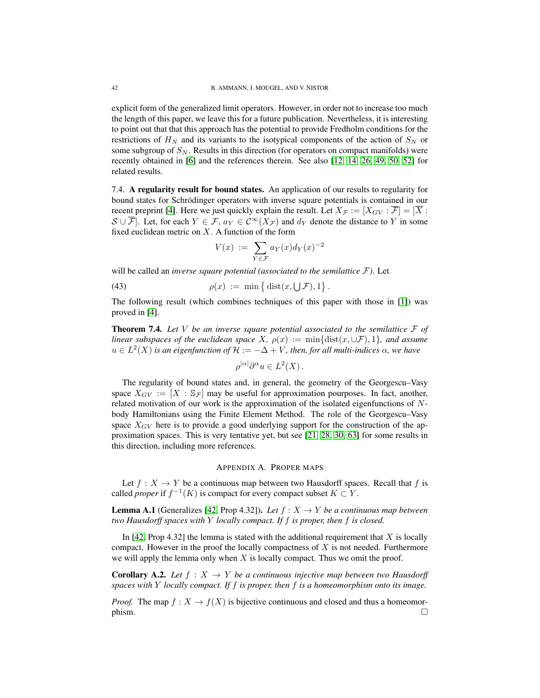explicit form of the generalized limit operators. However, in order not to increase too much the length of this paper, we leave this for a future publication. Nevertheless, it is interesting to point out that that this approach has the potential to provide Fredholm conditions for the restrictions of  $H_N$  and its variants to the isotypical components of the action of  $S_N$  or some subgroup of  $S_N$ . Results in this direction (for operators on compact manifolds) were recently obtained in [\[6\]](#page-43-24) and the references therein. See also [\[12,](#page-43-23) [14,](#page-43-25) [26,](#page-43-11) [49,](#page-44-25) [50,](#page-44-4) [52\]](#page-44-24) for related results.

<span id="page-41-0"></span>7.4. A regularity result for bound states. An application of our results to regularity for bound states for Schrödinger operators with inverse square potentials is contained in our recent preprint [\[4\]](#page-43-13). Here we just quickly explain the result. Let  $X_{\mathcal{F}} := [X_{GV} : \overline{\mathcal{F}}] = [\overline{X} :$  $S \cup \overline{\mathcal{F}}$ . Let, for each  $Y \in \mathcal{F}$ ,  $a_Y \in \mathcal{C}^{\infty}(X_{\mathcal{F}})$  and  $d_Y$  denote the distance to Y in some fixed euclidean metric on  $X$ . A function of the form

$$
V(x) := \sum_{Y \in \mathcal{F}} a_Y(x) d_Y(x)^{-2}
$$

will be called an *inverse square potential (associated to the semilattice* F*)*. Let

(43) 
$$
\rho(x) := \min \left\{ \text{dist}(x, \bigcup \mathcal{F}), 1 \right\}.
$$

The following result (which combines techniques of this paper with those in [\[1\]](#page-43-12)) was proved in [\[4\]](#page-43-13).

<span id="page-41-2"></span>**Theorem 7.4.** Let V be an inverse square potential associated to the semilattice  $\mathcal{F}$  of *linear subspaces of the euclidean space* X,  $\rho(x) := \min\{\text{dist}(x, \cup \mathcal{F}), 1\}$ *, and assume*  $u \in L^2(X)$  *is an eigenfunction of*  $\mathcal{H} := -\Delta + V$ *, then, for all multi-indices*  $\alpha$ *, we have* 

$$
\rho^{|\alpha|}\partial^{\alpha}u \in L^2(X)\,.
$$

The regularity of bound states and, in general, the geometry of the Georgescu–Vasy space  $X_{GV} := [X : S_{\mathcal{F}}]$  may be useful for approximation pourposes. In fact, another, related motivation of our work is the approximation of the isolated eigenfunctions of  $N$ body Hamiltonians using the Finite Element Method. The role of the Georgescu–Vasy space  $X_{GV}$  here is to provide a good underlying support for the construction of the approximation spaces. This is very tentative yet, but see [\[21,](#page-43-26) [28,](#page-44-26) [30,](#page-44-27) [63\]](#page-45-7) for some results in this direction, including more references.

## APPENDIX A. PROPER MAPS

<span id="page-41-1"></span>Let  $f : X \to Y$  be a continuous map between two Hausdorff spaces. Recall that f is called *proper* if  $f^{-1}(K)$  is compact for every compact subset  $K \subset Y$ .

**Lemma A.1** (Generalizes [\[42,](#page-44-28) Prop 4.32]). *Let*  $f : X \to Y$  *be a continuous map between two Hausdorff spaces with* Y *locally compact. If* f *is proper, then* f *is closed.*

In  $[42, \text{Prop } 4.32]$  $[42, \text{Prop } 4.32]$  the lemma is stated with the additional requirement that X is locally compact. However in the proof the locally compactness of  $X$  is not needed. Furthermore we will apply the lemma only when  $X$  is locally compact. Thus we omit the proof.

<span id="page-41-3"></span>**Corollary A.2.** *Let*  $f : X \rightarrow Y$  *be a continuous injective map between two Hausdorff spaces with* Y *locally compact. If* f *is proper, then* f *is a homeomorphism onto its image.*

*Proof.* The map  $f: X \to f(X)$  is bijective continuous and closed and thus a homeomor- $\Box$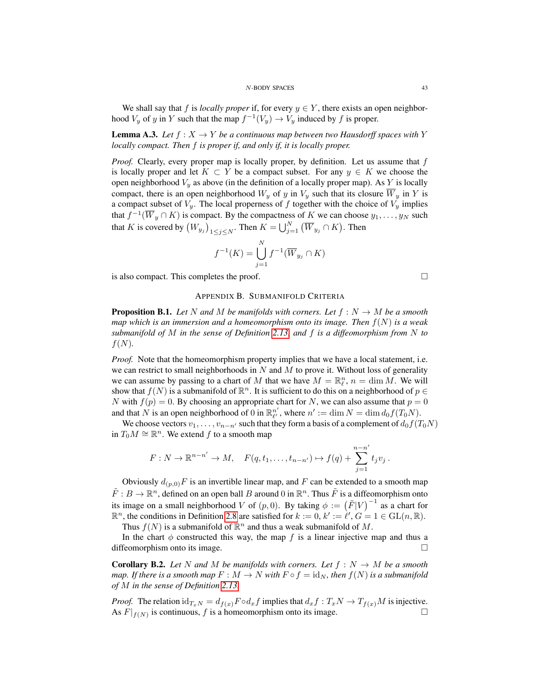#### N-BODY SPACES 43

We shall say that f is *locally proper* if, for every  $y \in Y$ , there exists an open neighborhood  $V_y$  of y in Y such that the map  $f^{-1}(V_y) \to V_y$  induced by f is proper.

<span id="page-42-2"></span>**Lemma A.3.** *Let*  $f : X \to Y$  *be a continuous map between two Hausdorff spaces with* Y *locally compact. Then* f *is proper if, and only if, it is locally proper.*

*Proof.* Clearly, every proper map is locally proper, by definition. Let us assume that f is locally proper and let  $K \subset Y$  be a compact subset. For any  $y \in K$  we choose the open neighborhood  $V_y$  as above (in the definition of a locally proper map). As Y is locally compact, there is an open neighborhood  $W_y$  of y in  $V_y$  such that its closure  $\overline{W}_y$  in Y is a compact subset of  $V_y$ . The local properness of f together with the choice of  $V_y$  implies that  $f^{-1}(\overline{W}_y \cap K)$  is compact. By the compactness of K we can choose  $y_1, \ldots, y_N$  such that K is covered by  $(W_{y_j})_{1 \leq j \leq N}$ . Then  $K = \bigcup_{j=1}^N (\overline{W}_{y_j} \cap K)$ . Then

$$
f^{-1}(K) = \bigcup_{j=1}^{N} f^{-1}(\overline{W}_{y_j} \cap K)
$$

<span id="page-42-0"></span>is also compact. This completes the proof.

# APPENDIX B. SUBMANIFOLD CRITERIA

<span id="page-42-1"></span>**Proposition B.1.** Let N and M be manifolds with corners. Let  $f: N \to M$  be a smooth *map which is an immersion and a homeomorphism onto its image. Then* f(N) *is a weak submanifold of* M *in the sense of Definition [2.13,](#page-11-0) and* f *is a diffeomorphism from* N *to*  $f(N)$ .

*Proof.* Note that the homeomorphism property implies that we have a local statement, i.e. we can restrict to small neighborhoods in  $N$  and  $M$  to prove it. Without loss of generality we can assume by passing to a chart of M that we have  $M = \mathbb{R}_{\ell}^n$ ,  $n = \dim M$ . We will show that  $f(N)$  is a submanifold of  $\mathbb{R}^n$ . It is sufficient to do this on a neighborhood of  $p \in$ N with  $f(p) = 0$ . By choosing an appropriate chart for N, we can also assume that  $p = 0$ and that N is an open neighborhood of 0 in  $\mathbb{R}_{\ell'}^{n'}$ , where  $n' := \dim N = \dim d_0 f(T_0 N)$ .

We choose vectors  $v_1, \ldots, v_{n-n'}$  such that they form a basis of a complement of  $d_0f(T_0N)$ in  $T_0M \cong \mathbb{R}^n$ . We extend f to a smooth map

$$
F: N \to \mathbb{R}^{n-n'} \to M, \quad F(q, t_1, \dots, t_{n-n'}) \mapsto f(q) + \sum_{j=1}^{n-n'} t_j v_j.
$$

Obviously  $d_{(p,0)}F$  is an invertible linear map, and F can be extended to a smooth map  $\tilde{F}: B \to \mathbb{R}^n$ , defined on an open ball B around 0 in  $\mathbb{R}^n$ . Thus  $\tilde{F}$  is a diffeomorphism onto its image on a small neighborhood V of  $(p, 0)$ . By taking  $\phi := (\tilde{F}|V)^{-1}$  as a chart for  $\mathbb{R}^n$ , the conditions in Definition [2.8](#page-10-0) are satisfied for  $k := 0$ ,  $k' := \ell', G = 1 \in GL(n, \mathbb{R})$ .

Thus  $f(N)$  is a submanifold of  $\mathbb{R}^n$  and thus a weak submanifold of M.

In the chart  $\phi$  constructed this way, the map f is a linear injective map and thus a diffeomorphism onto its image.

<span id="page-42-3"></span>**Corollary B.2.** Let N and M be manifolds with corners. Let  $f : N \to M$  be a smooth *map. If there is a smooth map*  $F : M \to N$  *with*  $F \circ f = id_N$ *, then*  $f(N)$  *is a submanifold of* M *in the sense of Definition [2.13.](#page-11-0)*

*Proof.* The relation  $\mathrm{id}_{T_xN} = d_{f(x)} F \circ d_x f$  implies that  $d_x f : T_x N \to T_{f(x)} M$  is injective. As  $F|_{f(N)}$  is continuous, f is a homeomorphism onto its image.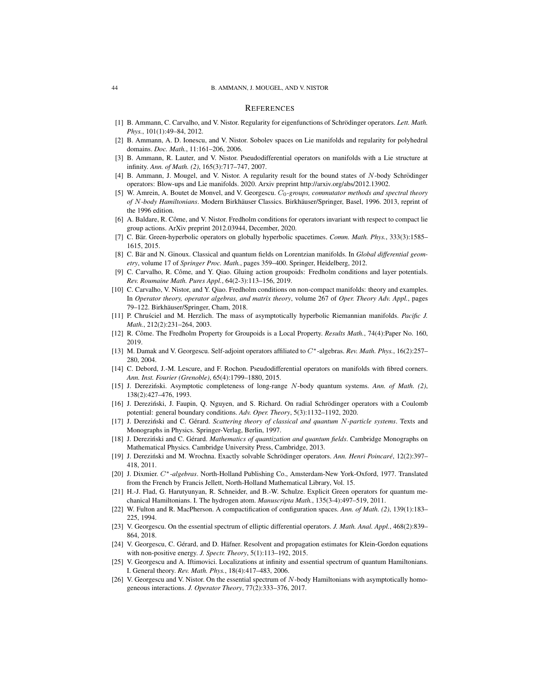#### <span id="page-43-0"></span>**REFERENCES**

- <span id="page-43-12"></span>[1] B. Ammann, C. Carvalho, and V. Nistor. Regularity for eigenfunctions of Schrödinger operators. *Lett. Math. Phys.*, 101(1):49–84, 2012.
- <span id="page-43-14"></span>[2] B. Ammann, A. D. Ionescu, and V. Nistor. Sobolev spaces on Lie manifolds and regularity for polyhedral domains. *Doc. Math.*, 11:161–206, 2006.
- <span id="page-43-20"></span>[3] B. Ammann, R. Lauter, and V. Nistor. Pseudodifferential operators on manifolds with a Lie structure at infinity. *Ann. of Math. (2)*, 165(3):717–747, 2007.
- <span id="page-43-13"></span>[4] B. Ammann, J. Mougel, and V. Nistor. A regularity result for the bound states of N-body Schrödinger operators: Blow-ups and Lie manifolds. 2020. Arxiv preprint http://arxiv.org/abs/2012.13902.
- <span id="page-43-1"></span>[5] W. Amrein, A. Boutet de Monvel, and V. Georgescu. C<sub>0</sub>-groups, commutator methods and spectral theory *of* N-body Hamiltonians. Modern Birkhäuser Classics. Birkhäuser/Springer, Basel, 1996. 2013, reprint of the 1996 edition.
- <span id="page-43-24"></span>[6] A. Baldare, R. Côme, and V. Nistor. Fredholm conditions for operators invariant with respect to compact lie group actions. ArXiv preprint 2012.03944, December, 2020.
- <span id="page-43-16"></span>[7] C. Bar. Green-hyperbolic operators on globally hyperbolic spacetimes. ¨ *Comm. Math. Phys.*, 333(3):1585– 1615, 2015.
- <span id="page-43-17"></span>[8] C. Bär and N. Ginoux. Classical and quantum fields on Lorentzian manifolds. In Global differential geom*etry*, volume 17 of *Springer Proc. Math.*, pages 359–400. Springer, Heidelberg, 2012.
- <span id="page-43-21"></span>[9] C. Carvalho, R. Côme, and Y. Qiao. Gluing action groupoids: Fredholm conditions and layer potentials. *Rev. Roumaine Math. Pures Appl.*, 64(2-3):113–156, 2019.
- <span id="page-43-22"></span>[10] C. Carvalho, V. Nistor, and Y. Qiao. Fredholm conditions on non-compact manifolds: theory and examples. In *Operator theory, operator algebras, and matrix theory*, volume 267 of *Oper. Theory Adv. Appl.*, pages 79–122. Birkhäuser/Springer, Cham, 2018.
- <span id="page-43-18"></span>[11] P. Chrusciel and M. Herzlich. The mass of asymptotically hyperbolic Riemannian manifolds. Pacific J. *Math.*, 212(2):231–264, 2003.
- <span id="page-43-23"></span>[12] R. Côme. The Fredholm Property for Groupoids is a Local Property. Results Math., 74(4):Paper No. 160, 2019.
- <span id="page-43-5"></span>[13] M. Damak and V. Georgescu. Self-adjoint operators affiliated to C∗-algebras. *Rev. Math. Phys.*, 16(2):257– 280, 2004.
- <span id="page-43-25"></span>[14] C. Debord, J.-M. Lescure, and F. Rochon. Pseudodifferential operators on manifolds with fibred corners. *Ann. Inst. Fourier (Grenoble)*, 65(4):1799–1880, 2015.
- <span id="page-43-2"></span>[15] J. Dereziński. Asymptotic completeness of long-range N-body quantum systems. Ann. of Math. (2), 138(2):427–476, 1993.
- <span id="page-43-6"></span>[16] J. Dereziński, J. Faupin, Q. Nguyen, and S. Richard. On radial Schrödinger operators with a Coulomb potential: general boundary conditions. *Adv. Oper. Theory*, 5(3):1132–1192, 2020.
- <span id="page-43-4"></span>[17] J. Dereziński and C. Gérard. Scattering theory of classical and quantum N-particle systems. Texts and Monographs in Physics. Springer-Verlag, Berlin, 1997.
- <span id="page-43-3"></span>[18] J. Dereziński and C. Gérard. *Mathematics of quantization and quantum fields*. Cambridge Monographs on Mathematical Physics. Cambridge University Press, Cambridge, 2013.
- <span id="page-43-10"></span>[19] J. Dereziński and M. Wrochna. Exactly solvable Schrödinger operators. Ann. Henri Poincaré, 12(2):397-418, 2011.
- <span id="page-43-15"></span>[20] J. Dixmier. C∗*-algebras*. North-Holland Publishing Co., Amsterdam-New York-Oxford, 1977. Translated from the French by Francis Jellett, North-Holland Mathematical Library, Vol. 15.
- <span id="page-43-26"></span>[21] H.-J. Flad, G. Harutyunyan, R. Schneider, and B.-W. Schulze. Explicit Green operators for quantum mechanical Hamiltonians. I. The hydrogen atom. *Manuscripta Math.*, 135(3-4):497–519, 2011.
- <span id="page-43-7"></span>[22] W. Fulton and R. MacPherson. A compactification of configuration spaces. *Ann. of Math. (2)*, 139(1):183– 225, 1994.
- <span id="page-43-8"></span>[23] V. Georgescu. On the essential spectrum of elliptic differential operators. *J. Math. Anal. Appl.*, 468(2):839– 864, 2018.
- <span id="page-43-19"></span>[24] V. Georgescu, C. Gérard, and D. Häfner. Resolvent and propagation estimates for Klein-Gordon equations with non-positive energy. *J. Spectr. Theory*, 5(1):113–192, 2015.
- <span id="page-43-9"></span>[25] V. Georgescu and A. Iftimovici. Localizations at infinity and essential spectrum of quantum Hamiltonians. I. General theory. *Rev. Math. Phys.*, 18(4):417–483, 2006.
- <span id="page-43-11"></span>[26] V. Georgescu and V. Nistor. On the essential spectrum of N-body Hamiltonians with asymptotically homogeneous interactions. *J. Operator Theory*, 77(2):333–376, 2017.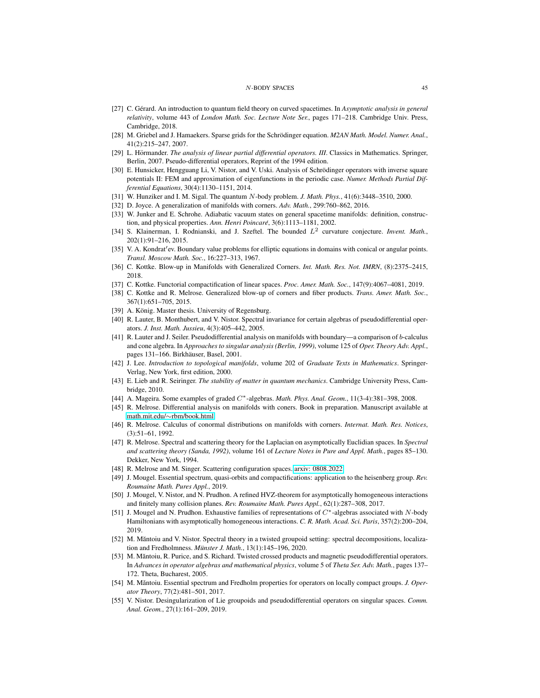#### N-BODY SPACES 45

- <span id="page-44-17"></span>[27] C. Gérard. An introduction to quantum field theory on curved spacetimes. In *Asymptotic analysis in general relativity*, volume 443 of *London Math. Soc. Lecture Note Ser.*, pages 171–218. Cambridge Univ. Press, Cambridge, 2018.
- <span id="page-44-26"></span>[28] M. Griebel and J. Hamaekers. Sparse grids for the Schrödinger equation. *M2AN Math. Model. Numer. Anal.*, 41(2):215–247, 2007.
- <span id="page-44-20"></span>[29] L. Hörmander. *The analysis of linear partial differential operators. III*. Classics in Mathematics. Springer, Berlin, 2007. Pseudo-differential operators, Reprint of the 1994 edition.
- <span id="page-44-27"></span>[30] E. Hunsicker, Hengguang Li, V. Nistor, and V. Uski. Analysis of Schrödinger operators with inverse square potentials II: FEM and approximation of eigenfunctions in the periodic case. *Numer. Methods Partial Differential Equations*, 30(4):1130–1151, 2014.
- <span id="page-44-0"></span>[31] W. Hunziker and I. M. Sigal. The quantum N-body problem. *J. Math. Phys.*, 41(6):3448–3510, 2000.
- <span id="page-44-7"></span>[32] D. Joyce. A generalization of manifolds with corners. *Adv. Math.*, 299:760–862, 2016.
- <span id="page-44-18"></span>[33] W. Junker and E. Schrohe. Adiabatic vacuum states on general spacetime manifolds: definition, construction, and physical properties. Ann. Henri Poincaré, 3(6):1113-1181, 2002.
- <span id="page-44-19"></span>[34] S. Klainerman, I. Rodnianski, and J. Szeftel. The bounded L<sup>2</sup> curvature conjecture. *Invent. Math.*, 202(1):91–216, 2015.
- <span id="page-44-23"></span>[35] V. A. Kondrat'ev. Boundary value problems for elliptic equations in domains with conical or angular points. *Transl. Moscow Math. Soc.*, 16:227–313, 1967.
- <span id="page-44-11"></span>[36] C. Kottke. Blow-up in Manifolds with Generalized Corners. *Int. Math. Res. Not. IMRN*, (8):2375–2415, 2018.
- <span id="page-44-3"></span>[37] C. Kottke. Functorial compactification of linear spaces. *Proc. Amer. Math. Soc.*, 147(9):4067–4081, 2019.
- <span id="page-44-10"></span>[38] C. Kottke and R. Melrose. Generalized blow-up of corners and fiber products. *Trans. Amer. Math. Soc.*, 367(1):651–705, 2015.
- <span id="page-44-13"></span>[39] A. König. Master thesis. University of Regensburg.
- <span id="page-44-21"></span>[40] R. Lauter, B. Monthubert, and V. Nistor. Spectral invariance for certain algebras of pseudodifferential operators. *J. Inst. Math. Jussieu*, 4(3):405–442, 2005.
- <span id="page-44-22"></span>[41] R. Lauter and J. Seiler. Pseudodifferential analysis on manifolds with boundary—a comparison of b-calculus and cone algebra. In *Approaches to singular analysis (Berlin, 1999)*, volume 125 of *Oper. Theory Adv. Appl.*, pages 131–166. Birkhäuser, Basel, 2001.
- <span id="page-44-28"></span>[42] J. Lee. *Introduction to topological manifolds*, volume 202 of *Graduate Texts in Mathematics*. Springer-Verlag, New York, first edition, 2000.
- <span id="page-44-1"></span>[43] E. Lieb and R. Seiringer. *The stability of matter in quantum mechanics*. Cambridge University Press, Cambridge, 2010.
- <span id="page-44-14"></span>[44] A. Mageira. Some examples of graded C∗-algebras. *Math. Phys. Anal. Geom.*, 11(3-4):381–398, 2008.
- <span id="page-44-8"></span>[45] R. Melrose. Differential analysis on manifolds with coners. Book in preparation. Manuscript available at math.mit.edu/∼[rbm/book.html.](http://math.mit.edu/~rbm/book.html)
- <span id="page-44-12"></span>[46] R. Melrose. Calculus of conormal distributions on manifolds with corners. *Internat. Math. Res. Notices*, (3):51–61, 1992.
- <span id="page-44-2"></span>[47] R. Melrose. Spectral and scattering theory for the Laplacian on asymptotically Euclidian spaces. In *Spectral and scattering theory (Sanda, 1992)*, volume 161 of *Lecture Notes in Pure and Appl. Math.*, pages 85–130. Dekker, New York, 1994.
- <span id="page-44-5"></span>[48] R. Melrose and M. Singer. Scattering configuration spaces. [arxiv: 0808.2022.](https://arxiv.org/abs/0808.2022)
- <span id="page-44-25"></span>[49] J. Mougel. Essential spectrum, quasi-orbits and compactifications: application to the heisenberg group. *Rev. Roumaine Math. Pures Appl.*, 2019.
- <span id="page-44-4"></span>[50] J. Mougel, V. Nistor, and N. Prudhon. A refined HVZ-theorem for asymptotically homogeneous interactions and finitely many collision planes. *Rev. Roumaine Math. Pures Appl.*, 62(1):287–308, 2017.
- <span id="page-44-6"></span>[51] J. Mougel and N. Prudhon. Exhaustive families of representations of C∗-algebras associated with N-body Hamiltonians with asymptotically homogeneous interactions. *C. R. Math. Acad. Sci. Paris*, 357(2):200–204, 2019.
- <span id="page-44-24"></span>[52] M. Măntoiu and V. Nistor. Spectral theory in a twisted groupoid setting: spectral decompositions, localization and Fredholmness. *Münster J. Math.*, 13(1):145–196, 2020.
- <span id="page-44-15"></span>[53] M. Măntoiu, R. Purice, and S. Richard. Twisted crossed products and magnetic pseudodifferential operators. In *Advances in operator algebras and mathematical physics*, volume 5 of *Theta Ser. Adv. Math.*, pages 137– 172. Theta, Bucharest, 2005.
- <span id="page-44-16"></span>[54] M. Mǎntoiu. Essential spectrum and Fredholm properties for operators on locally compact groups. *J. Operator Theory*, 77(2):481–501, 2017.
- <span id="page-44-9"></span>[55] V. Nistor. Desingularization of Lie groupoids and pseudodifferential operators on singular spaces. *Comm. Anal. Geom.*, 27(1):161–209, 2019.